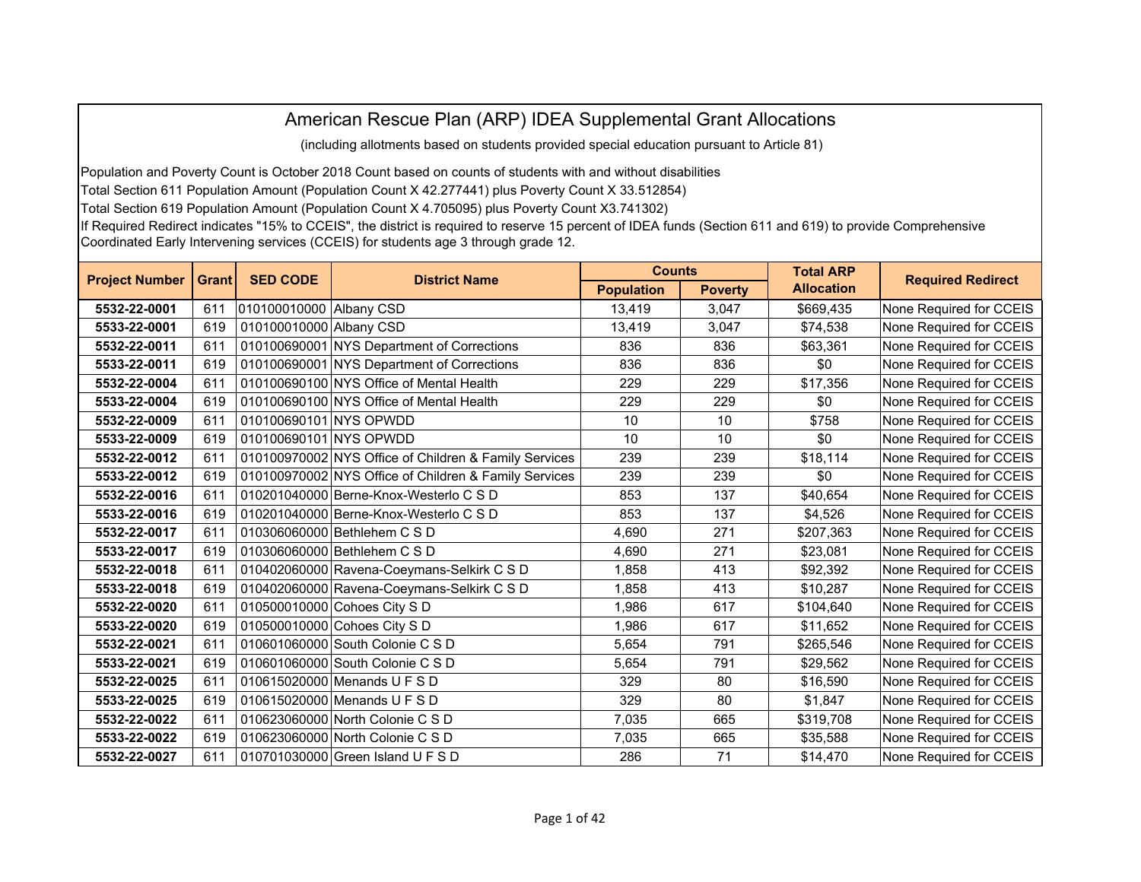## American Rescue Plan (ARP) IDEA Supplemental Grant Allocations

(including allotments based on students provided special education pursuant to Article 81)

Population and Poverty Count is October 2018 Count based on counts of students with and without disabilities

Total Section 611 Population Amount (Population Count X 42.277441) plus Poverty Count X 33.512854)

Total Section 619 Population Amount (Population Count X 4.705095) plus Poverty Count X3.741302)

If Required Redirect indicates "15% to CCEIS", the district is required to reserve 15 percent of IDEA funds (Section 611 and 619) to provide Comprehensive Coordinated Early Intervening services (CCEIS) for students age 3 through grade 12.

| <b>Project Number</b> | <b>Grant</b> | <b>SED CODE</b>         | <b>District Name</b>                                  | <b>Counts</b>     |                | <b>Total ARP</b>  | <b>Required Redirect</b> |
|-----------------------|--------------|-------------------------|-------------------------------------------------------|-------------------|----------------|-------------------|--------------------------|
|                       |              |                         |                                                       | <b>Population</b> | <b>Poverty</b> | <b>Allocation</b> |                          |
| 5532-22-0001          | 611          | 010100010000 Albany CSD |                                                       | 13,419            | 3,047          | \$669,435         | None Required for CCEIS  |
| 5533-22-0001          | 619          | 010100010000 Albany CSD |                                                       | 13,419            | 3,047          | \$74,538          | None Required for CCEIS  |
| 5532-22-0011          | 611          |                         | 010100690001 NYS Department of Corrections            | 836               | 836            | \$63,361          | None Required for CCEIS  |
| 5533-22-0011          | 619          |                         | 010100690001 NYS Department of Corrections            | 836               | 836            | \$0               | None Required for CCEIS  |
| 5532-22-0004          | 611          |                         | 010100690100 NYS Office of Mental Health              | 229               | 229            | \$17,356          | None Required for CCEIS  |
| 5533-22-0004          | 619          |                         | 010100690100 NYS Office of Mental Health              | 229               | 229            | \$0               | None Required for CCEIS  |
| 5532-22-0009          | 611          | 010100690101 NYS OPWDD  |                                                       | 10                | 10             | \$758             | None Required for CCEIS  |
| 5533-22-0009          | 619          | 010100690101 NYS OPWDD  |                                                       | 10                | 10             | \$0               | None Required for CCEIS  |
| 5532-22-0012          | 611          |                         | 010100970002 NYS Office of Children & Family Services | 239               | 239            | \$18,114          | None Required for CCEIS  |
| 5533-22-0012          | 619          |                         | 010100970002 NYS Office of Children & Family Services | 239               | 239            | \$0               | None Required for CCEIS  |
| 5532-22-0016          | 611          |                         | 010201040000 Berne-Knox-Westerlo C S D                | 853               | 137            | \$40,654          | None Required for CCEIS  |
| 5533-22-0016          | 619          |                         | 010201040000 Berne-Knox-Westerlo C S D                | 853               | 137            | \$4,526           | None Required for CCEIS  |
| 5532-22-0017          | 611          |                         | 010306060000 Bethlehem C S D                          | 4,690             | 271            | \$207,363         | None Required for CCEIS  |
| 5533-22-0017          | 619          |                         | 010306060000 Bethlehem C S D                          | 4,690             | 271            | \$23,081          | None Required for CCEIS  |
| 5532-22-0018          | 611          |                         | 010402060000 Ravena-Coeymans-Selkirk C S D            | 1,858             | 413            | \$92,392          | None Required for CCEIS  |
| 5533-22-0018          | 619          |                         | 010402060000 Ravena-Coeymans-Selkirk C S D            | 1,858             | 413            | \$10,287          | None Required for CCEIS  |
| 5532-22-0020          | 611          |                         | 010500010000 Cohoes City S D                          | 1,986             | 617            | \$104,640         | None Required for CCEIS  |
| 5533-22-0020          | 619          |                         | 010500010000 Cohoes City S D                          | 1,986             | 617            | \$11,652          | None Required for CCEIS  |
| 5532-22-0021          | 611          |                         | 010601060000 South Colonie C S D                      | 5,654             | 791            | \$265,546         | None Required for CCEIS  |
| 5533-22-0021          | 619          |                         | 010601060000 South Colonie C S D                      | 5,654             | 791            | \$29,562          | None Required for CCEIS  |
| 5532-22-0025          | 611          |                         | 010615020000 Menands U F S D                          | 329               | 80             | \$16,590          | None Required for CCEIS  |
| 5533-22-0025          | 619          |                         | 010615020000 Menands U F S D                          | 329               | 80             | \$1,847           | None Required for CCEIS  |
| 5532-22-0022          | 611          |                         | 010623060000 North Colonie C S D                      | 7,035             | 665            | \$319,708         | None Required for CCEIS  |
| 5533-22-0022          | 619          |                         | 010623060000 North Colonie C S D                      | 7,035             | 665            | \$35,588          | None Required for CCEIS  |
| 5532-22-0027          | 611          |                         | 010701030000 Green Island U F S D                     | 286               | 71             | \$14,470          | None Required for CCEIS  |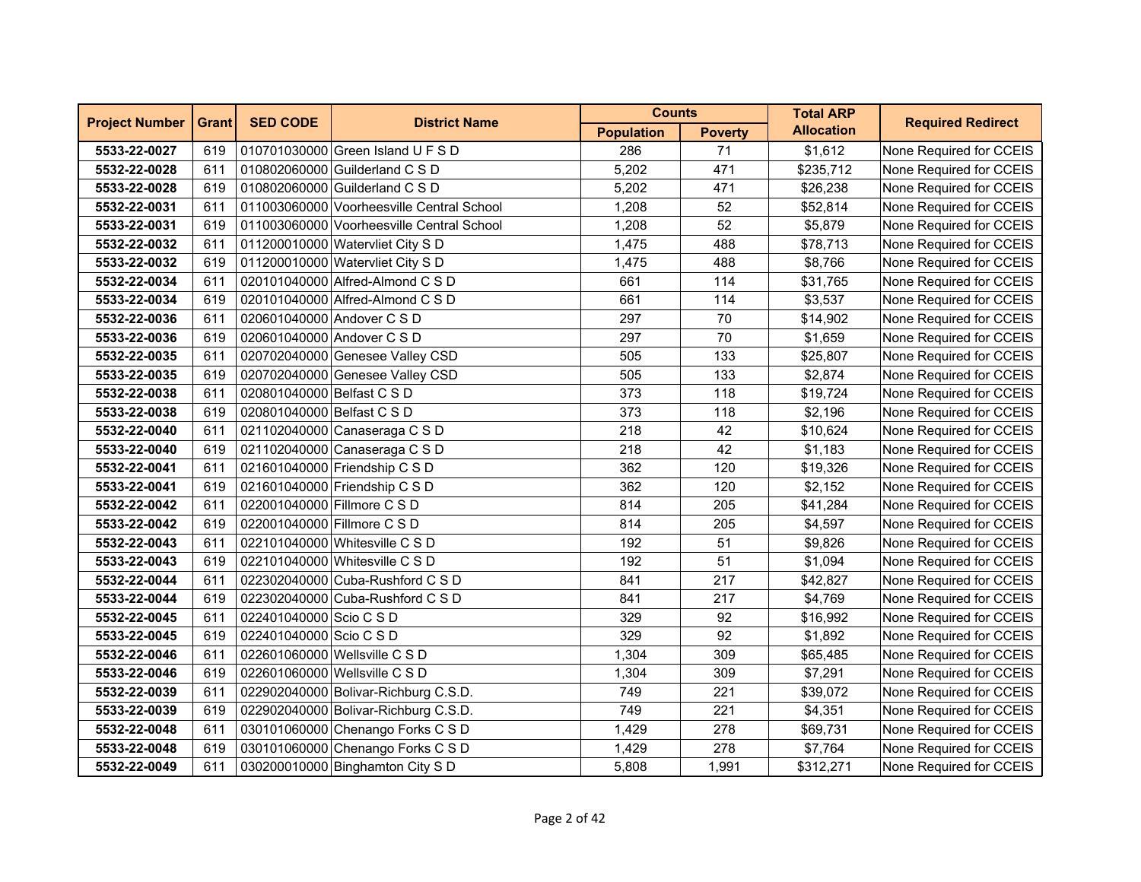| <b>Project Number</b> | <b>Grant</b> | <b>SED CODE</b>             | <b>District Name</b>                      | <b>Counts</b>     |                | <b>Total ARP</b>  | <b>Required Redirect</b> |
|-----------------------|--------------|-----------------------------|-------------------------------------------|-------------------|----------------|-------------------|--------------------------|
|                       |              |                             |                                           | <b>Population</b> | <b>Poverty</b> | <b>Allocation</b> |                          |
| 5533-22-0027          | 619          |                             | 010701030000 Green Island U F S D         | 286               | 71             | \$1,612           | None Required for CCEIS  |
| 5532-22-0028          | 611          |                             | 010802060000 Guilderland C S D            | 5,202             | 471            | \$235,712         | None Required for CCEIS  |
| 5533-22-0028          | 619          |                             | 010802060000 Guilderland C S D            | 5,202             | 471            | \$26,238          | None Required for CCEIS  |
| 5532-22-0031          | 611          |                             | 011003060000 Voorheesville Central School | 1,208             | 52             | \$52,814          | None Required for CCEIS  |
| 5533-22-0031          | 619          |                             | 011003060000 Voorheesville Central School | 1,208             | 52             | \$5,879           | None Required for CCEIS  |
| 5532-22-0032          | 611          |                             | 011200010000 Watervliet City S D          | 1,475             | 488            | \$78,713          | None Required for CCEIS  |
| 5533-22-0032          | 619          |                             | 011200010000 Watervliet City S D          | 1,475             | 488            | \$8,766           | None Required for CCEIS  |
| 5532-22-0034          | 611          |                             | 020101040000 Alfred-Almond C S D          | 661               | 114            | \$31,765          | None Required for CCEIS  |
| 5533-22-0034          | 619          |                             | 020101040000 Alfred-Almond C S D          | 661               | 114            | \$3,537           | None Required for CCEIS  |
| 5532-22-0036          | 611          | 020601040000 Andover C S D  |                                           | 297               | 70             | \$14,902          | None Required for CCEIS  |
| 5533-22-0036          | 619          | 020601040000 Andover C S D  |                                           | 297               | 70             | \$1,659           | None Required for CCEIS  |
| 5532-22-0035          | 611          |                             | 020702040000 Genesee Valley CSD           | 505               | 133            | \$25,807          | None Required for CCEIS  |
| 5533-22-0035          | 619          |                             | 020702040000 Genesee Valley CSD           | 505               | 133            | \$2,874           | None Required for CCEIS  |
| 5532-22-0038          | 611          | 020801040000 Belfast C S D  |                                           | 373               | 118            | \$19,724          | None Required for CCEIS  |
| 5533-22-0038          | 619          | 020801040000 Belfast C S D  |                                           | 373               | 118            | \$2,196           | None Required for CCEIS  |
| 5532-22-0040          | 611          |                             | 021102040000 Canaseraga C S D             | 218               | 42             | \$10,624          | None Required for CCEIS  |
| 5533-22-0040          | 619          |                             | 021102040000 Canaseraga C S D             | 218               | 42             | \$1,183           | None Required for CCEIS  |
| 5532-22-0041          | 611          |                             | 021601040000 Friendship C S D             | 362               | 120            | \$19,326          | None Required for CCEIS  |
| 5533-22-0041          | 619          |                             | 021601040000 Friendship C S D             | 362               | 120            | \$2,152           | None Required for CCEIS  |
| 5532-22-0042          | 611          | 022001040000 Fillmore C S D |                                           | 814               | 205            | \$41,284          | None Required for CCEIS  |
| 5533-22-0042          | 619          | 022001040000 Fillmore C S D |                                           | 814               | 205            | \$4,597           | None Required for CCEIS  |
| 5532-22-0043          | 611          |                             | 022101040000 Whitesville C S D            | 192               | 51             | \$9,826           | None Required for CCEIS  |
| 5533-22-0043          | 619          |                             | 022101040000 Whitesville C S D            | 192               | 51             | \$1,094           | None Required for CCEIS  |
| 5532-22-0044          | 611          |                             | 022302040000 Cuba-Rushford C S D          | 841               | 217            | \$42,827          | None Required for CCEIS  |
| 5533-22-0044          | 619          |                             | 022302040000 Cuba-Rushford C S D          | 841               | 217            | \$4,769           | None Required for CCEIS  |
| 5532-22-0045          | 611          | 022401040000 Scio C S D     |                                           | 329               | 92             | \$16,992          | None Required for CCEIS  |
| 5533-22-0045          | 619          | 022401040000 Scio C S D     |                                           | 329               | 92             | \$1,892           | None Required for CCEIS  |
| 5532-22-0046          | 611          |                             | 022601060000 Wellsville C S D             | 1,304             | 309            | \$65,485          | None Required for CCEIS  |
| 5533-22-0046          | 619          |                             | 022601060000 Wellsville C S D             | 1,304             | 309            | \$7,291           | None Required for CCEIS  |
| 5532-22-0039          | 611          |                             | 022902040000 Bolivar-Richburg C.S.D.      | 749               | 221            | \$39,072          | None Required for CCEIS  |
| 5533-22-0039          | 619          |                             | 022902040000 Bolivar-Richburg C.S.D.      | 749               | 221            | \$4,351           | None Required for CCEIS  |
| 5532-22-0048          | 611          |                             | 030101060000 Chenango Forks C S D         | 1,429             | 278            | \$69,731          | None Required for CCEIS  |
| 5533-22-0048          | 619          |                             | 030101060000 Chenango Forks C S D         | 1,429             | 278            | \$7,764           | None Required for CCEIS  |
| 5532-22-0049          | 611          |                             | 030200010000 Binghamton City S D          | 5,808             | 1,991          | \$312,271         | None Required for CCEIS  |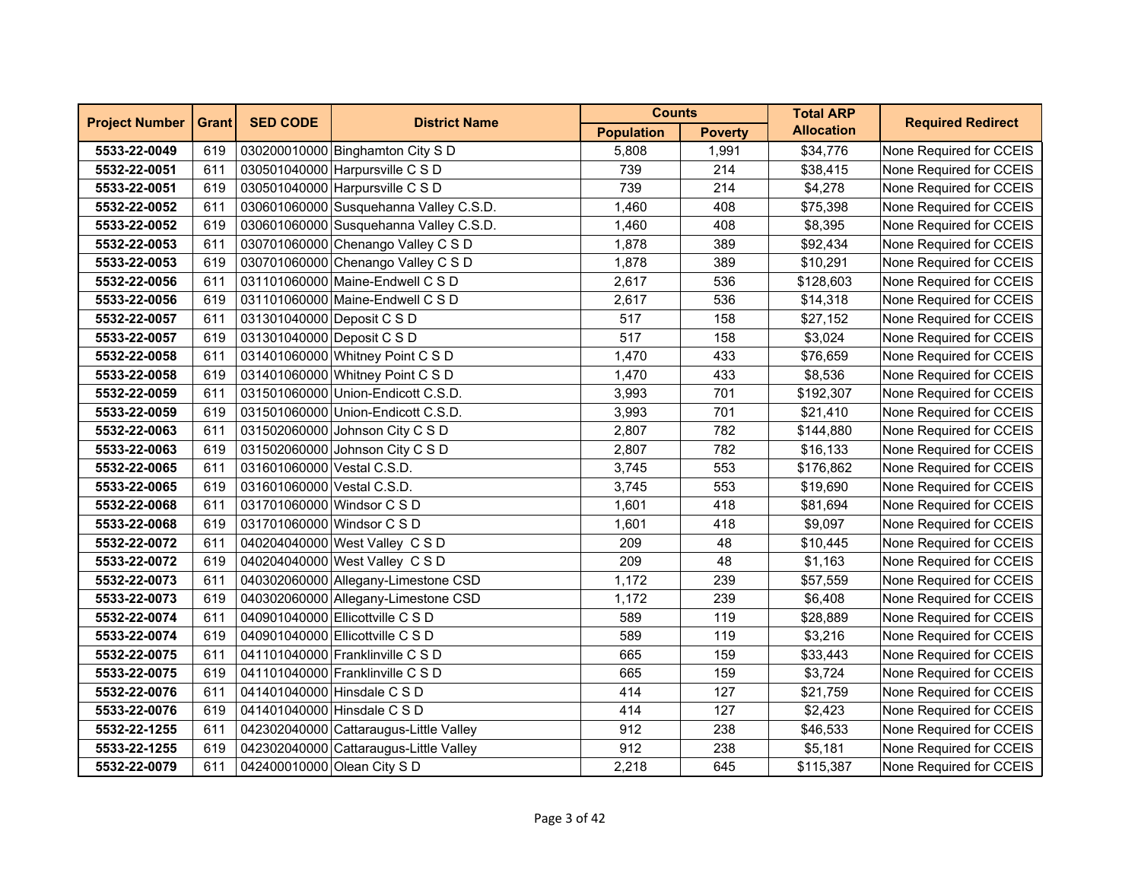| <b>Project Number</b> | <b>Grant</b> | <b>SED CODE</b>             | <b>District Name</b>                   | <b>Counts</b>     |                | <b>Total ARP</b>  | <b>Required Redirect</b> |
|-----------------------|--------------|-----------------------------|----------------------------------------|-------------------|----------------|-------------------|--------------------------|
|                       |              |                             |                                        | <b>Population</b> | <b>Poverty</b> | <b>Allocation</b> |                          |
| 5533-22-0049          | 619          |                             | 030200010000 Binghamton City S D       | 5,808             | 1,991          | \$34,776          | None Required for CCEIS  |
| 5532-22-0051          | 611          |                             | 030501040000 Harpursville C S D        | 739               | 214            | \$38,415          | None Required for CCEIS  |
| 5533-22-0051          | 619          |                             | 030501040000 Harpursville C S D        | 739               | 214            | \$4,278           | None Required for CCEIS  |
| 5532-22-0052          | 611          |                             | 030601060000 Susquehanna Valley C.S.D. | 1,460             | 408            | \$75,398          | None Required for CCEIS  |
| 5533-22-0052          | 619          |                             | 030601060000 Susquehanna Valley C.S.D. | 1,460             | 408            | \$8,395           | None Required for CCEIS  |
| 5532-22-0053          | 611          |                             | 030701060000 Chenango Valley C S D     | 1,878             | 389            | \$92,434          | None Required for CCEIS  |
| 5533-22-0053          | 619          |                             | 030701060000 Chenango Valley C S D     | 1,878             | 389            | \$10,291          | None Required for CCEIS  |
| 5532-22-0056          | 611          |                             | 031101060000 Maine-Endwell C S D       | 2,617             | 536            | \$128,603         | None Required for CCEIS  |
| 5533-22-0056          | 619          |                             | 031101060000 Maine-Endwell C S D       | 2,617             | 536            | \$14,318          | None Required for CCEIS  |
| 5532-22-0057          | 611          | 031301040000 Deposit C S D  |                                        | 517               | 158            | \$27,152          | None Required for CCEIS  |
| 5533-22-0057          | 619          | 031301040000 Deposit C S D  |                                        | 517               | 158            | \$3,024           | None Required for CCEIS  |
| 5532-22-0058          | 611          |                             | 031401060000 Whitney Point C S D       | 1,470             | 433            | \$76,659          | None Required for CCEIS  |
| 5533-22-0058          | 619          |                             | 031401060000 Whitney Point C S D       | 1,470             | 433            | \$8,536           | None Required for CCEIS  |
| 5532-22-0059          | 611          |                             | 031501060000 Union-Endicott C.S.D.     | 3,993             | 701            | \$192,307         | None Required for CCEIS  |
| 5533-22-0059          | 619          |                             | 031501060000 Union-Endicott C.S.D.     | 3,993             | 701            | \$21,410          | None Required for CCEIS  |
| 5532-22-0063          | 611          |                             | 031502060000 Johnson City C S D        | 2,807             | 782            | \$144,880         | None Required for CCEIS  |
| 5533-22-0063          | 619          |                             | 031502060000 Johnson City C S D        | 2,807             | 782            | \$16,133          | None Required for CCEIS  |
| 5532-22-0065          | 611          | 031601060000 Vestal C.S.D.  |                                        | 3,745             | 553            | \$176,862         | None Required for CCEIS  |
| 5533-22-0065          | 619          | 031601060000 Vestal C.S.D.  |                                        | 3,745             | 553            | \$19,690          | None Required for CCEIS  |
| 5532-22-0068          | 611          | 031701060000 Windsor C S D  |                                        | 1,601             | 418            | \$81,694          | None Required for CCEIS  |
| 5533-22-0068          | 619          | 031701060000 Windsor C S D  |                                        | 1,601             | 418            | \$9,097           | None Required for CCEIS  |
| 5532-22-0072          | 611          |                             | 040204040000 West Valley C S D         | 209               | 48             | \$10,445          | None Required for CCEIS  |
| 5533-22-0072          | 619          |                             | 040204040000 West Valley C S D         | 209               | 48             | \$1,163           | None Required for CCEIS  |
| 5532-22-0073          | 611          |                             | 040302060000 Allegany-Limestone CSD    | 1,172             | 239            | \$57,559          | None Required for CCEIS  |
| 5533-22-0073          | 619          |                             | 040302060000 Allegany-Limestone CSD    | 1,172             | 239            | \$6,408           | None Required for CCEIS  |
| 5532-22-0074          | 611          |                             | 040901040000 Ellicottville C S D       | 589               | 119            | \$28,889          | None Required for CCEIS  |
| 5533-22-0074          | 619          |                             | 040901040000 Ellicottville C S D       | 589               | 119            | \$3,216           | None Required for CCEIS  |
| 5532-22-0075          | 611          |                             | 041101040000 Franklinville C S D       | 665               | 159            | \$33,443          | None Required for CCEIS  |
| 5533-22-0075          | 619          |                             | 041101040000 Franklinville C S D       | 665               | 159            | \$3,724           | None Required for CCEIS  |
| 5532-22-0076          | 611          |                             | 041401040000 Hinsdale C S D            | 414               | 127            | \$21,759          | None Required for CCEIS  |
| 5533-22-0076          | 619          |                             | 041401040000 Hinsdale C S D            | 414               | 127            | \$2,423           | None Required for CCEIS  |
| 5532-22-1255          | 611          |                             | 042302040000 Cattaraugus-Little Valley | 912               | 238            | \$46,533          | None Required for CCEIS  |
| 5533-22-1255          | 619          |                             | 042302040000 Cattaraugus-Little Valley | 912               | 238            | \$5,181           | None Required for CCEIS  |
| 5532-22-0079          | 611          | 042400010000 Olean City S D |                                        | 2,218             | 645            | \$115,387         | None Required for CCEIS  |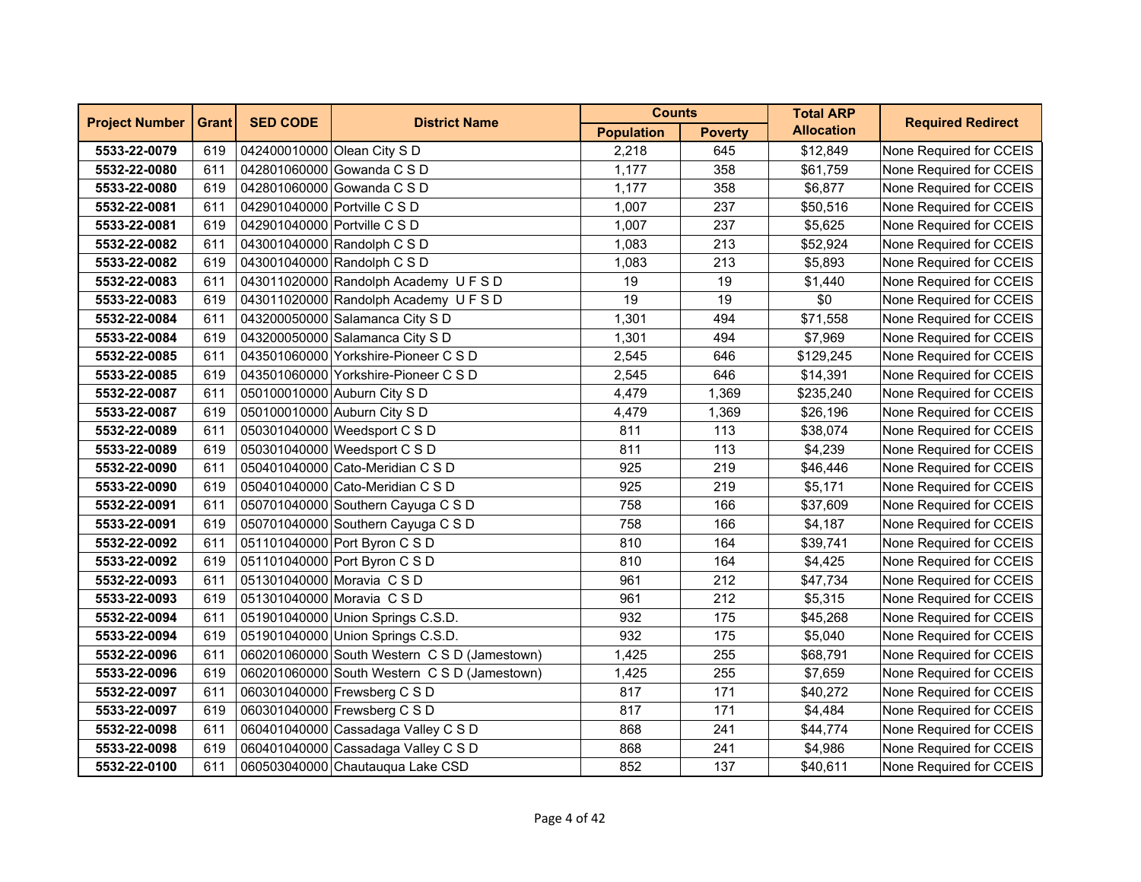| <b>Project Number</b> | <b>Grant</b> | <b>SED CODE</b>              | <b>District Name</b>                         | <b>Counts</b>     |                | <b>Total ARP</b>  | <b>Required Redirect</b> |
|-----------------------|--------------|------------------------------|----------------------------------------------|-------------------|----------------|-------------------|--------------------------|
|                       |              |                              |                                              | <b>Population</b> | <b>Poverty</b> | <b>Allocation</b> |                          |
| 5533-22-0079          | 619          | 042400010000 Olean City S D  |                                              | 2.218             | 645            | \$12,849          | None Required for CCEIS  |
| 5532-22-0080          | 611          |                              | 042801060000 Gowanda C S D                   | 1,177             | 358            | \$61,759          | None Required for CCEIS  |
| 5533-22-0080          | 619          |                              | 042801060000 Gowanda C S D                   | 1,177             | 358            | \$6,877           | None Required for CCEIS  |
| 5532-22-0081          | 611          | 042901040000 Portville C S D |                                              | 1,007             | 237            | \$50,516          | None Required for CCEIS  |
| 5533-22-0081          | 619          | 042901040000 Portville C S D |                                              | 1,007             | 237            | \$5,625           | None Required for CCEIS  |
| 5532-22-0082          | 611          |                              | 043001040000 Randolph C S D                  | 1,083             | 213            | \$52,924          | None Required for CCEIS  |
| 5533-22-0082          | 619          |                              | 043001040000 Randolph C S D                  | 1,083             | 213            | \$5,893           | None Required for CCEIS  |
| 5532-22-0083          | 611          |                              | 043011020000 Randolph Academy U F S D        | 19                | 19             | \$1,440           | None Required for CCEIS  |
| 5533-22-0083          | 619          |                              | 043011020000 Randolph Academy UFSD           | 19                | 19             | \$0               | None Required for CCEIS  |
| 5532-22-0084          | 611          |                              | 043200050000 Salamanca City S D              | 1,301             | 494            | \$71,558          | None Required for CCEIS  |
| 5533-22-0084          | 619          |                              | 043200050000 Salamanca City S D              | 1,301             | 494            | \$7,969           | None Required for CCEIS  |
| 5532-22-0085          | 611          |                              | 043501060000 Yorkshire-Pioneer C S D         | 2,545             | 646            | \$129,245         | None Required for CCEIS  |
| 5533-22-0085          | 619          |                              | 043501060000 Yorkshire-Pioneer C S D         | 2,545             | 646            | \$14,391          | None Required for CCEIS  |
| 5532-22-0087          | 611          |                              | 050100010000 Auburn City S D                 | 4,479             | 1,369          | \$235,240         | None Required for CCEIS  |
| 5533-22-0087          | 619          |                              | 050100010000 Auburn City S D                 | 4,479             | 1,369          | \$26,196          | None Required for CCEIS  |
| 5532-22-0089          | 611          |                              | 050301040000 Weedsport C S D                 | 811               | 113            | \$38,074          | None Required for CCEIS  |
| 5533-22-0089          | 619          |                              | 050301040000 Weedsport C S D                 | 811               | 113            | \$4,239           | None Required for CCEIS  |
| 5532-22-0090          | 611          |                              | 050401040000 Cato-Meridian C S D             | 925               | 219            | \$46,446          | None Required for CCEIS  |
| 5533-22-0090          | 619          |                              | 050401040000 Cato-Meridian C S D             | 925               | 219            | \$5,171           | None Required for CCEIS  |
| 5532-22-0091          | 611          |                              | 050701040000 Southern Cayuga C S D           | 758               | 166            | \$37,609          | None Required for CCEIS  |
| 5533-22-0091          | 619          |                              | 050701040000 Southern Cayuga C S D           | 758               | 166            | \$4,187           | None Required for CCEIS  |
| 5532-22-0092          | 611          |                              | 051101040000 Port Byron C S D                | 810               | 164            | \$39,741          | None Required for CCEIS  |
| 5533-22-0092          | 619          |                              | 051101040000 Port Byron C S D                | 810               | 164            | \$4,425           | None Required for CCEIS  |
| 5532-22-0093          | 611          |                              | 051301040000 Moravia CSD                     | 961               | 212            | \$47,734          | None Required for CCEIS  |
| 5533-22-0093          | 619          |                              | 051301040000 Moravia CSD                     | 961               | 212            | \$5,315           | None Required for CCEIS  |
| 5532-22-0094          | 611          |                              | 051901040000 Union Springs C.S.D.            | 932               | 175            | \$45,268          | None Required for CCEIS  |
| 5533-22-0094          | 619          |                              | 051901040000 Union Springs C.S.D.            | 932               | 175            | \$5,040           | None Required for CCEIS  |
| 5532-22-0096          | 611          |                              | 060201060000 South Western C S D (Jamestown) | 1,425             | 255            | \$68,791          | None Required for CCEIS  |
| 5533-22-0096          | 619          |                              | 060201060000 South Western C S D (Jamestown) | 1,425             | 255            | \$7,659           | None Required for CCEIS  |
| 5532-22-0097          | 611          |                              | 060301040000 Frewsberg C S D                 | 817               | 171            | \$40,272          | None Required for CCEIS  |
| 5533-22-0097          | 619          |                              | 060301040000 Frewsberg C S D                 | 817               | 171            | \$4,484           | None Required for CCEIS  |
| 5532-22-0098          | 611          |                              | 060401040000 Cassadaga Valley C S D          | 868               | 241            | \$44,774          | None Required for CCEIS  |
| 5533-22-0098          | 619          |                              | 060401040000 Cassadaga Valley C S D          | 868               | 241            | \$4,986           | None Required for CCEIS  |
| 5532-22-0100          | 611          |                              | 060503040000 Chautauqua Lake CSD             | 852               | 137            | \$40,611          | None Required for CCEIS  |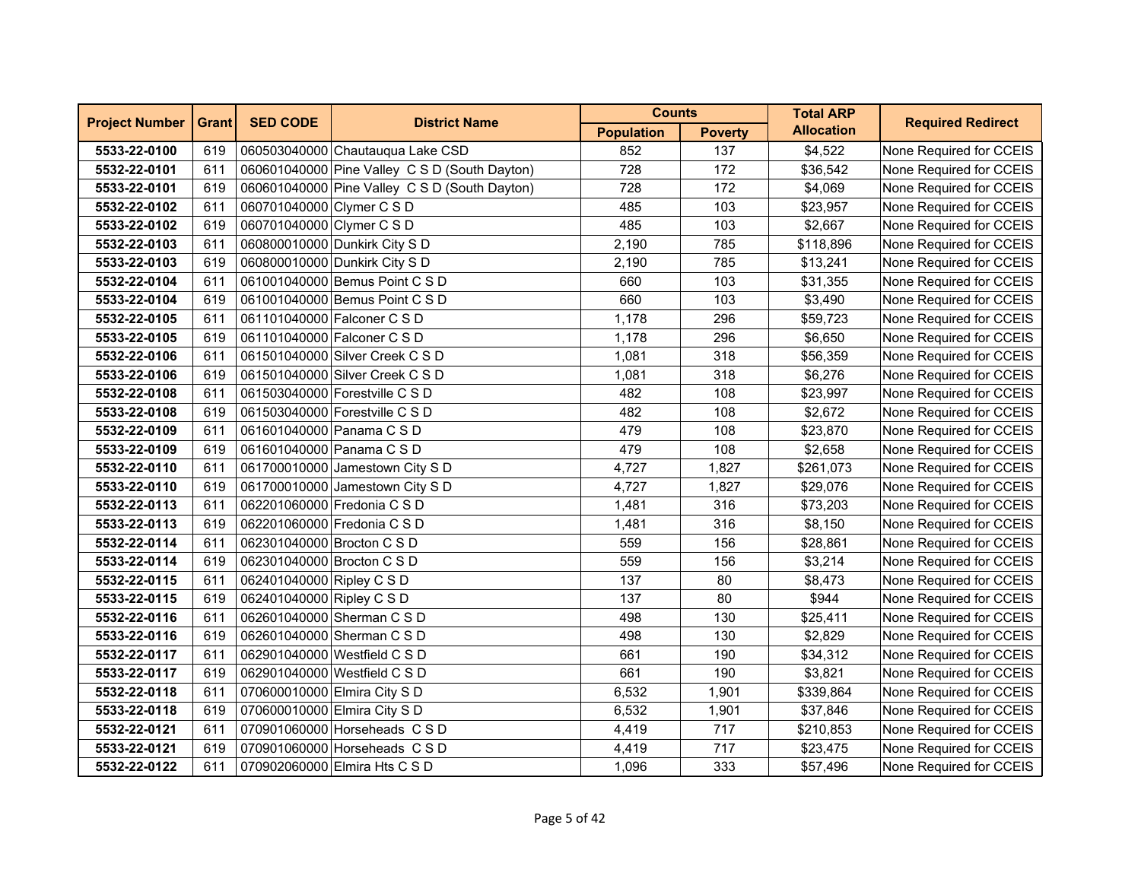| <b>Project Number</b> | <b>Grant</b> | <b>SED CODE</b>              | <b>District Name</b>                          | <b>Counts</b>     |                | <b>Total ARP</b>  | <b>Required Redirect</b> |
|-----------------------|--------------|------------------------------|-----------------------------------------------|-------------------|----------------|-------------------|--------------------------|
|                       |              |                              |                                               | <b>Population</b> | <b>Poverty</b> | <b>Allocation</b> |                          |
| 5533-22-0100          | 619          |                              | 060503040000 Chautauqua Lake CSD              | 852               | 137            | \$4,522           | None Required for CCEIS  |
| 5532-22-0101          | 611          |                              | 060601040000 Pine Valley C S D (South Dayton) | 728               | 172            | \$36,542          | None Required for CCEIS  |
| 5533-22-0101          | 619          |                              | 060601040000 Pine Valley C S D (South Dayton) | 728               | 172            | \$4,069           | None Required for CCEIS  |
| 5532-22-0102          | 611          | 060701040000 Clymer C S D    |                                               | 485               | 103            | \$23,957          | None Required for CCEIS  |
| 5533-22-0102          | 619          | 060701040000 Clymer C S D    |                                               | 485               | 103            | \$2,667           | None Required for CCEIS  |
| 5532-22-0103          | 611          |                              | 060800010000 Dunkirk City S D                 | 2,190             | 785            | \$118,896         | None Required for CCEIS  |
| 5533-22-0103          | 619          |                              | 060800010000 Dunkirk City S D                 | 2,190             | 785            | \$13,241          | None Required for CCEIS  |
| 5532-22-0104          | 611          |                              | 061001040000 Bemus Point C S D                | 660               | 103            | \$31,355          | None Required for CCEIS  |
| 5533-22-0104          | 619          |                              | 061001040000 Bemus Point C S D                | 660               | 103            | \$3,490           | None Required for CCEIS  |
| 5532-22-0105          | 611          |                              | 061101040000 Falconer C S D                   | 1,178             | 296            | \$59,723          | None Required for CCEIS  |
| 5533-22-0105          | 619          |                              | 061101040000 Falconer C S D                   | 1,178             | 296            | \$6,650           | None Required for CCEIS  |
| 5532-22-0106          | 611          |                              | 061501040000 Silver Creek C S D               | 1,081             | 318            | \$56,359          | None Required for CCEIS  |
| 5533-22-0106          | 619          |                              | 061501040000 Silver Creek C S D               | 1,081             | 318            | \$6,276           | None Required for CCEIS  |
| 5532-22-0108          | 611          |                              | 061503040000 Forestville C S D                | 482               | 108            | \$23,997          | None Required for CCEIS  |
| 5533-22-0108          | 619          |                              | 061503040000 Forestville C S D                | 482               | 108            | \$2,672           | None Required for CCEIS  |
| 5532-22-0109          | 611          |                              | 061601040000 Panama C S D                     | 479               | 108            | \$23,870          | None Required for CCEIS  |
| 5533-22-0109          | 619          | 061601040000 Panama C S D    |                                               | 479               | 108            | \$2,658           | None Required for CCEIS  |
| 5532-22-0110          | 611          |                              | 061700010000 Jamestown City S D               | 4,727             | 1,827          | \$261,073         | None Required for CCEIS  |
| 5533-22-0110          | 619          |                              | 061700010000 Jamestown City S D               | 4,727             | 1,827          | \$29,076          | None Required for CCEIS  |
| 5532-22-0113          | 611          |                              | 062201060000 Fredonia C S D                   | 1,481             | 316            | \$73,203          | None Required for CCEIS  |
| 5533-22-0113          | 619          |                              | 062201060000 Fredonia C S D                   | 1,481             | 316            | \$8,150           | None Required for CCEIS  |
| 5532-22-0114          | 611          | 062301040000 Brocton C S D   |                                               | 559               | 156            | \$28,861          | None Required for CCEIS  |
| 5533-22-0114          | 619          | 062301040000 Brocton C S D   |                                               | 559               | 156            | \$3,214           | None Required for CCEIS  |
| 5532-22-0115          | 611          | 062401040000 Ripley C S D    |                                               | 137               | 80             | \$8,473           | None Required for CCEIS  |
| 5533-22-0115          | 619          | 062401040000 Ripley C S D    |                                               | 137               | 80             | \$944             | None Required for CCEIS  |
| 5532-22-0116          | 611          |                              | 062601040000 Sherman C S D                    | 498               | 130            | \$25,411          | None Required for CCEIS  |
| 5533-22-0116          | 619          |                              | 062601040000 Sherman C S D                    | 498               | 130            | \$2,829           | None Required for CCEIS  |
| 5532-22-0117          | 611          |                              | 062901040000 Westfield C S D                  | 661               | 190            | \$34,312          | None Required for CCEIS  |
| 5533-22-0117          | 619          |                              | 062901040000 Westfield C S D                  | 661               | 190            | \$3,821           | None Required for CCEIS  |
| 5532-22-0118          | 611          |                              | 070600010000 Elmira City S D                  | 6,532             | 1,901          | \$339,864         | None Required for CCEIS  |
| 5533-22-0118          | 619          | 070600010000 Elmira City S D |                                               | 6,532             | 1,901          | \$37,846          | None Required for CCEIS  |
| 5532-22-0121          | 611          |                              | 070901060000 Horseheads C S D                 | 4,419             | 717            | \$210,853         | None Required for CCEIS  |
| 5533-22-0121          | 619          |                              | 070901060000 Horseheads C S D                 | 4,419             | 717            | \$23,475          | None Required for CCEIS  |
| 5532-22-0122          | 611          |                              | 070902060000 Elmira Hts C S D                 | 1,096             | 333            | \$57,496          | None Required for CCEIS  |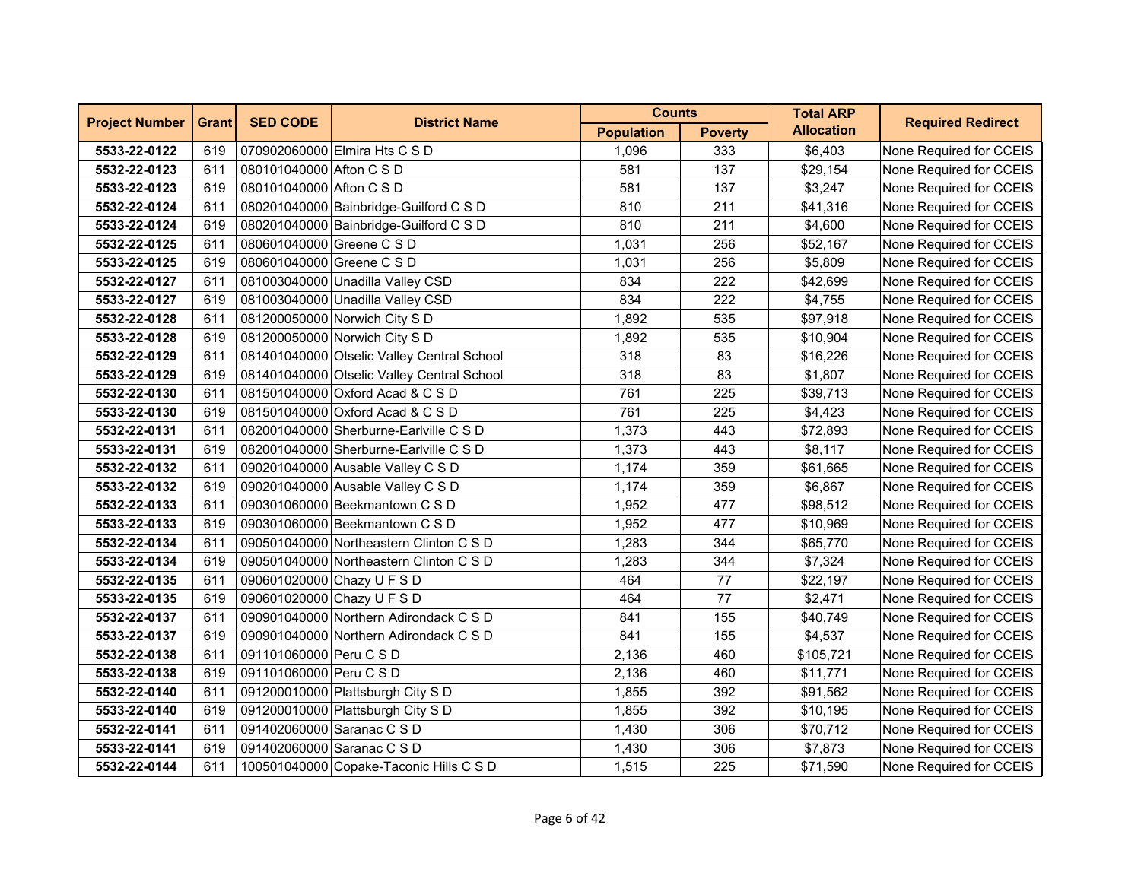| <b>Project Number</b> | <b>Grant</b> | <b>SED CODE</b>            | <b>District Name</b>                       | <b>Counts</b>     |                | <b>Total ARP</b>  | <b>Required Redirect</b> |
|-----------------------|--------------|----------------------------|--------------------------------------------|-------------------|----------------|-------------------|--------------------------|
|                       |              |                            |                                            | <b>Population</b> | <b>Poverty</b> | <b>Allocation</b> |                          |
| 5533-22-0122          | 619          |                            | 070902060000 Elmira Hts C S D              | 1,096             | 333            | \$6,403           | None Required for CCEIS  |
| 5532-22-0123          | 611          | 080101040000 Afton C S D   |                                            | 581               | 137            | \$29,154          | None Required for CCEIS  |
| 5533-22-0123          | 619          | 080101040000 Afton C S D   |                                            | 581               | 137            | \$3,247           | None Required for CCEIS  |
| 5532-22-0124          | 611          |                            | 080201040000 Bainbridge-Guilford C S D     | 810               | 211            | \$41,316          | None Required for CCEIS  |
| 5533-22-0124          | 619          |                            | 080201040000 Bainbridge-Guilford C S D     | 810               | 211            | \$4,600           | None Required for CCEIS  |
| 5532-22-0125          | 611          | 080601040000 Greene C S D  |                                            | 1,031             | 256            | \$52,167          | None Required for CCEIS  |
| 5533-22-0125          | 619          | 080601040000 Greene C S D  |                                            | 1,031             | 256            | \$5,809           | None Required for CCEIS  |
| 5532-22-0127          | 611          |                            | 081003040000 Unadilla Valley CSD           | 834               | 222            | \$42,699          | None Required for CCEIS  |
| 5533-22-0127          | 619          |                            | 081003040000 Unadilla Valley CSD           | 834               | 222            | \$4,755           | None Required for CCEIS  |
| 5532-22-0128          | 611          |                            | 081200050000 Norwich City S D              | 1,892             | 535            | \$97,918          | None Required for CCEIS  |
| 5533-22-0128          | 619          |                            | 081200050000 Norwich City S D              | 1,892             | 535            | \$10,904          | None Required for CCEIS  |
| 5532-22-0129          | 611          |                            | 081401040000 Otselic Valley Central School | 318               | 83             | \$16,226          | None Required for CCEIS  |
| 5533-22-0129          | 619          |                            | 081401040000 Otselic Valley Central School | 318               | 83             | \$1,807           | None Required for CCEIS  |
| 5532-22-0130          | 611          |                            | 081501040000 Oxford Acad & C S D           | 761               | 225            | \$39,713          | None Required for CCEIS  |
| 5533-22-0130          | 619          |                            | 081501040000 Oxford Acad & C S D           | 761               | 225            | \$4,423           | None Required for CCEIS  |
| 5532-22-0131          | 611          |                            | 082001040000 Sherburne-Earlville C S D     | 1,373             | 443            | \$72,893          | None Required for CCEIS  |
| 5533-22-0131          | 619          |                            | 082001040000 Sherburne-Earlville C S D     | 1,373             | 443            | \$8,117           | None Required for CCEIS  |
| 5532-22-0132          | 611          |                            | 090201040000 Ausable Valley C S D          | 1,174             | 359            | \$61,665          | None Required for CCEIS  |
| 5533-22-0132          | 619          |                            | 090201040000 Ausable Valley C S D          | 1,174             | 359            | \$6,867           | None Required for CCEIS  |
| 5532-22-0133          | 611          |                            | 090301060000 Beekmantown C S D             | 1,952             | 477            | \$98,512          | None Required for CCEIS  |
| 5533-22-0133          | 619          |                            | 090301060000 Beekmantown C S D             | 1,952             | 477            | \$10,969          | None Required for CCEIS  |
| 5532-22-0134          | 611          |                            | 090501040000 Northeastern Clinton C S D    | 1,283             | 344            | \$65,770          | None Required for CCEIS  |
| 5533-22-0134          | 619          |                            | 090501040000 Northeastern Clinton C S D    | 1,283             | 344            | \$7,324           | None Required for CCEIS  |
| 5532-22-0135          | 611          | 090601020000 Chazy U F S D |                                            | 464               | 77             | \$22,197          | None Required for CCEIS  |
| 5533-22-0135          | 619          | 090601020000 Chazy U F S D |                                            | 464               | 77             | \$2,471           | None Required for CCEIS  |
| 5532-22-0137          | 611          |                            | 090901040000 Northern Adirondack C S D     | 841               | 155            | \$40,749          | None Required for CCEIS  |
| 5533-22-0137          | 619          |                            | 090901040000 Northern Adirondack C S D     | 841               | 155            | \$4,537           | None Required for CCEIS  |
| 5532-22-0138          | 611          | 091101060000 Peru C S D    |                                            | 2,136             | 460            | \$105,721         | None Required for CCEIS  |
| 5533-22-0138          | 619          | 091101060000 Peru C S D    |                                            | 2,136             | 460            | \$11,771          | None Required for CCEIS  |
| 5532-22-0140          | 611          |                            | 091200010000 Plattsburgh City S D          | 1,855             | 392            | \$91,562          | None Required for CCEIS  |
| 5533-22-0140          | 619          |                            | 091200010000 Plattsburgh City S D          | 1,855             | 392            | \$10,195          | None Required for CCEIS  |
| 5532-22-0141          | 611          | 091402060000 Saranac C S D |                                            | 1,430             | 306            | \$70,712          | None Required for CCEIS  |
| 5533-22-0141          | 619          | 091402060000 Saranac C S D |                                            | 1,430             | 306            | \$7,873           | None Required for CCEIS  |
| 5532-22-0144          | 611          |                            | 100501040000 Copake-Taconic Hills C S D    | 1,515             | 225            | \$71,590          | None Required for CCEIS  |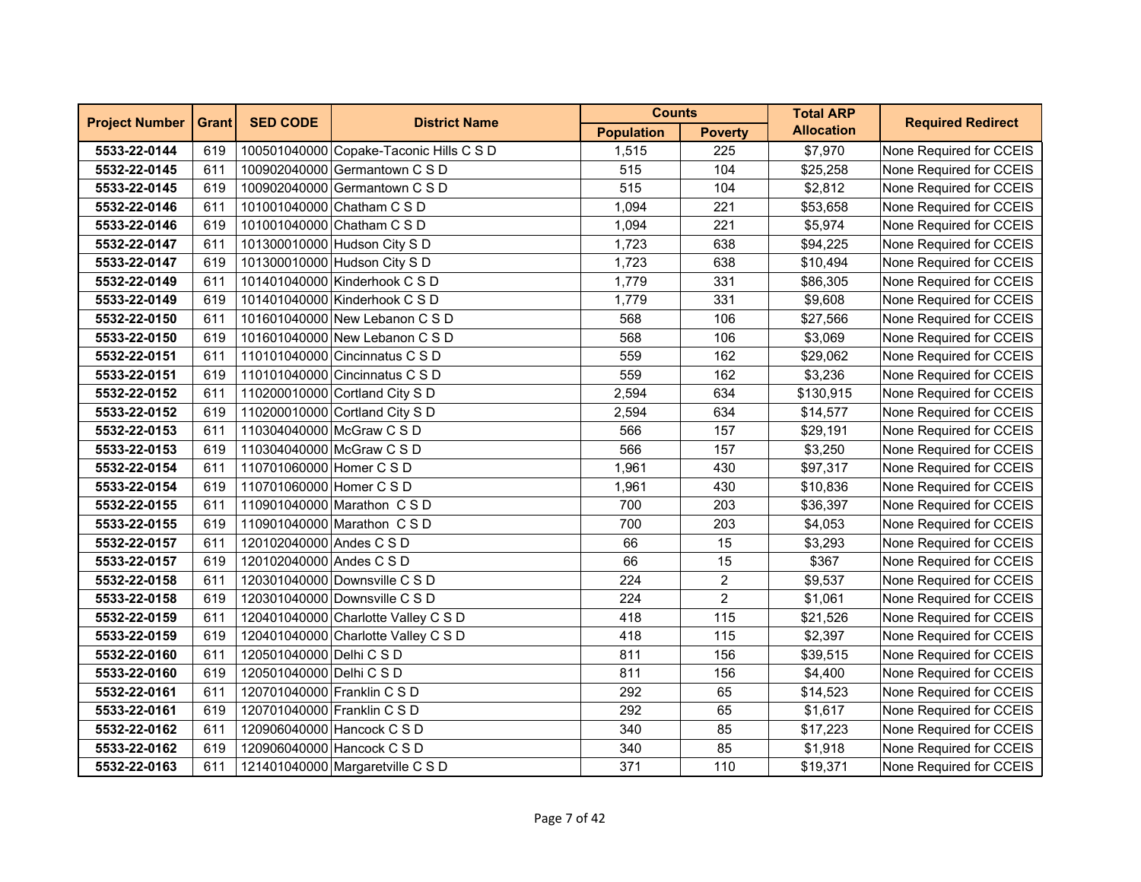| <b>Project Number</b> | <b>Grant</b> | <b>SED CODE</b>             | <b>District Name</b>                    | <b>Counts</b>     |                | <b>Total ARP</b>  | <b>Required Redirect</b> |
|-----------------------|--------------|-----------------------------|-----------------------------------------|-------------------|----------------|-------------------|--------------------------|
|                       |              |                             |                                         | <b>Population</b> | <b>Poverty</b> | <b>Allocation</b> |                          |
| 5533-22-0144          | 619          |                             | 100501040000 Copake-Taconic Hills C S D | 1,515             | 225            | \$7,970           | None Required for CCEIS  |
| 5532-22-0145          | 611          |                             | 100902040000 Germantown C S D           | 515               | 104            | \$25,258          | None Required for CCEIS  |
| 5533-22-0145          | 619          |                             | 100902040000 Germantown C S D           | 515               | 104            | \$2,812           | None Required for CCEIS  |
| 5532-22-0146          | 611          |                             | 101001040000 Chatham C S D              | 1,094             | 221            | \$53,658          | None Required for CCEIS  |
| 5533-22-0146          | 619          |                             | 101001040000 Chatham C S D              | 1,094             | 221            | \$5,974           | None Required for CCEIS  |
| 5532-22-0147          | 611          |                             | 101300010000 Hudson City S D            | 1,723             | 638            | \$94,225          | None Required for CCEIS  |
| 5533-22-0147          | 619          |                             | 101300010000 Hudson City S D            | 1,723             | 638            | \$10,494          | None Required for CCEIS  |
| 5532-22-0149          | 611          |                             | 101401040000 Kinderhook C S D           | 1,779             | 331            | \$86,305          | None Required for CCEIS  |
| 5533-22-0149          | 619          |                             | 101401040000 Kinderhook C S D           | 1,779             | 331            | \$9,608           | None Required for CCEIS  |
| 5532-22-0150          | 611          |                             | 101601040000 New Lebanon C S D          | 568               | 106            | \$27,566          | None Required for CCEIS  |
| 5533-22-0150          | 619          |                             | 101601040000 New Lebanon C S D          | 568               | 106            | \$3,069           | None Required for CCEIS  |
| 5532-22-0151          | 611          |                             | 110101040000 Cincinnatus C S D          | 559               | 162            | \$29,062          | None Required for CCEIS  |
| 5533-22-0151          | 619          |                             | 110101040000 Cincinnatus C S D          | 559               | 162            | \$3,236           | None Required for CCEIS  |
| 5532-22-0152          | 611          |                             | 110200010000 Cortland City S D          | 2,594             | 634            | \$130,915         | None Required for CCEIS  |
| 5533-22-0152          | 619          |                             | 110200010000 Cortland City S D          | 2,594             | 634            | \$14,577          | None Required for CCEIS  |
| 5532-22-0153          | 611          | 110304040000 McGraw C S D   |                                         | 566               | 157            | \$29,191          | None Required for CCEIS  |
| 5533-22-0153          | 619          | 110304040000 McGraw C S D   |                                         | 566               | 157            | \$3,250           | None Required for CCEIS  |
| 5532-22-0154          | 611          | 110701060000 Homer C S D    |                                         | 1,961             | 430            | \$97,317          | None Required for CCEIS  |
| 5533-22-0154          | 619          | 110701060000 Homer C S D    |                                         | 1,961             | 430            | \$10,836          | None Required for CCEIS  |
| 5532-22-0155          | 611          |                             | 110901040000 Marathon CSD               | 700               | 203            | \$36,397          | None Required for CCEIS  |
| 5533-22-0155          | 619          |                             | 110901040000 Marathon C S D             | 700               | 203            | \$4,053           | None Required for CCEIS  |
| 5532-22-0157          | 611          | 120102040000 Andes C S D    |                                         | 66                | 15             | \$3,293           | None Required for CCEIS  |
| 5533-22-0157          | 619          | 120102040000 Andes C S D    |                                         | 66                | 15             | \$367             | None Required for CCEIS  |
| 5532-22-0158          | 611          |                             | 120301040000 Downsville C S D           | 224               | $\overline{c}$ | \$9,537           | None Required for CCEIS  |
| 5533-22-0158          | 619          |                             | 120301040000 Downsville C S D           | 224               | $\overline{2}$ | \$1,061           | None Required for CCEIS  |
| 5532-22-0159          | 611          |                             | 120401040000 Charlotte Valley C S D     | 418               | 115            | \$21,526          | None Required for CCEIS  |
| 5533-22-0159          | 619          |                             | 120401040000 Charlotte Valley C S D     | 418               | 115            | \$2,397           | None Required for CCEIS  |
| 5532-22-0160          | 611          | 120501040000 Delhi C S D    |                                         | 811               | 156            | \$39,515          | None Required for CCEIS  |
| 5533-22-0160          | 619          | 120501040000 Delhi C S D    |                                         | 811               | 156            | \$4,400           | None Required for CCEIS  |
| 5532-22-0161          | 611          | 120701040000 Franklin C S D |                                         | 292               | 65             | \$14,523          | None Required for CCEIS  |
| 5533-22-0161          | 619          | 120701040000 Franklin C S D |                                         | 292               | 65             | \$1,617           | None Required for CCEIS  |
| 5532-22-0162          | 611          |                             | 120906040000 Hancock C S D              | 340               | 85             | \$17,223          | None Required for CCEIS  |
| 5533-22-0162          | 619          |                             | 120906040000 Hancock C S D              | 340               | 85             | \$1,918           | None Required for CCEIS  |
| 5532-22-0163          | 611          |                             | 121401040000 Margaretville C S D        | 371               | 110            | \$19,371          | None Required for CCEIS  |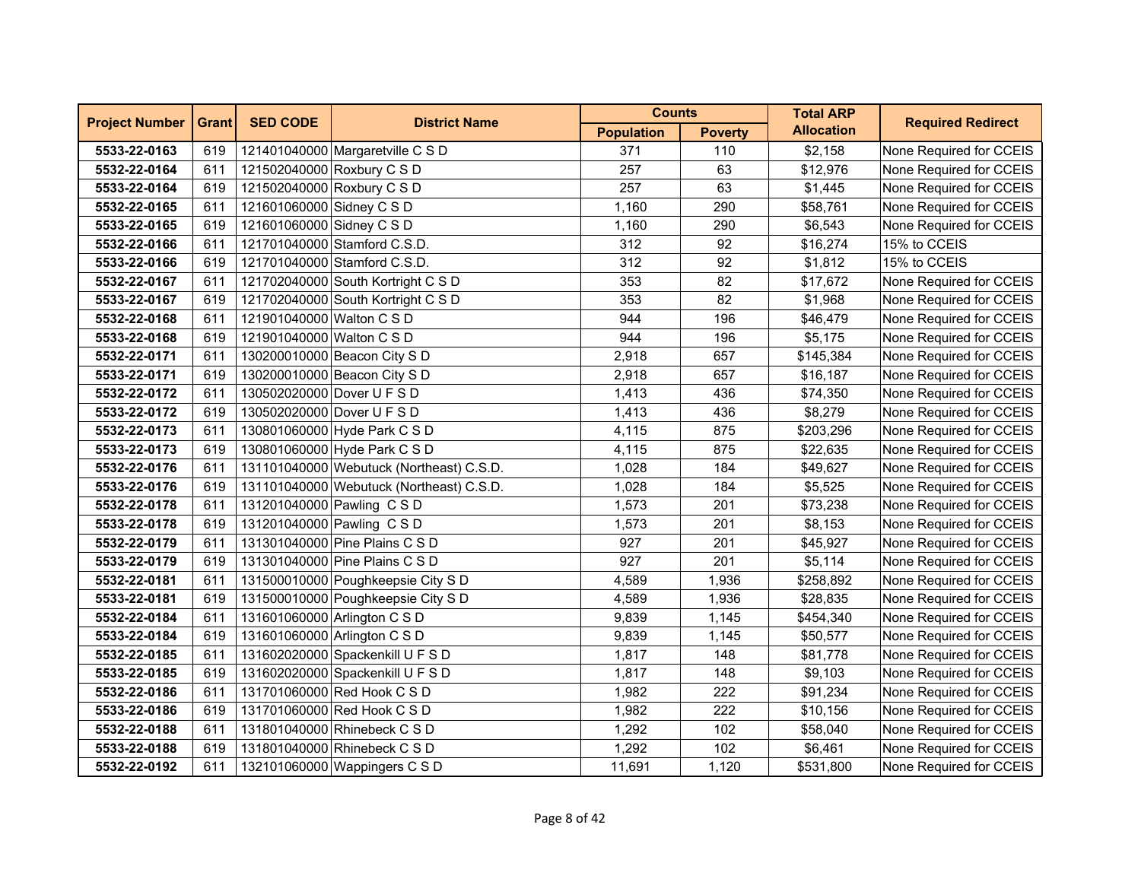| <b>Project Number</b> | <b>Grant</b> | <b>SED CODE</b>            | <b>District Name</b>                     | <b>Counts</b>     |                | <b>Total ARP</b>  | <b>Required Redirect</b> |
|-----------------------|--------------|----------------------------|------------------------------------------|-------------------|----------------|-------------------|--------------------------|
|                       |              |                            |                                          | <b>Population</b> | <b>Poverty</b> | <b>Allocation</b> |                          |
| 5533-22-0163          | 619          |                            | 121401040000 Margaretville C S D         | 371               | 110            | \$2,158           | None Required for CCEIS  |
| 5532-22-0164          | 611          | 121502040000 Roxbury C S D |                                          | 257               | 63             | \$12,976          | None Required for CCEIS  |
| 5533-22-0164          | 619          |                            | 121502040000 Roxbury C S D               | 257               | 63             | \$1,445           | None Required for CCEIS  |
| 5532-22-0165          | 611          | 121601060000 Sidney C S D  |                                          | 1,160             | 290            | \$58,761          | None Required for CCEIS  |
| 5533-22-0165          | 619          | 121601060000 Sidney C S D  |                                          | 1,160             | 290            | \$6,543           | None Required for CCEIS  |
| 5532-22-0166          | 611          |                            | 121701040000 Stamford C.S.D.             | 312               | 92             | \$16,274          | 15% to CCEIS             |
| 5533-22-0166          | 619          |                            | 121701040000 Stamford C.S.D.             | 312               | 92             | \$1,812           | 15% to CCEIS             |
| 5532-22-0167          | 611          |                            | 121702040000 South Kortright C S D       | 353               | 82             | \$17,672          | None Required for CCEIS  |
| 5533-22-0167          | 619          |                            | 121702040000 South Kortright C S D       | 353               | 82             | \$1,968           | None Required for CCEIS  |
| 5532-22-0168          | 611          | 121901040000 Walton C S D  |                                          | 944               | 196            | \$46,479          | None Required for CCEIS  |
| 5533-22-0168          | 619          | 121901040000 Walton C S D  |                                          | 944               | 196            | \$5,175           | None Required for CCEIS  |
| 5532-22-0171          | 611          |                            | 130200010000 Beacon City S D             | 2,918             | 657            | \$145,384         | None Required for CCEIS  |
| 5533-22-0171          | 619          |                            | 130200010000 Beacon City S D             | 2,918             | 657            | \$16,187          | None Required for CCEIS  |
| 5532-22-0172          | 611          | 130502020000 Dover U F S D |                                          | 1,413             | 436            | \$74,350          | None Required for CCEIS  |
| 5533-22-0172          | 619          | 130502020000 Dover U F S D |                                          | 1,413             | 436            | \$8,279           | None Required for CCEIS  |
| 5532-22-0173          | 611          |                            | 130801060000 Hyde Park C S D             | 4,115             | 875            | \$203,296         | None Required for CCEIS  |
| 5533-22-0173          | 619          |                            | 130801060000 Hyde Park C S D             | 4,115             | 875            | \$22,635          | None Required for CCEIS  |
| 5532-22-0176          | 611          |                            | 131101040000 Webutuck (Northeast) C.S.D. | 1,028             | 184            | \$49,627          | None Required for CCEIS  |
| 5533-22-0176          | 619          |                            | 131101040000 Webutuck (Northeast) C.S.D. | 1,028             | 184            | \$5,525           | None Required for CCEIS  |
| 5532-22-0178          | 611          |                            | 131201040000 Pawling CSD                 | 1,573             | 201            | \$73,238          | None Required for CCEIS  |
| 5533-22-0178          | 619          | 131201040000 Pawling CSD   |                                          | 1,573             | 201            | \$8,153           | None Required for CCEIS  |
| 5532-22-0179          | 611          |                            | 131301040000 Pine Plains C S D           | 927               | 201            | \$45,927          | None Required for CCEIS  |
| 5533-22-0179          | 619          |                            | 131301040000 Pine Plains C S D           | 927               | 201            | \$5,114           | None Required for CCEIS  |
| 5532-22-0181          | 611          |                            | 131500010000 Poughkeepsie City S D       | 4,589             | 1,936          | \$258,892         | None Required for CCEIS  |
| 5533-22-0181          | 619          |                            | 131500010000 Poughkeepsie City S D       | 4,589             | 1,936          | \$28,835          | None Required for CCEIS  |
| 5532-22-0184          | 611          |                            | 131601060000 Arlington C S D             | 9,839             | 1,145          | \$454,340         | None Required for CCEIS  |
| 5533-22-0184          | 619          |                            | 131601060000 Arlington C S D             | 9,839             | 1,145          | \$50,577          | None Required for CCEIS  |
| 5532-22-0185          | 611          |                            | 131602020000 Spackenkill U F S D         | 1,817             | 148            | \$81,778          | None Required for CCEIS  |
| 5533-22-0185          | 619          |                            | 131602020000 Spackenkill U F S D         | 1,817             | 148            | \$9,103           | None Required for CCEIS  |
| 5532-22-0186          | 611          |                            | 131701060000 Red Hook C S D              | 1,982             | 222            | \$91,234          | None Required for CCEIS  |
| 5533-22-0186          | 619          |                            | 131701060000 Red Hook C S D              | 1,982             | 222            | \$10,156          | None Required for CCEIS  |
| 5532-22-0188          | 611          |                            | 131801040000 Rhinebeck C S D             | 1,292             | 102            | \$58,040          | None Required for CCEIS  |
| 5533-22-0188          | 619          |                            | 131801040000 Rhinebeck C S D             | 1,292             | 102            | \$6,461           | None Required for CCEIS  |
| 5532-22-0192          | 611          |                            | 132101060000 Wappingers C S D            | 11,691            | 1,120          | \$531,800         | None Required for CCEIS  |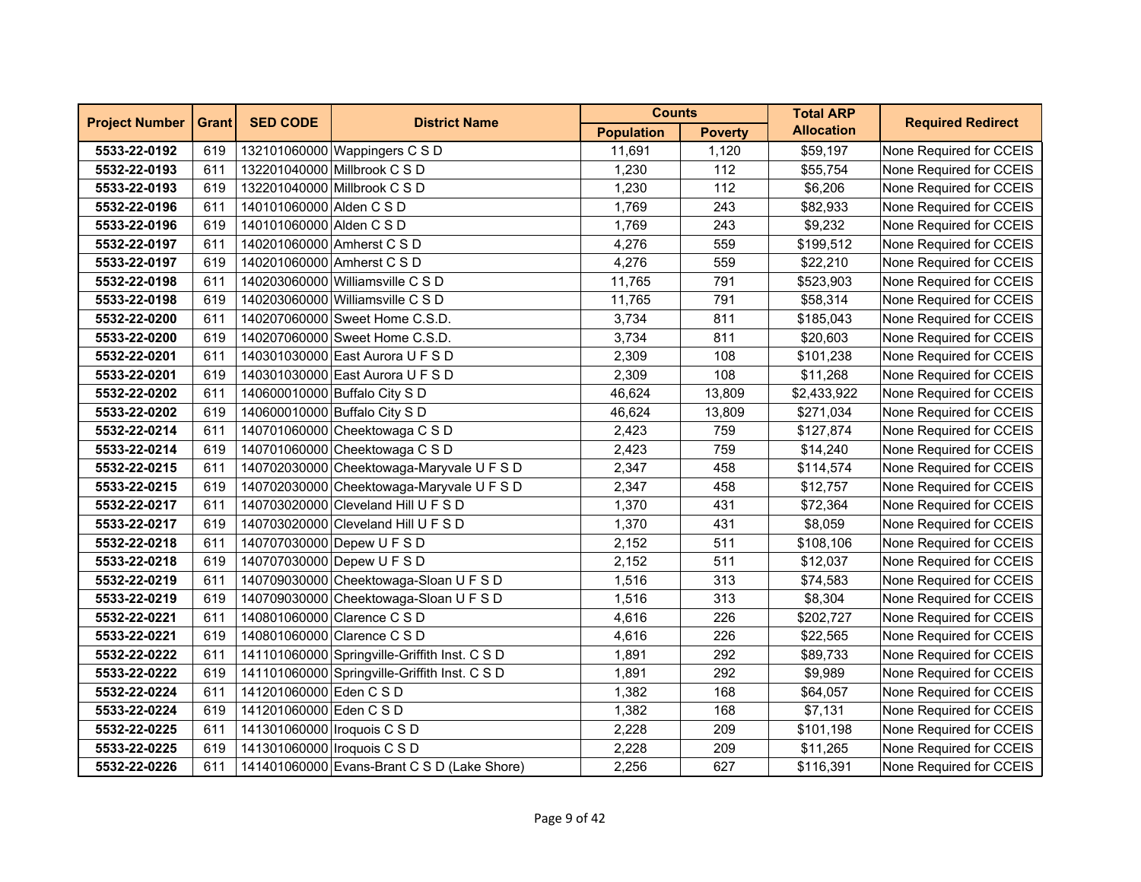| <b>Project Number</b> | <b>Grant</b> | <b>SED CODE</b>               | <b>District Name</b>                          | <b>Counts</b>     |                | <b>Total ARP</b>  | <b>Required Redirect</b> |
|-----------------------|--------------|-------------------------------|-----------------------------------------------|-------------------|----------------|-------------------|--------------------------|
|                       |              |                               |                                               | <b>Population</b> | <b>Poverty</b> | <b>Allocation</b> |                          |
| 5533-22-0192          | 619          |                               | 132101060000 Wappingers C S D                 | 11.691            | 1.120          | \$59,197          | None Required for CCEIS  |
| 5532-22-0193          | 611          |                               | 132201040000 Millbrook C S D                  | 1,230             | 112            | \$55,754          | None Required for CCEIS  |
| 5533-22-0193          | 619          |                               | 132201040000 Millbrook C S D                  | 1,230             | 112            | \$6,206           | None Required for CCEIS  |
| 5532-22-0196          | 611          | 140101060000 Alden C S D      |                                               | 1,769             | 243            | \$82,933          | None Required for CCEIS  |
| 5533-22-0196          | 619          | 140101060000 Alden C S D      |                                               | 1,769             | 243            | \$9,232           | None Required for CCEIS  |
| 5532-22-0197          | 611          |                               | 140201060000 Amherst C S D                    | 4,276             | 559            | \$199,512         | None Required for CCEIS  |
| 5533-22-0197          | 619          | 140201060000 Amherst C S D    |                                               | 4,276             | 559            | \$22,210          | None Required for CCEIS  |
| 5532-22-0198          | 611          |                               | 140203060000 Williamsville C S D              | 11,765            | 791            | \$523,903         | None Required for CCEIS  |
| 5533-22-0198          | 619          |                               | 140203060000 Williamsville C S D              | 11,765            | 791            | \$58,314          | None Required for CCEIS  |
| 5532-22-0200          | 611          |                               | 140207060000 Sweet Home C.S.D.                | 3,734             | 811            | \$185,043         | None Required for CCEIS  |
| 5533-22-0200          | 619          |                               | 140207060000 Sweet Home C.S.D.                | 3,734             | 811            | \$20,603          | None Required for CCEIS  |
| 5532-22-0201          | 611          |                               | 140301030000 East Aurora U F S D              | 2,309             | 108            | \$101,238         | None Required for CCEIS  |
| 5533-22-0201          | 619          |                               | 140301030000 East Aurora U F S D              | 2,309             | 108            | \$11,268          | None Required for CCEIS  |
| 5532-22-0202          | 611          |                               | 140600010000 Buffalo City S D                 | 46,624            | 13,809         | \$2,433,922       | None Required for CCEIS  |
| 5533-22-0202          | 619          |                               | 140600010000 Buffalo City S D                 | 46,624            | 13,809         | \$271,034         | None Required for CCEIS  |
| 5532-22-0214          | 611          |                               | 140701060000 Cheektowaga C S D                | 2,423             | 759            | \$127,874         | None Required for CCEIS  |
| 5533-22-0214          | 619          |                               | 140701060000 Cheektowaga C S D                | 2,423             | 759            | \$14,240          | None Required for CCEIS  |
| 5532-22-0215          | 611          |                               | 140702030000 Cheektowaga-Maryvale U F S D     | 2,347             | 458            | \$114,574         | None Required for CCEIS  |
| 5533-22-0215          | 619          |                               | 140702030000 Cheektowaga-Maryvale U F S D     | 2,347             | 458            | \$12,757          | None Required for CCEIS  |
| 5532-22-0217          | 611          |                               | 140703020000 Cleveland Hill U F S D           | 1,370             | 431            | \$72,364          | None Required for CCEIS  |
| 5533-22-0217          | 619          |                               | 140703020000 Cleveland Hill U F S D           | 1,370             | 431            | \$8,059           | None Required for CCEIS  |
| 5532-22-0218          | 611          |                               | 140707030000 Depew U F S D                    | 2,152             | 511            | \$108,106         | None Required for CCEIS  |
| 5533-22-0218          | 619          |                               | 140707030000 Depew U F S D                    | 2,152             | 511            | \$12,037          | None Required for CCEIS  |
| 5532-22-0219          | 611          |                               | 140709030000 Cheektowaga-Sloan U F S D        | 1,516             | 313            | \$74,583          | None Required for CCEIS  |
| 5533-22-0219          | 619          |                               | 140709030000 Cheektowaga-Sloan U F S D        | 1,516             | 313            | \$8,304           | None Required for CCEIS  |
| 5532-22-0221          | 611          |                               | 140801060000 Clarence C S D                   | 4,616             | 226            | \$202,727         | None Required for CCEIS  |
| 5533-22-0221          | 619          |                               | 140801060000 Clarence C S D                   | 4,616             | 226            | \$22,565          | None Required for CCEIS  |
| 5532-22-0222          | 611          |                               | 141101060000 Springville-Griffith Inst. C S D | 1,891             | 292            | \$89,733          | None Required for CCEIS  |
| 5533-22-0222          | 619          |                               | 141101060000 Springville-Griffith Inst. C S D | 1,891             | 292            | \$9,989           | None Required for CCEIS  |
| 5532-22-0224          | 611          | 141201060000 Eden C S D       |                                               | 1,382             | 168            | \$64,057          | None Required for CCEIS  |
| 5533-22-0224          | 619          | 141201060000 Eden C S D       |                                               | 1,382             | 168            | \$7,131           | None Required for CCEIS  |
| 5532-22-0225          | 611          | 141301060000   Iroquois C S D |                                               | 2,228             | 209            | \$101,198         | None Required for CCEIS  |
| 5533-22-0225          | 619          | 141301060000   Iroquois C S D |                                               | 2,228             | 209            | \$11,265          | None Required for CCEIS  |
| 5532-22-0226          | 611          |                               | 141401060000 Evans-Brant C S D (Lake Shore)   | 2,256             | 627            | \$116,391         | None Required for CCEIS  |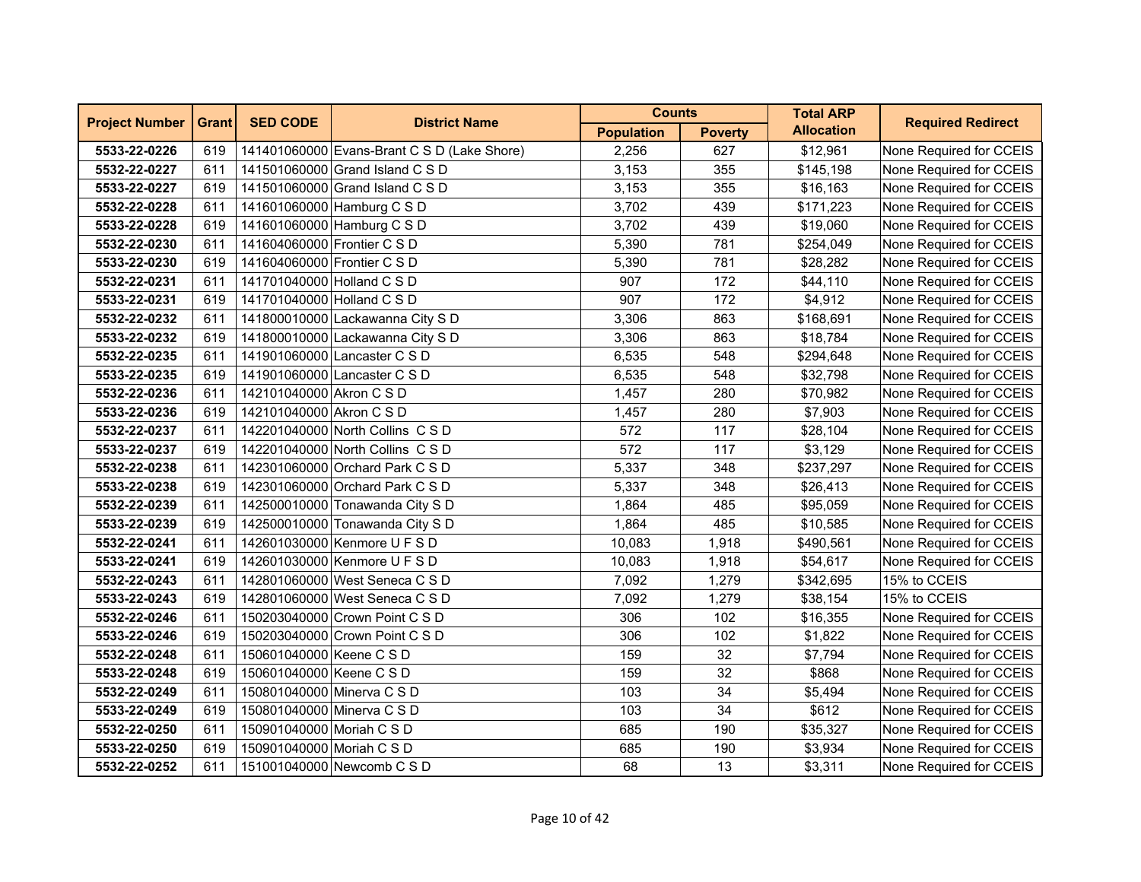| <b>Project Number</b> | <b>Grant</b> | <b>SED CODE</b>             | <b>District Name</b>                        | <b>Counts</b>     |                | <b>Total ARP</b>  | <b>Required Redirect</b> |
|-----------------------|--------------|-----------------------------|---------------------------------------------|-------------------|----------------|-------------------|--------------------------|
|                       |              |                             |                                             | <b>Population</b> | <b>Poverty</b> | <b>Allocation</b> |                          |
| 5533-22-0226          | 619          |                             | 141401060000 Evans-Brant C S D (Lake Shore) | 2,256             | 627            | \$12,961          | None Required for CCEIS  |
| 5532-22-0227          | 611          |                             | 141501060000 Grand Island C S D             | 3,153             | 355            | \$145,198         | None Required for CCEIS  |
| 5533-22-0227          | 619          |                             | 141501060000 Grand Island C S D             | 3,153             | 355            | \$16,163          | None Required for CCEIS  |
| 5532-22-0228          | 611          |                             | 141601060000 Hamburg C S D                  | 3,702             | 439            | \$171,223         | None Required for CCEIS  |
| 5533-22-0228          | 619          |                             | 141601060000 Hamburg C S D                  | 3,702             | 439            | \$19,060          | None Required for CCEIS  |
| 5532-22-0230          | 611          | 141604060000 Frontier C S D |                                             | 5,390             | 781            | \$254,049         | None Required for CCEIS  |
| 5533-22-0230          | 619          | 141604060000 Frontier C S D |                                             | 5,390             | 781            | \$28,282          | None Required for CCEIS  |
| 5532-22-0231          | 611          | 141701040000 Holland C S D  |                                             | 907               | 172            | \$44,110          | None Required for CCEIS  |
| 5533-22-0231          | 619          | 141701040000 Holland C S D  |                                             | 907               | 172            | \$4,912           | None Required for CCEIS  |
| 5532-22-0232          | 611          |                             | 141800010000 Lackawanna City S D            | 3,306             | 863            | \$168,691         | None Required for CCEIS  |
| 5533-22-0232          | 619          |                             | 141800010000 Lackawanna City S D            | 3,306             | 863            | \$18,784          | None Required for CCEIS  |
| 5532-22-0235          | 611          |                             | 141901060000 Lancaster C S D                | 6,535             | 548            | \$294,648         | None Required for CCEIS  |
| 5533-22-0235          | 619          |                             | 141901060000 Lancaster C S D                | 6,535             | 548            | \$32,798          | None Required for CCEIS  |
| 5532-22-0236          | 611          | 142101040000 Akron C S D    |                                             | 1,457             | 280            | \$70,982          | None Required for CCEIS  |
| 5533-22-0236          | 619          | 142101040000 Akron C S D    |                                             | 1,457             | 280            | \$7,903           | None Required for CCEIS  |
| 5532-22-0237          | 611          |                             | 142201040000 North Collins C S D            | 572               | 117            | \$28,104          | None Required for CCEIS  |
| 5533-22-0237          | 619          |                             | 142201040000 North Collins C S D            | 572               | 117            | \$3,129           | None Required for CCEIS  |
| 5532-22-0238          | 611          |                             | 142301060000 Orchard Park C S D             | 5,337             | 348            | \$237,297         | None Required for CCEIS  |
| 5533-22-0238          | 619          |                             | 142301060000 Orchard Park C S D             | 5,337             | 348            | \$26,413          | None Required for CCEIS  |
| 5532-22-0239          | 611          |                             | 142500010000 Tonawanda City S D             | 1,864             | 485            | \$95,059          | None Required for CCEIS  |
| 5533-22-0239          | 619          |                             | 142500010000 Tonawanda City S D             | 1,864             | 485            | \$10,585          | None Required for CCEIS  |
| 5532-22-0241          | 611          |                             | 142601030000 Kenmore U F S D                | 10,083            | 1,918          | \$490,561         | None Required for CCEIS  |
| 5533-22-0241          | 619          |                             | 142601030000 Kenmore U F S D                | 10,083            | 1,918          | \$54,617          | None Required for CCEIS  |
| 5532-22-0243          | 611          |                             | 142801060000 West Seneca C S D              | 7,092             | 1,279          | \$342,695         | 15% to CCEIS             |
| 5533-22-0243          | 619          |                             | 142801060000 West Seneca C S D              | 7,092             | 1,279          | \$38,154          | 15% to CCEIS             |
| 5532-22-0246          | 611          |                             | 150203040000 Crown Point C S D              | 306               | 102            | \$16,355          | None Required for CCEIS  |
| 5533-22-0246          | 619          |                             | 150203040000 Crown Point C S D              | 306               | 102            | \$1,822           | None Required for CCEIS  |
| 5532-22-0248          | 611          | 150601040000 Keene C S D    |                                             | 159               | 32             | \$7,794           | None Required for CCEIS  |
| 5533-22-0248          | 619          | 150601040000 Keene C S D    |                                             | 159               | 32             | \$868             | None Required for CCEIS  |
| 5532-22-0249          | 611          | 150801040000 Minerva C S D  |                                             | 103               | 34             | \$5,494           | None Required for CCEIS  |
| 5533-22-0249          | 619          | 150801040000 Minerva C S D  |                                             | 103               | 34             | \$612             | None Required for CCEIS  |
| 5532-22-0250          | 611          | 150901040000 Moriah C S D   |                                             | 685               | 190            | \$35,327          | None Required for CCEIS  |
| 5533-22-0250          | 619          | 150901040000 Moriah C S D   |                                             | 685               | 190            | \$3,934           | None Required for CCEIS  |
| 5532-22-0252          | 611          |                             | 151001040000 Newcomb C S D                  | 68                | 13             | \$3,311           | None Required for CCEIS  |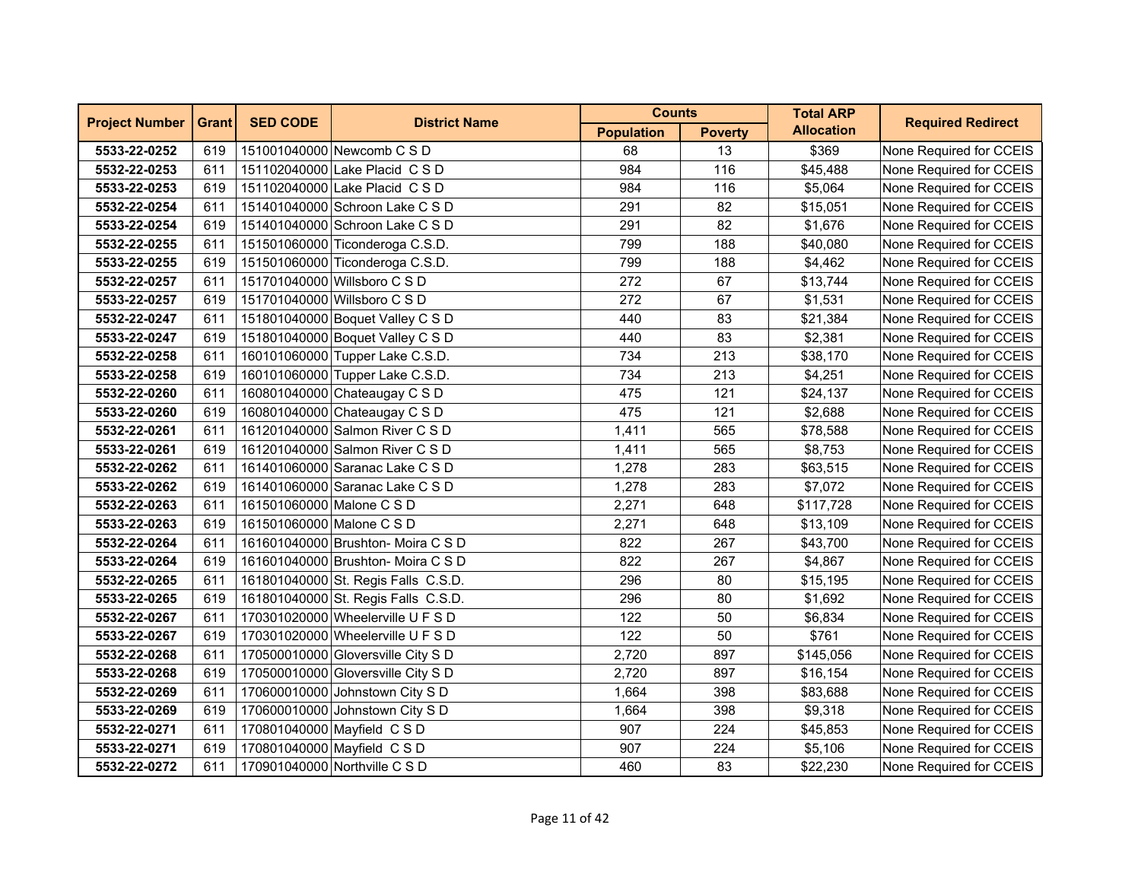| <b>Project Number</b> | <b>Grant</b> | <b>SED CODE</b>           | <b>District Name</b>                | <b>Counts</b>     |                | <b>Total ARP</b>  | <b>Required Redirect</b> |
|-----------------------|--------------|---------------------------|-------------------------------------|-------------------|----------------|-------------------|--------------------------|
|                       |              |                           |                                     | <b>Population</b> | <b>Poverty</b> | <b>Allocation</b> |                          |
| 5533-22-0252          | 619          |                           | 151001040000 Newcomb C S D          | 68                | 13             | \$369             | None Required for CCEIS  |
| 5532-22-0253          | 611          |                           | 151102040000 Lake Placid C S D      | 984               | 116            | \$45,488          | None Required for CCEIS  |
| 5533-22-0253          | 619          |                           | 151102040000 Lake Placid C S D      | 984               | 116            | \$5,064           | None Required for CCEIS  |
| 5532-22-0254          | 611          |                           | 151401040000 Schroon Lake C S D     | 291               | 82             | \$15,051          | None Required for CCEIS  |
| 5533-22-0254          | 619          |                           | 151401040000 Schroon Lake C S D     | 291               | 82             | \$1,676           | None Required for CCEIS  |
| 5532-22-0255          | 611          |                           | 151501060000 Ticonderoga C.S.D.     | 799               | 188            | \$40,080          | None Required for CCEIS  |
| 5533-22-0255          | 619          |                           | 151501060000 Ticonderoga C.S.D.     | 799               | 188            | \$4,462           | None Required for CCEIS  |
| 5532-22-0257          | 611          |                           | 151701040000 Willsboro C S D        | 272               | 67             | \$13,744          | None Required for CCEIS  |
| 5533-22-0257          | 619          |                           | 151701040000 Willsboro C S D        | 272               | 67             | \$1,531           | None Required for CCEIS  |
| 5532-22-0247          | 611          |                           | 151801040000 Boquet Valley C S D    | 440               | 83             | \$21,384          | None Required for CCEIS  |
| 5533-22-0247          | 619          |                           | 151801040000 Boquet Valley C S D    | 440               | 83             | \$2,381           | None Required for CCEIS  |
| 5532-22-0258          | 611          |                           | 160101060000 Tupper Lake C.S.D.     | 734               | 213            | \$38,170          | None Required for CCEIS  |
| 5533-22-0258          | 619          |                           | 160101060000 Tupper Lake C.S.D.     | 734               | 213            | \$4,251           | None Required for CCEIS  |
| 5532-22-0260          | 611          |                           | 160801040000 Chateaugay C S D       | 475               | 121            | \$24,137          | None Required for CCEIS  |
| 5533-22-0260          | 619          |                           | 160801040000 Chateaugay C S D       | 475               | 121            | \$2,688           | None Required for CCEIS  |
| 5532-22-0261          | 611          |                           | 161201040000 Salmon River C S D     | 1,411             | 565            | \$78,588          | None Required for CCEIS  |
| 5533-22-0261          | 619          |                           | 161201040000 Salmon River C S D     | 1,411             | 565            | \$8,753           | None Required for CCEIS  |
| 5532-22-0262          | 611          |                           | 161401060000 Saranac Lake C S D     | 1,278             | 283            | \$63,515          | None Required for CCEIS  |
| 5533-22-0262          | 619          |                           | 161401060000 Saranac Lake C S D     | 1,278             | 283            | \$7,072           | None Required for CCEIS  |
| 5532-22-0263          | 611          | 161501060000 Malone C S D |                                     | 2,271             | 648            | \$117,728         | None Required for CCEIS  |
| 5533-22-0263          | 619          | 161501060000 Malone C S D |                                     | 2,271             | 648            | \$13,109          | None Required for CCEIS  |
| 5532-22-0264          | 611          |                           | 161601040000 Brushton- Moira C S D  | 822               | 267            | \$43,700          | None Required for CCEIS  |
| 5533-22-0264          | 619          |                           | 161601040000 Brushton- Moira C S D  | 822               | 267            | \$4,867           | None Required for CCEIS  |
| 5532-22-0265          | 611          |                           | 161801040000 St. Regis Falls C.S.D. | 296               | 80             | \$15,195          | None Required for CCEIS  |
| 5533-22-0265          | 619          |                           | 161801040000 St. Regis Falls C.S.D. | 296               | 80             | \$1,692           | None Required for CCEIS  |
| 5532-22-0267          | 611          |                           | 170301020000 Wheelerville U F S D   | 122               | 50             | \$6,834           | None Required for CCEIS  |
| 5533-22-0267          | 619          |                           | 170301020000 Wheelerville U F S D   | 122               | 50             | \$761             | None Required for CCEIS  |
| 5532-22-0268          | 611          |                           | 170500010000 Gloversville City S D  | 2,720             | 897            | \$145,056         | None Required for CCEIS  |
| 5533-22-0268          | 619          |                           | 170500010000 Gloversville City S D  | 2,720             | 897            | \$16,154          | None Required for CCEIS  |
| 5532-22-0269          | 611          |                           | 170600010000 Johnstown City S D     | 1,664             | 398            | \$83,688          | None Required for CCEIS  |
| 5533-22-0269          | 619          |                           | 170600010000 Johnstown City S D     | 1,664             | 398            | \$9,318           | None Required for CCEIS  |
| 5532-22-0271          | 611          |                           | 170801040000 Mayfield CSD           | 907               | 224            | \$45,853          | None Required for CCEIS  |
| 5533-22-0271          | 619          |                           | 170801040000 Mayfield CSD           | 907               | 224            | \$5,106           | None Required for CCEIS  |
| 5532-22-0272          | 611          |                           | 170901040000 Northville C S D       | 460               | 83             | \$22,230          | None Required for CCEIS  |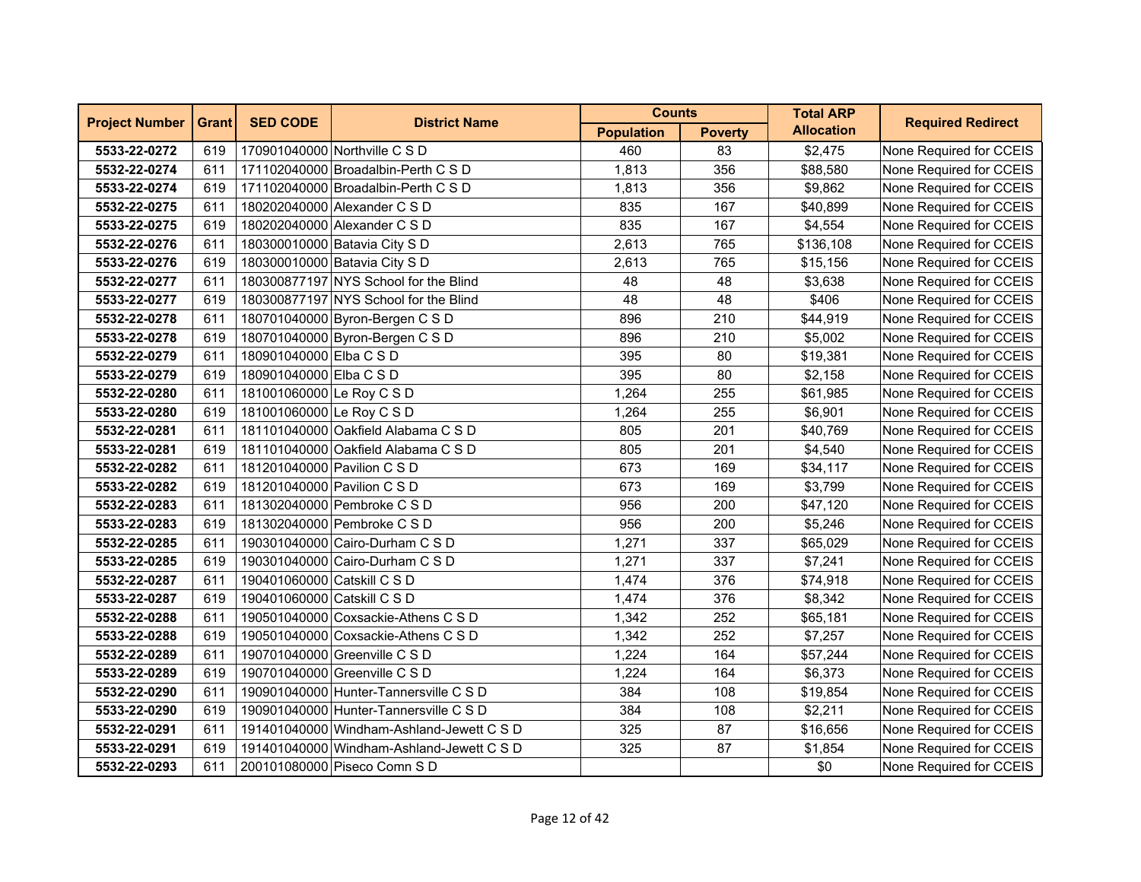| <b>Project Number</b> | <b>Grant</b> | <b>SED CODE</b>             | <b>District Name</b>                      | <b>Counts</b>     |                | <b>Total ARP</b>  | <b>Required Redirect</b> |
|-----------------------|--------------|-----------------------------|-------------------------------------------|-------------------|----------------|-------------------|--------------------------|
|                       |              |                             |                                           | <b>Population</b> | <b>Poverty</b> | <b>Allocation</b> |                          |
| 5533-22-0272          | 619          |                             | 170901040000 Northville C S D             | 460               | 83             | \$2,475           | None Required for CCEIS  |
| 5532-22-0274          | 611          |                             | 171102040000 Broadalbin-Perth C S D       | 1,813             | 356            | \$88,580          | None Required for CCEIS  |
| 5533-22-0274          | 619          |                             | 171102040000 Broadalbin-Perth C S D       | 1,813             | 356            | \$9,862           | None Required for CCEIS  |
| 5532-22-0275          | 611          |                             | 180202040000 Alexander C S D              | 835               | 167            | \$40,899          | None Required for CCEIS  |
| 5533-22-0275          | 619          |                             | 180202040000 Alexander C S D              | 835               | 167            | \$4,554           | None Required for CCEIS  |
| 5532-22-0276          | 611          |                             | 180300010000 Batavia City S D             | 2,613             | 765            | \$136,108         | None Required for CCEIS  |
| 5533-22-0276          | 619          |                             | 180300010000 Batavia City S D             | 2,613             | 765            | \$15,156          | None Required for CCEIS  |
| 5532-22-0277          | 611          |                             | 180300877197 NYS School for the Blind     | 48                | 48             | \$3,638           | None Required for CCEIS  |
| 5533-22-0277          | 619          |                             | 180300877197 NYS School for the Blind     | 48                | 48             | \$406             | None Required for CCEIS  |
| 5532-22-0278          | 611          |                             | 180701040000 Byron-Bergen C S D           | 896               | 210            | \$44,919          | None Required for CCEIS  |
| 5533-22-0278          | 619          |                             | 180701040000 Byron-Bergen C S D           | 896               | 210            | \$5,002           | None Required for CCEIS  |
| 5532-22-0279          | 611          | 180901040000 Elba C S D     |                                           | 395               | 80             | \$19,381          | None Required for CCEIS  |
| 5533-22-0279          | 619          | 180901040000 Elba C S D     |                                           | 395               | 80             | \$2,158           | None Required for CCEIS  |
| 5532-22-0280          | 611          | 181001060000 Le Roy C S D   |                                           | 1,264             | 255            | \$61,985          | None Required for CCEIS  |
| 5533-22-0280          | 619          | 181001060000 Le Roy C S D   |                                           | 1,264             | 255            | \$6,901           | None Required for CCEIS  |
| 5532-22-0281          | 611          |                             | 181101040000 Oakfield Alabama C S D       | 805               | 201            | \$40,769          | None Required for CCEIS  |
| 5533-22-0281          | 619          |                             | 181101040000 Oakfield Alabama C S D       | 805               | 201            | \$4,540           | None Required for CCEIS  |
| 5532-22-0282          | 611          | 181201040000 Pavilion C S D |                                           | 673               | 169            | \$34,117          | None Required for CCEIS  |
| 5533-22-0282          | 619          | 181201040000 Pavilion C S D |                                           | 673               | 169            | \$3,799           | None Required for CCEIS  |
| 5532-22-0283          | 611          |                             | 181302040000 Pembroke C S D               | 956               | 200            | \$47,120          | None Required for CCEIS  |
| 5533-22-0283          | 619          |                             | 181302040000 Pembroke C S D               | 956               | 200            | \$5,246           | None Required for CCEIS  |
| 5532-22-0285          | 611          |                             | 190301040000 Cairo-Durham C S D           | 1,271             | 337            | \$65,029          | None Required for CCEIS  |
| 5533-22-0285          | 619          |                             | 190301040000 Cairo-Durham C S D           | 1,271             | 337            | \$7,241           | None Required for CCEIS  |
| 5532-22-0287          | 611          | 190401060000 Catskill C S D |                                           | 1,474             | 376            | \$74,918          | None Required for CCEIS  |
| 5533-22-0287          | 619          | 190401060000 Catskill C S D |                                           | 1,474             | 376            | \$8,342           | None Required for CCEIS  |
| 5532-22-0288          | 611          |                             | 190501040000 Coxsackie-Athens C S D       | 1,342             | 252            | \$65,181          | None Required for CCEIS  |
| 5533-22-0288          | 619          |                             | 190501040000 Coxsackie-Athens C S D       | 1,342             | 252            | \$7,257           | None Required for CCEIS  |
| 5532-22-0289          | 611          |                             | 190701040000 Greenville C S D             | 1,224             | 164            | \$57,244          | None Required for CCEIS  |
| 5533-22-0289          | 619          |                             | 190701040000 Greenville C S D             | 1,224             | 164            | \$6,373           | None Required for CCEIS  |
| 5532-22-0290          | 611          |                             | 190901040000 Hunter-Tannersville C S D    | 384               | 108            | \$19,854          | None Required for CCEIS  |
| 5533-22-0290          | 619          |                             | 190901040000 Hunter-Tannersville C S D    | 384               | 108            | \$2,211           | None Required for CCEIS  |
| 5532-22-0291          | 611          |                             | 191401040000 Windham-Ashland-Jewett C S D | 325               | 87             | \$16,656          | None Required for CCEIS  |
| 5533-22-0291          | 619          |                             | 191401040000 Windham-Ashland-Jewett C S D | 325               | 87             | \$1,854           | None Required for CCEIS  |
| 5532-22-0293          | 611          |                             | 200101080000 Piseco Comn S D              |                   |                | \$0               | None Required for CCEIS  |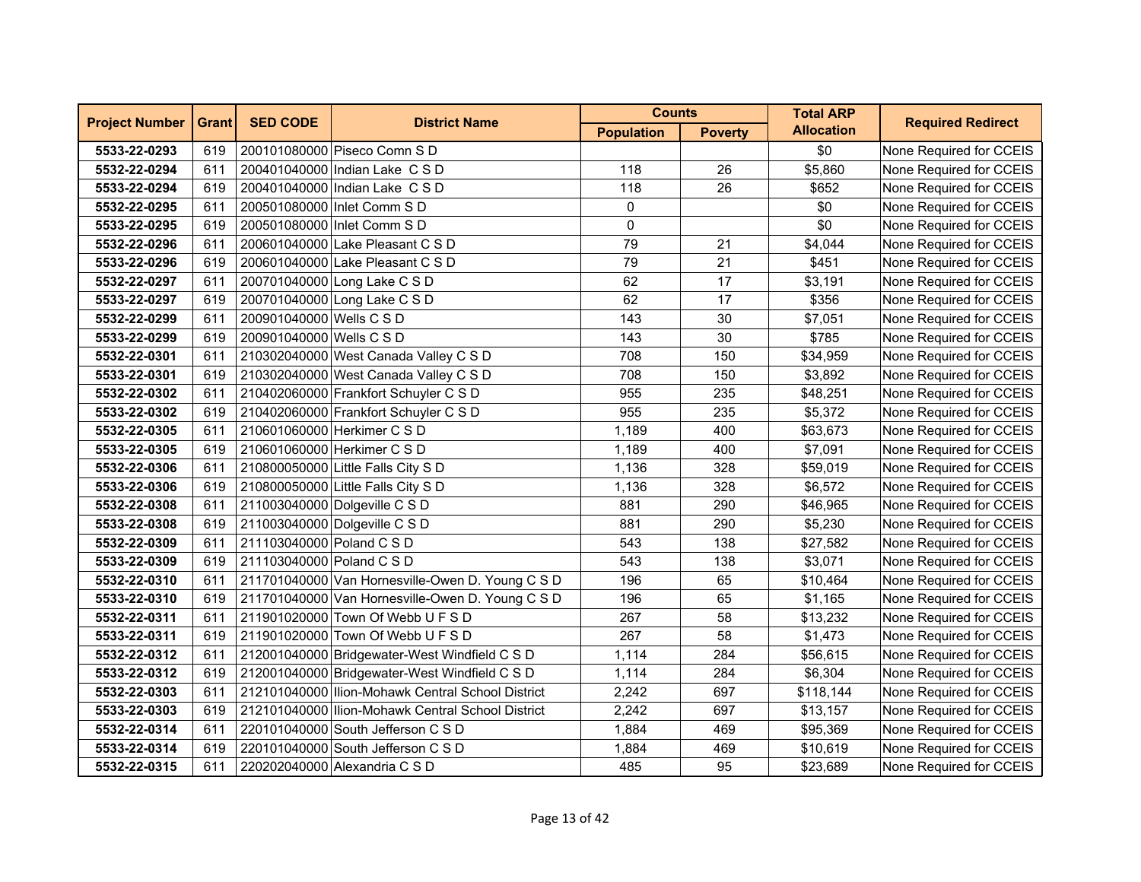| <b>Project Number</b> | <b>Grant</b> | <b>SED CODE</b>           | <b>District Name</b>                              | <b>Counts</b>     |                | <b>Total ARP</b>  | <b>Required Redirect</b> |
|-----------------------|--------------|---------------------------|---------------------------------------------------|-------------------|----------------|-------------------|--------------------------|
|                       |              |                           |                                                   | <b>Population</b> | <b>Poverty</b> | <b>Allocation</b> |                          |
| 5533-22-0293          | 619          |                           | 200101080000 Piseco Comn S D                      |                   |                | \$0               | None Required for CCEIS  |
| 5532-22-0294          | 611          |                           | 200401040000 Indian Lake C S D                    | 118               | 26             | \$5,860           | None Required for CCEIS  |
| 5533-22-0294          | 619          |                           | 200401040000 Indian Lake C S D                    | 118               | 26             | \$652             | None Required for CCEIS  |
| 5532-22-0295          | 611          |                           | 200501080000 Inlet Comm S D                       | 0                 |                | \$0               | None Required for CCEIS  |
| 5533-22-0295          | 619          |                           | 200501080000 Inlet Comm S D                       | 0                 |                | \$0               | None Required for CCEIS  |
| 5532-22-0296          | 611          |                           | 200601040000 Lake Pleasant C S D                  | 79                | 21             | \$4,044           | None Required for CCEIS  |
| 5533-22-0296          | 619          |                           | 200601040000 Lake Pleasant C S D                  | 79                | 21             | \$451             | None Required for CCEIS  |
| 5532-22-0297          | 611          |                           | 200701040000 Long Lake C S D                      | 62                | 17             | \$3,191           | None Required for CCEIS  |
| 5533-22-0297          | 619          |                           | 200701040000 Long Lake C S D                      | 62                | 17             | \$356             | None Required for CCEIS  |
| 5532-22-0299          | 611          | 200901040000 Wells C S D  |                                                   | 143               | 30             | \$7,051           | None Required for CCEIS  |
| 5533-22-0299          | 619          | 200901040000 Wells C S D  |                                                   | 143               | 30             | \$785             | None Required for CCEIS  |
| 5532-22-0301          | 611          |                           | 210302040000 West Canada Valley C S D             | 708               | 150            | \$34,959          | None Required for CCEIS  |
| 5533-22-0301          | 619          |                           | 210302040000 West Canada Valley C S D             | 708               | 150            | \$3,892           | None Required for CCEIS  |
| 5532-22-0302          | 611          |                           | 210402060000 Frankfort Schuyler C S D             | 955               | 235            | \$48,251          | None Required for CCEIS  |
| 5533-22-0302          | 619          |                           | 210402060000 Frankfort Schuyler C S D             | 955               | 235            | \$5,372           | None Required for CCEIS  |
| 5532-22-0305          | 611          |                           | 210601060000 Herkimer C S D                       | 1,189             | 400            | \$63,673          | None Required for CCEIS  |
| 5533-22-0305          | 619          |                           | 210601060000 Herkimer C S D                       | 1,189             | 400            | \$7,091           | None Required for CCEIS  |
| 5532-22-0306          | 611          |                           | 210800050000 Little Falls City S D                | 1,136             | 328            | \$59,019          | None Required for CCEIS  |
| 5533-22-0306          | 619          |                           | 210800050000 Little Falls City S D                | 1,136             | 328            | \$6,572           | None Required for CCEIS  |
| 5532-22-0308          | 611          |                           | 211003040000 Dolgeville C S D                     | 881               | 290            | \$46,965          | None Required for CCEIS  |
| 5533-22-0308          | 619          |                           | 211003040000 Dolgeville C S D                     | 881               | 290            | \$5,230           | None Required for CCEIS  |
| 5532-22-0309          | 611          | 211103040000 Poland C S D |                                                   | 543               | 138            | \$27,582          | None Required for CCEIS  |
| 5533-22-0309          | 619          | 211103040000 Poland C S D |                                                   | 543               | 138            | \$3,071           | None Required for CCEIS  |
| 5532-22-0310          | 611          |                           | 211701040000 Van Hornesville-Owen D. Young C S D  | 196               | 65             | \$10,464          | None Required for CCEIS  |
| 5533-22-0310          | 619          |                           | 211701040000 Van Hornesville-Owen D. Young C S D  | 196               | 65             | \$1,165           | None Required for CCEIS  |
| 5532-22-0311          | 611          |                           | 211901020000 Town Of Webb U F S D                 | 267               | 58             | \$13,232          | None Required for CCEIS  |
| 5533-22-0311          | 619          |                           | 211901020000 Town Of Webb U F S D                 | 267               | 58             | \$1,473           | None Required for CCEIS  |
| 5532-22-0312          | 611          |                           | 212001040000 Bridgewater-West Windfield C S D     | 1,114             | 284            | \$56,615          | None Required for CCEIS  |
| 5533-22-0312          | 619          |                           | 212001040000 Bridgewater-West Windfield C S D     | 1,114             | 284            | \$6,304           | None Required for CCEIS  |
| 5532-22-0303          | 611          |                           | 212101040000 Ilion-Mohawk Central School District | 2,242             | 697            | \$118,144         | None Required for CCEIS  |
| 5533-22-0303          | 619          |                           | 212101040000 Ilion-Mohawk Central School District | 2,242             | 697            | \$13,157          | None Required for CCEIS  |
| 5532-22-0314          | 611          |                           | 220101040000 South Jefferson C S D                | 1,884             | 469            | \$95,369          | None Required for CCEIS  |
| 5533-22-0314          | 619          |                           | 220101040000 South Jefferson C S D                | 1,884             | 469            | \$10,619          | None Required for CCEIS  |
| 5532-22-0315          | 611          |                           | 220202040000 Alexandria C S D                     | 485               | 95             | \$23,689          | None Required for CCEIS  |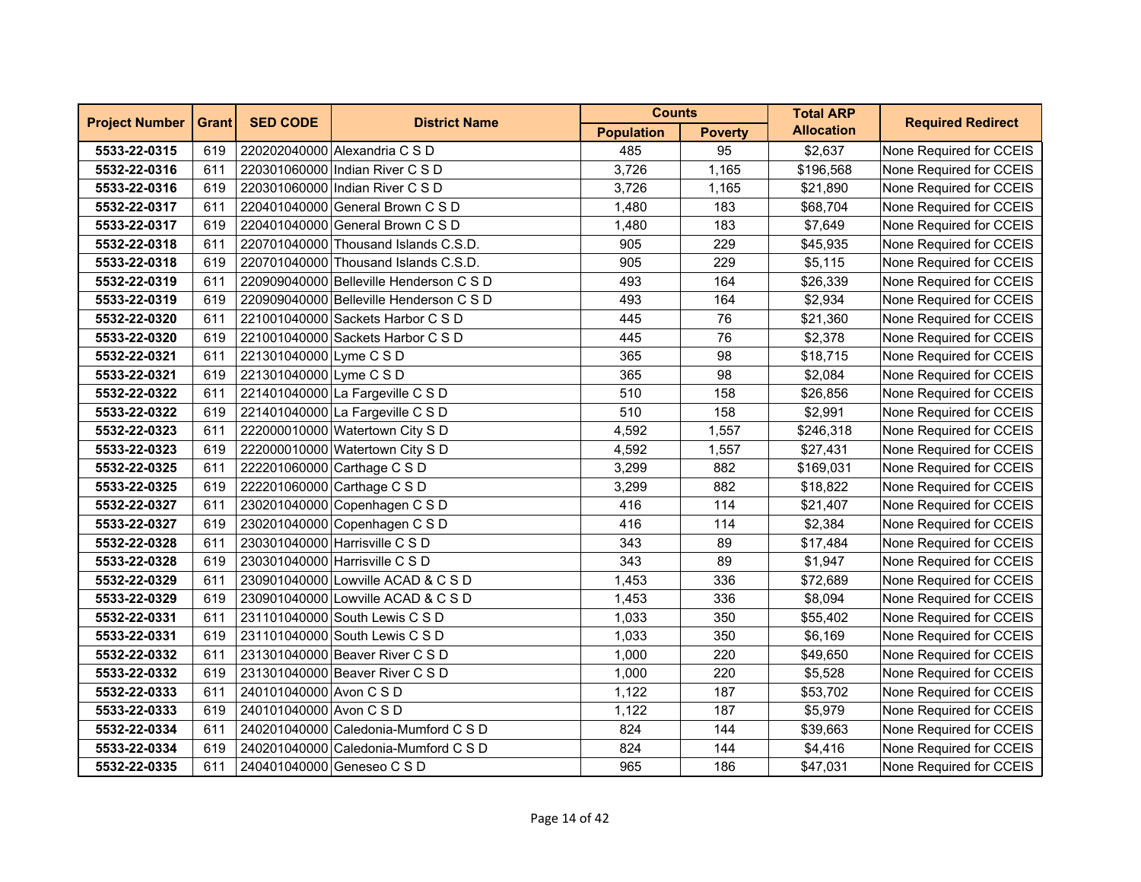| <b>Project Number</b> | <b>Grant</b> | <b>SED CODE</b>         | <b>District Name</b>                    | <b>Counts</b>     |                | <b>Total ARP</b>  | <b>Required Redirect</b> |
|-----------------------|--------------|-------------------------|-----------------------------------------|-------------------|----------------|-------------------|--------------------------|
|                       |              |                         |                                         | <b>Population</b> | <b>Poverty</b> | <b>Allocation</b> |                          |
| 5533-22-0315          | 619          |                         | 220202040000 Alexandria C S D           | 485               | 95             | \$2,637           | None Required for CCEIS  |
| 5532-22-0316          | 611          |                         | 220301060000 Indian River C S D         | 3,726             | 1,165          | \$196,568         | None Required for CCEIS  |
| 5533-22-0316          | 619          |                         | 220301060000 Indian River C S D         | 3,726             | 1,165          | \$21,890          | None Required for CCEIS  |
| 5532-22-0317          | 611          |                         | 220401040000 General Brown C S D        | 1,480             | 183            | \$68,704          | None Required for CCEIS  |
| 5533-22-0317          | 619          |                         | 220401040000 General Brown C S D        | 1,480             | 183            | \$7,649           | None Required for CCEIS  |
| 5532-22-0318          | 611          |                         | 220701040000 Thousand Islands C.S.D.    | 905               | 229            | \$45,935          | None Required for CCEIS  |
| 5533-22-0318          | 619          |                         | 220701040000 Thousand Islands C.S.D.    | 905               | 229            | \$5,115           | None Required for CCEIS  |
| 5532-22-0319          | 611          |                         | 220909040000 Belleville Henderson C S D | 493               | 164            | \$26,339          | None Required for CCEIS  |
| 5533-22-0319          | 619          |                         | 220909040000 Belleville Henderson C S D | 493               | 164            | \$2,934           | None Required for CCEIS  |
| 5532-22-0320          | 611          |                         | 221001040000 Sackets Harbor C S D       | 445               | 76             | \$21,360          | None Required for CCEIS  |
| 5533-22-0320          | 619          |                         | 221001040000 Sackets Harbor C S D       | 445               | 76             | \$2,378           | None Required for CCEIS  |
| 5532-22-0321          | 611          | 221301040000 Lyme C S D |                                         | 365               | 98             | \$18,715          | None Required for CCEIS  |
| 5533-22-0321          | 619          | 221301040000 Lyme C S D |                                         | 365               | 98             | \$2,084           | None Required for CCEIS  |
| 5532-22-0322          | 611          |                         | 221401040000 La Fargeville C S D        | 510               | 158            | \$26,856          | None Required for CCEIS  |
| 5533-22-0322          | 619          |                         | 221401040000 La Fargeville C S D        | 510               | 158            | \$2,991           | None Required for CCEIS  |
| 5532-22-0323          | 611          |                         | 222000010000 Watertown City S D         | 4,592             | 1,557          | \$246,318         | None Required for CCEIS  |
| 5533-22-0323          | 619          |                         | 222000010000 Watertown City S D         | 4,592             | 1,557          | \$27,431          | None Required for CCEIS  |
| 5532-22-0325          | 611          |                         | 222201060000 Carthage C S D             | 3,299             | 882            | \$169,031         | None Required for CCEIS  |
| 5533-22-0325          | 619          |                         | 222201060000 Carthage C S D             | 3,299             | 882            | \$18,822          | None Required for CCEIS  |
| 5532-22-0327          | 611          |                         | 230201040000 Copenhagen C S D           | 416               | 114            | \$21,407          | None Required for CCEIS  |
| 5533-22-0327          | 619          |                         | 230201040000 Copenhagen C S D           | 416               | 114            | \$2,384           | None Required for CCEIS  |
| 5532-22-0328          | 611          |                         | 230301040000 Harrisville C S D          | 343               | 89             | \$17,484          | None Required for CCEIS  |
| 5533-22-0328          | 619          |                         | 230301040000 Harrisville C S D          | 343               | 89             | \$1,947           | None Required for CCEIS  |
| 5532-22-0329          | 611          |                         | 230901040000 Lowville ACAD & C S D      | 1,453             | 336            | \$72,689          | None Required for CCEIS  |
| 5533-22-0329          | 619          |                         | 230901040000 Lowville ACAD & C S D      | 1,453             | 336            | \$8,094           | None Required for CCEIS  |
| 5532-22-0331          | 611          |                         | 231101040000 South Lewis C S D          | 1,033             | 350            | \$55,402          | None Required for CCEIS  |
| 5533-22-0331          | 619          |                         | 231101040000 South Lewis C S D          | 1,033             | 350            | \$6,169           | None Required for CCEIS  |
| 5532-22-0332          | 611          |                         | 231301040000 Beaver River C S D         | 1,000             | 220            | \$49,650          | None Required for CCEIS  |
| 5533-22-0332          | 619          |                         | 231301040000 Beaver River C S D         | 1,000             | 220            | \$5,528           | None Required for CCEIS  |
| 5532-22-0333          | 611          | 240101040000 Avon C S D |                                         | 1,122             | 187            | \$53,702          | None Required for CCEIS  |
| 5533-22-0333          | 619          | 240101040000 Avon C S D |                                         | 1,122             | 187            | \$5,979           | None Required for CCEIS  |
| 5532-22-0334          | 611          |                         | 240201040000 Caledonia-Mumford C S D    | 824               | 144            | \$39,663          | None Required for CCEIS  |
| 5533-22-0334          | 619          |                         | 240201040000 Caledonia-Mumford C S D    | 824               | 144            | \$4,416           | None Required for CCEIS  |
| 5532-22-0335          | 611          |                         | 240401040000 Geneseo C S D              | 965               | 186            | \$47,031          | None Required for CCEIS  |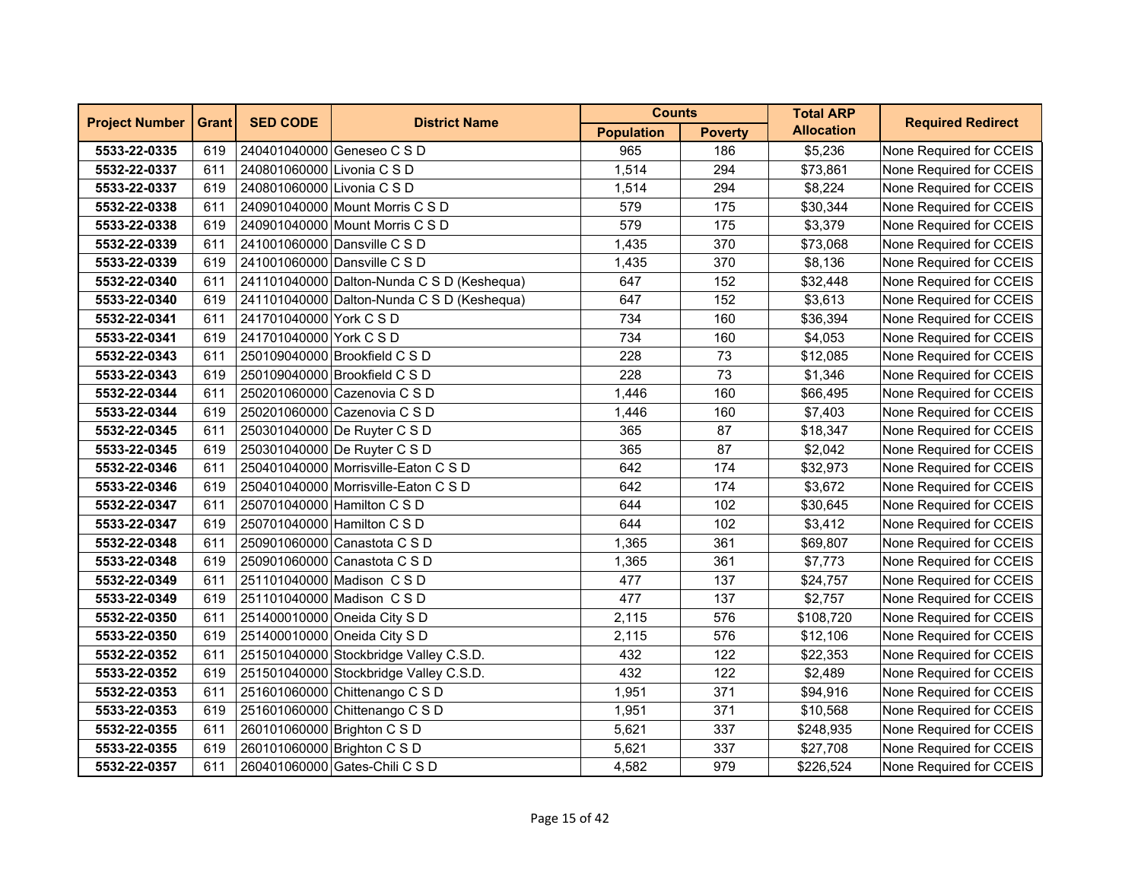| <b>Project Number</b> | <b>Grant</b> | <b>SED CODE</b>             | <b>District Name</b>                       | <b>Counts</b>     |                | <b>Total ARP</b>  | <b>Required Redirect</b> |
|-----------------------|--------------|-----------------------------|--------------------------------------------|-------------------|----------------|-------------------|--------------------------|
|                       |              |                             |                                            | <b>Population</b> | <b>Poverty</b> | <b>Allocation</b> |                          |
| 5533-22-0335          | 619          |                             | 240401040000 Geneseo C S D                 | 965               | 186            | \$5,236           | None Required for CCEIS  |
| 5532-22-0337          | 611          | 240801060000 Livonia C S D  |                                            | 1,514             | 294            | \$73,861          | None Required for CCEIS  |
| 5533-22-0337          | 619          | 240801060000 Livonia C S D  |                                            | 1,514             | 294            | \$8,224           | None Required for CCEIS  |
| 5532-22-0338          | 611          |                             | 240901040000 Mount Morris C S D            | 579               | 175            | \$30,344          | None Required for CCEIS  |
| 5533-22-0338          | 619          |                             | 240901040000 Mount Morris C S D            | 579               | 175            | \$3,379           | None Required for CCEIS  |
| 5532-22-0339          | 611          |                             | 241001060000 Dansville C S D               | 1,435             | 370            | \$73,068          | None Required for CCEIS  |
| 5533-22-0339          | 619          |                             | 241001060000 Dansville C S D               | 1,435             | 370            | \$8,136           | None Required for CCEIS  |
| 5532-22-0340          | 611          |                             | 241101040000 Dalton-Nunda C S D (Keshequa) | 647               | 152            | \$32,448          | None Required for CCEIS  |
| 5533-22-0340          | 619          |                             | 241101040000 Dalton-Nunda C S D (Keshequa) | 647               | 152            | \$3,613           | None Required for CCEIS  |
| 5532-22-0341          | 611          | 241701040000 York C S D     |                                            | 734               | 160            | \$36,394          | None Required for CCEIS  |
| 5533-22-0341          | 619          | 241701040000 York C S D     |                                            | 734               | 160            | \$4,053           | None Required for CCEIS  |
| 5532-22-0343          | 611          |                             | 250109040000 Brookfield C S D              | 228               | 73             | \$12,085          | None Required for CCEIS  |
| 5533-22-0343          | 619          |                             | 250109040000 Brookfield C S D              | 228               | 73             | \$1,346           | None Required for CCEIS  |
| 5532-22-0344          | 611          |                             | 250201060000 Cazenovia C S D               | 1,446             | 160            | \$66,495          | None Required for CCEIS  |
| 5533-22-0344          | 619          |                             | 250201060000 Cazenovia C S D               | 1,446             | 160            | \$7,403           | None Required for CCEIS  |
| 5532-22-0345          | 611          |                             | 250301040000 De Ruyter C S D               | 365               | 87             | \$18,347          | None Required for CCEIS  |
| 5533-22-0345          | 619          |                             | 250301040000 De Ruyter C S D               | 365               | 87             | \$2,042           | None Required for CCEIS  |
| 5532-22-0346          | 611          |                             | 250401040000 Morrisville-Eaton C S D       | 642               | 174            | \$32,973          | None Required for CCEIS  |
| 5533-22-0346          | 619          |                             | 250401040000 Morrisville-Eaton C S D       | 642               | 174            | \$3,672           | None Required for CCEIS  |
| 5532-22-0347          | 611          |                             | 250701040000 Hamilton C S D                | 644               | 102            | \$30,645          | None Required for CCEIS  |
| 5533-22-0347          | 619          |                             | 250701040000 Hamilton C S D                | 644               | 102            | \$3,412           | None Required for CCEIS  |
| 5532-22-0348          | 611          |                             | 250901060000 Canastota C S D               | 1,365             | 361            | \$69,807          | None Required for CCEIS  |
| 5533-22-0348          | 619          |                             | 250901060000 Canastota C S D               | 1,365             | 361            | \$7,773           | None Required for CCEIS  |
| 5532-22-0349          | 611          |                             | 251101040000 Madison C S D                 | 477               | 137            | \$24,757          | None Required for CCEIS  |
| 5533-22-0349          | 619          |                             | 251101040000 Madison CSD                   | 477               | 137            | \$2,757           | None Required for CCEIS  |
| 5532-22-0350          | 611          |                             | 251400010000 Oneida City S D               | 2,115             | 576            | \$108,720         | None Required for CCEIS  |
| 5533-22-0350          | 619          |                             | 251400010000 Oneida City S D               | 2,115             | 576            | \$12,106          | None Required for CCEIS  |
| 5532-22-0352          | 611          |                             | 251501040000 Stockbridge Valley C.S.D.     | 432               | 122            | \$22,353          | None Required for CCEIS  |
| 5533-22-0352          | 619          |                             | 251501040000 Stockbridge Valley C.S.D.     | 432               | 122            | \$2,489           | None Required for CCEIS  |
| 5532-22-0353          | 611          |                             | 251601060000 Chittenango C S D             | 1,951             | 371            | \$94,916          | None Required for CCEIS  |
| 5533-22-0353          | 619          |                             | 251601060000 Chittenango C S D             | 1,951             | 371            | \$10,568          | None Required for CCEIS  |
| 5532-22-0355          | 611          | 260101060000 Brighton C S D |                                            | 5,621             | 337            | \$248,935         | None Required for CCEIS  |
| 5533-22-0355          | 619          | 260101060000 Brighton C S D |                                            | 5,621             | 337            | \$27,708          | None Required for CCEIS  |
| 5532-22-0357          | 611          |                             | 260401060000 Gates-Chili C S D             | 4,582             | 979            | \$226,524         | None Required for CCEIS  |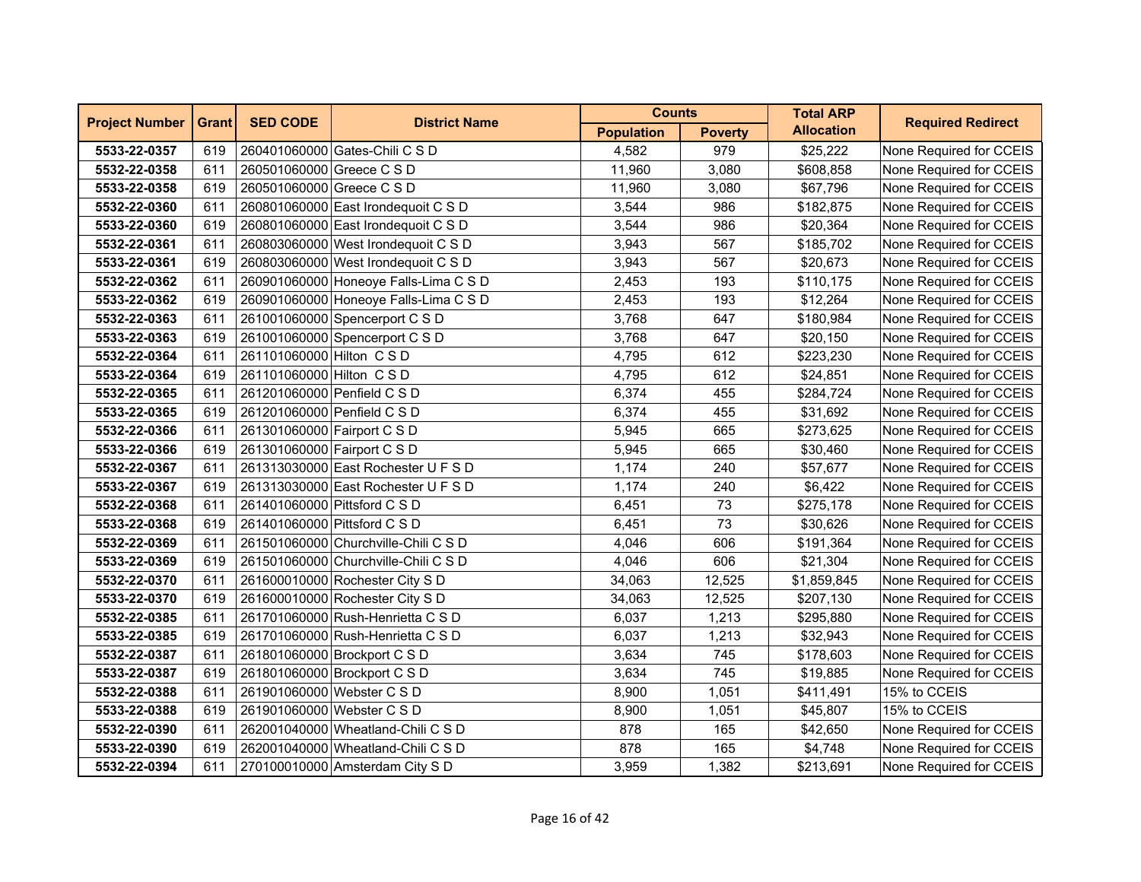| <b>Project Number</b> | <b>Grant</b> | <b>SED CODE</b>              | <b>District Name</b>                  | <b>Counts</b>     |                | <b>Total ARP</b>  | <b>Required Redirect</b> |
|-----------------------|--------------|------------------------------|---------------------------------------|-------------------|----------------|-------------------|--------------------------|
|                       |              |                              |                                       | <b>Population</b> | <b>Poverty</b> | <b>Allocation</b> |                          |
| 5533-22-0357          | 619          |                              | 260401060000 Gates-Chili C S D        | 4,582             | 979            | \$25,222          | None Required for CCEIS  |
| 5532-22-0358          | 611          | 260501060000 Greece C S D    |                                       | 11,960            | 3,080          | \$608,858         | None Required for CCEIS  |
| 5533-22-0358          | 619          | 260501060000 Greece C S D    |                                       | 11,960            | 3,080          | \$67,796          | None Required for CCEIS  |
| 5532-22-0360          | 611          |                              | 260801060000 East Irondequoit C S D   | 3,544             | 986            | \$182,875         | None Required for CCEIS  |
| 5533-22-0360          | 619          |                              | 260801060000 East Irondequoit C S D   | 3,544             | 986            | \$20,364          | None Required for CCEIS  |
| 5532-22-0361          | 611          |                              | 260803060000 West Irondequoit C S D   | 3,943             | 567            | \$185,702         | None Required for CCEIS  |
| 5533-22-0361          | 619          |                              | 260803060000 West Irondequoit C S D   | 3,943             | 567            | \$20,673          | None Required for CCEIS  |
| 5532-22-0362          | 611          |                              | 260901060000 Honeoye Falls-Lima C S D | 2,453             | 193            | \$110,175         | None Required for CCEIS  |
| 5533-22-0362          | 619          |                              | 260901060000 Honeoye Falls-Lima C S D | 2,453             | 193            | \$12,264          | None Required for CCEIS  |
| 5532-22-0363          | 611          |                              | 261001060000 Spencerport C S D        | 3,768             | 647            | \$180,984         | None Required for CCEIS  |
| 5533-22-0363          | 619          |                              | 261001060000 Spencerport C S D        | 3,768             | 647            | \$20,150          | None Required for CCEIS  |
| 5532-22-0364          | 611          | 261101060000 Hilton C S D    |                                       | 4,795             | 612            | \$223,230         | None Required for CCEIS  |
| 5533-22-0364          | 619          | 261101060000 Hilton C S D    |                                       | 4,795             | 612            | \$24,851          | None Required for CCEIS  |
| 5532-22-0365          | 611          | 261201060000 Penfield C S D  |                                       | 6,374             | 455            | \$284,724         | None Required for CCEIS  |
| 5533-22-0365          | 619          | 261201060000 Penfield C S D  |                                       | 6,374             | 455            | \$31,692          | None Required for CCEIS  |
| 5532-22-0366          | 611          | 261301060000 Fairport C S D  |                                       | 5,945             | 665            | \$273,625         | None Required for CCEIS  |
| 5533-22-0366          | 619          | 261301060000 Fairport C S D  |                                       | 5,945             | 665            | \$30,460          | None Required for CCEIS  |
| 5532-22-0367          | 611          |                              | 261313030000 East Rochester U F S D   | 1,174             | 240            | \$57,677          | None Required for CCEIS  |
| 5533-22-0367          | 619          |                              | 261313030000 East Rochester U F S D   | 1,174             | 240            | \$6,422           | None Required for CCEIS  |
| 5532-22-0368          | 611          | 261401060000 Pittsford C S D |                                       | 6,451             | 73             | \$275,178         | None Required for CCEIS  |
| 5533-22-0368          | 619          | 261401060000 Pittsford C S D |                                       | 6,451             | 73             | \$30,626          | None Required for CCEIS  |
| 5532-22-0369          | 611          |                              | 261501060000 Churchville-Chili C S D  | 4,046             | 606            | \$191,364         | None Required for CCEIS  |
| 5533-22-0369          | 619          |                              | 261501060000 Churchville-Chili C S D  | 4,046             | 606            | \$21,304          | None Required for CCEIS  |
| 5532-22-0370          | 611          |                              | 261600010000 Rochester City S D       | 34,063            | 12,525         | \$1,859,845       | None Required for CCEIS  |
| 5533-22-0370          | 619          |                              | 261600010000 Rochester City S D       | 34,063            | 12,525         | \$207,130         | None Required for CCEIS  |
| 5532-22-0385          | 611          |                              | 261701060000 Rush-Henrietta C S D     | 6,037             | 1,213          | \$295,880         | None Required for CCEIS  |
| 5533-22-0385          | 619          |                              | 261701060000 Rush-Henrietta C S D     | 6,037             | 1,213          | \$32,943          | None Required for CCEIS  |
| 5532-22-0387          | 611          |                              | 261801060000 Brockport C S D          | 3,634             | 745            | \$178,603         | None Required for CCEIS  |
| 5533-22-0387          | 619          |                              | 261801060000 Brockport C S D          | 3,634             | 745            | \$19,885          | None Required for CCEIS  |
| 5532-22-0388          | 611          | 261901060000 Webster C S D   |                                       | 8,900             | 1,051          | \$411,491         | 15% to CCEIS             |
| 5533-22-0388          | 619          | 261901060000 Webster C S D   |                                       | 8,900             | 1,051          | \$45,807          | 15% to CCEIS             |
| 5532-22-0390          | 611          |                              | 262001040000 Wheatland-Chili C S D    | 878               | 165            | \$42,650          | None Required for CCEIS  |
| 5533-22-0390          | 619          |                              | 262001040000 Wheatland-Chili C S D    | 878               | 165            | \$4,748           | None Required for CCEIS  |
| 5532-22-0394          | 611          |                              | 270100010000 Amsterdam City S D       | 3,959             | 1,382          | \$213,691         | None Required for CCEIS  |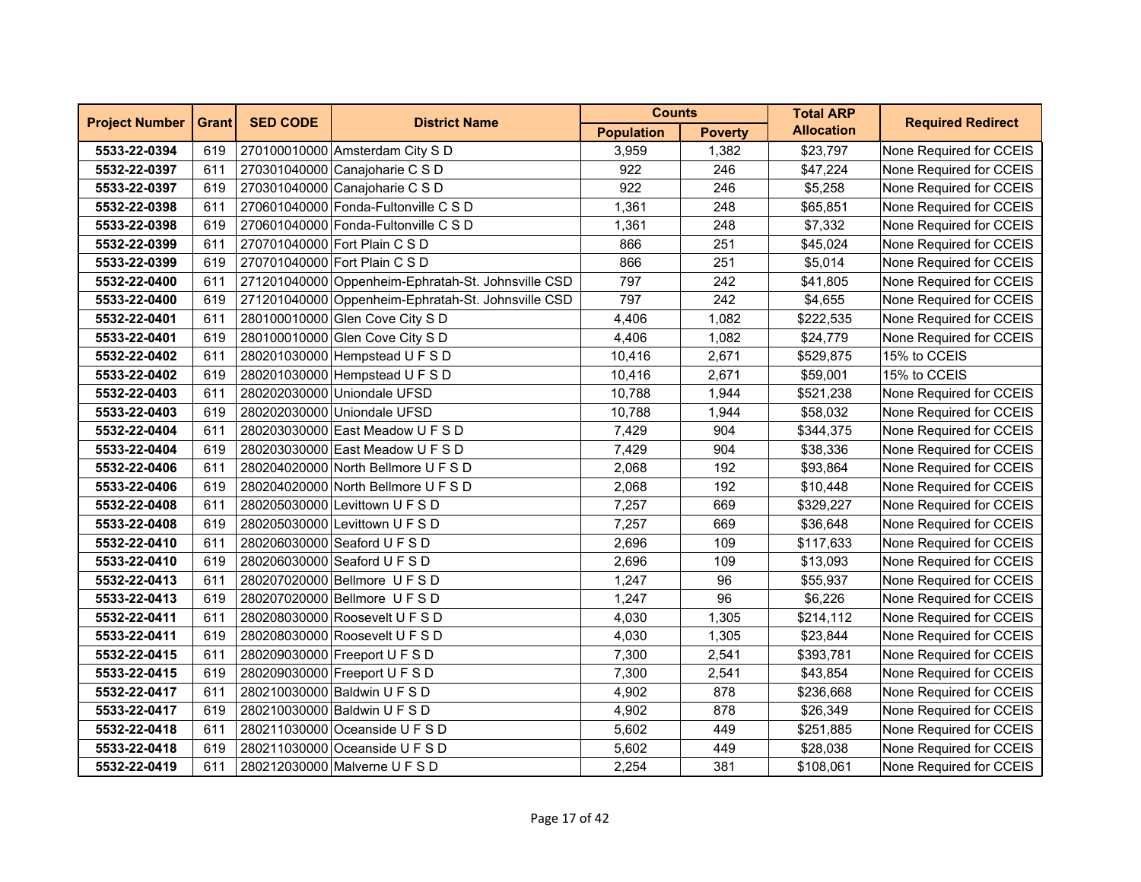| <b>Project Number</b> | <b>Grant</b> | <b>SED CODE</b> | <b>District Name</b>                               | <b>Counts</b>     |                | <b>Total ARP</b>  | <b>Required Redirect</b> |
|-----------------------|--------------|-----------------|----------------------------------------------------|-------------------|----------------|-------------------|--------------------------|
|                       |              |                 |                                                    | <b>Population</b> | <b>Poverty</b> | <b>Allocation</b> |                          |
| 5533-22-0394          | 619          |                 | 270100010000 Amsterdam City S D                    | 3,959             | 1,382          | \$23,797          | None Required for CCEIS  |
| 5532-22-0397          | 611          |                 | 270301040000 Canajoharie C S D                     | 922               | 246            | \$47,224          | None Required for CCEIS  |
| 5533-22-0397          | 619          |                 | 270301040000 Canajoharie C S D                     | 922               | 246            | \$5,258           | None Required for CCEIS  |
| 5532-22-0398          | 611          |                 | 270601040000 Fonda-Fultonville C S D               | 1,361             | 248            | \$65,851          | None Required for CCEIS  |
| 5533-22-0398          | 619          |                 | 270601040000 Fonda-Fultonville C S D               | 1,361             | 248            | \$7,332           | None Required for CCEIS  |
| 5532-22-0399          | 611          |                 | 270701040000 Fort Plain C S D                      | 866               | 251            | \$45,024          | None Required for CCEIS  |
| 5533-22-0399          | 619          |                 | 270701040000 Fort Plain C S D                      | 866               | 251            | \$5,014           | None Required for CCEIS  |
| 5532-22-0400          | 611          |                 | 271201040000 Oppenheim-Ephratah-St. Johnsville CSD | 797               | 242            | \$41,805          | None Required for CCEIS  |
| 5533-22-0400          | 619          |                 | 271201040000 Oppenheim-Ephratah-St. Johnsville CSD | 797               | 242            | \$4,655           | None Required for CCEIS  |
| 5532-22-0401          | 611          |                 | 280100010000 Glen Cove City S D                    | 4,406             | 1,082          | \$222,535         | None Required for CCEIS  |
| 5533-22-0401          | 619          |                 | 280100010000 Glen Cove City S D                    | 4,406             | 1,082          | \$24,779          | None Required for CCEIS  |
| 5532-22-0402          | 611          |                 | 280201030000 Hempstead U F S D                     | 10,416            | 2,671          | \$529,875         | 15% to CCEIS             |
| 5533-22-0402          | 619          |                 | 280201030000 Hempstead U F S D                     | 10,416            | 2,671          | \$59,001          | 15% to CCEIS             |
| 5532-22-0403          | 611          |                 | 280202030000 Uniondale UFSD                        | 10,788            | 1,944          | \$521,238         | None Required for CCEIS  |
| 5533-22-0403          | 619          |                 | 280202030000 Uniondale UFSD                        | 10,788            | 1,944          | \$58,032          | None Required for CCEIS  |
| 5532-22-0404          | 611          |                 | 280203030000 East Meadow U F S D                   | 7,429             | 904            | \$344,375         | None Required for CCEIS  |
| 5533-22-0404          | 619          |                 | 280203030000 East Meadow U F S D                   | 7,429             | 904            | \$38,336          | None Required for CCEIS  |
| 5532-22-0406          | 611          |                 | 280204020000 North Bellmore U F S D                | 2,068             | 192            | \$93,864          | None Required for CCEIS  |
| 5533-22-0406          | 619          |                 | 280204020000 North Bellmore U F S D                | 2,068             | 192            | \$10,448          | None Required for CCEIS  |
| 5532-22-0408          | 611          |                 | 280205030000 Levittown U F S D                     | 7,257             | 669            | \$329,227         | None Required for CCEIS  |
| 5533-22-0408          | 619          |                 | 280205030000 Levittown U F S D                     | 7,257             | 669            | \$36,648          | None Required for CCEIS  |
| 5532-22-0410          | 611          |                 | 280206030000 Seaford U F S D                       | 2,696             | 109            | \$117,633         | None Required for CCEIS  |
| 5533-22-0410          | 619          |                 | 280206030000 Seaford U F S D                       | 2,696             | 109            | \$13,093          | None Required for CCEIS  |
| 5532-22-0413          | 611          |                 | 280207020000 Bellmore U F S D                      | 1,247             | 96             | \$55,937          | None Required for CCEIS  |
| 5533-22-0413          | 619          |                 | 280207020000 Bellmore U F S D                      | 1,247             | 96             | \$6,226           | None Required for CCEIS  |
| 5532-22-0411          | 611          |                 | 280208030000 Roosevelt U F S D                     | 4,030             | 1,305          | \$214,112         | None Required for CCEIS  |
| 5533-22-0411          | 619          |                 | 280208030000 Roosevelt U F S D                     | 4,030             | 1,305          | \$23,844          | None Required for CCEIS  |
| 5532-22-0415          | 611          |                 | 280209030000 Freeport U F S D                      | 7,300             | 2,541          | \$393,781         | None Required for CCEIS  |
| 5533-22-0415          | 619          |                 | 280209030000 Freeport U F S D                      | 7,300             | 2,541          | \$43,854          | None Required for CCEIS  |
| 5532-22-0417          | 611          |                 | 280210030000 Baldwin U F S D                       | 4,902             | 878            | \$236,668         | None Required for CCEIS  |
| 5533-22-0417          | 619          |                 | 280210030000 Baldwin U F S D                       | 4,902             | 878            | \$26,349          | None Required for CCEIS  |
| 5532-22-0418          | 611          |                 | 280211030000 Oceanside U F S D                     | 5,602             | 449            | \$251,885         | None Required for CCEIS  |
| 5533-22-0418          | 619          |                 | 280211030000 Oceanside U F S D                     | 5,602             | 449            | \$28,038          | None Required for CCEIS  |
| 5532-22-0419          | 611          |                 | 280212030000 Malverne U F S D                      | 2,254             | 381            | \$108,061         | None Required for CCEIS  |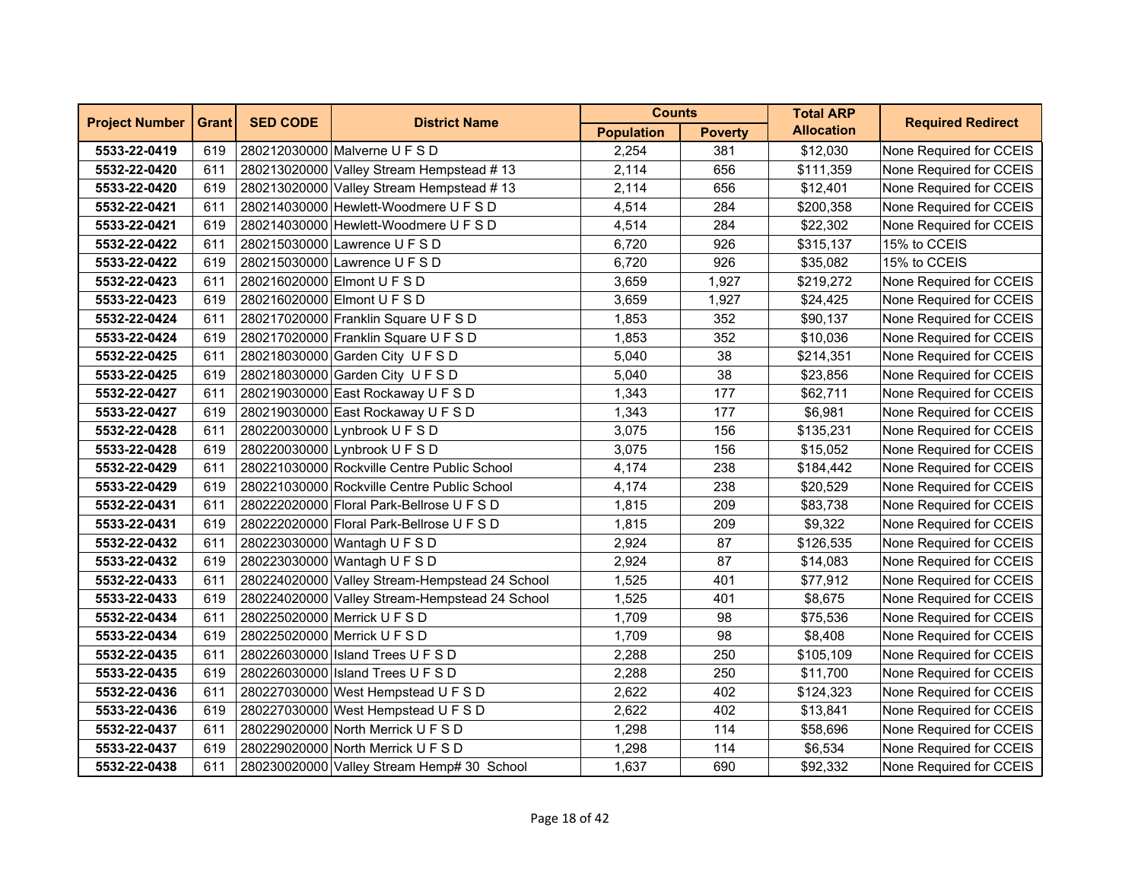| <b>Project Number</b> | <b>Grant</b> | <b>SED CODE</b> | <b>District Name</b>                           | <b>Counts</b>     |                | <b>Total ARP</b>  | <b>Required Redirect</b> |
|-----------------------|--------------|-----------------|------------------------------------------------|-------------------|----------------|-------------------|--------------------------|
|                       |              |                 |                                                | <b>Population</b> | <b>Poverty</b> | <b>Allocation</b> |                          |
| 5533-22-0419          | 619          |                 | 280212030000 Malverne U F S D                  | 2,254             | 381            | \$12,030          | None Required for CCEIS  |
| 5532-22-0420          | 611          |                 | 280213020000 Valley Stream Hempstead #13       | 2,114             | 656            | \$111,359         | None Required for CCEIS  |
| 5533-22-0420          | 619          |                 | 280213020000 Valley Stream Hempstead #13       | 2,114             | 656            | \$12,401          | None Required for CCEIS  |
| 5532-22-0421          | 611          |                 | 280214030000 Hewlett-Woodmere U F S D          | 4,514             | 284            | \$200,358         | None Required for CCEIS  |
| 5533-22-0421          | 619          |                 | 280214030000 Hewlett-Woodmere U F S D          | 4,514             | 284            | \$22,302          | None Required for CCEIS  |
| 5532-22-0422          | 611          |                 | 280215030000 Lawrence U F S D                  | 6,720             | 926            | \$315,137         | 15% to CCEIS             |
| 5533-22-0422          | 619          |                 | 280215030000 Lawrence U F S D                  | 6,720             | 926            | \$35,082          | 15% to CCEIS             |
| 5532-22-0423          | 611          |                 | 280216020000 Elmont U F S D                    | 3,659             | 1,927          | \$219,272         | None Required for CCEIS  |
| 5533-22-0423          | 619          |                 | 280216020000 Elmont U F S D                    | 3,659             | 1,927          | \$24,425          | None Required for CCEIS  |
| 5532-22-0424          | 611          |                 | 280217020000 Franklin Square U F S D           | 1,853             | 352            | \$90,137          | None Required for CCEIS  |
| 5533-22-0424          | 619          |                 | 280217020000 Franklin Square U F S D           | 1,853             | 352            | \$10,036          | None Required for CCEIS  |
| 5532-22-0425          | 611          |                 | 280218030000 Garden City U F S D               | 5,040             | 38             | \$214,351         | None Required for CCEIS  |
| 5533-22-0425          | 619          |                 | 280218030000 Garden City U F S D               | 5,040             | 38             | \$23,856          | None Required for CCEIS  |
| 5532-22-0427          | 611          |                 | 280219030000 East Rockaway U F S D             | 1,343             | 177            | \$62,711          | None Required for CCEIS  |
| 5533-22-0427          | 619          |                 | 280219030000 East Rockaway U F S D             | 1,343             | 177            | \$6,981           | None Required for CCEIS  |
| 5532-22-0428          | 611          |                 | 280220030000 Lynbrook U F S D                  | 3,075             | 156            | \$135,231         | None Required for CCEIS  |
| 5533-22-0428          | 619          |                 | 280220030000 Lynbrook U F S D                  | 3,075             | 156            | \$15,052          | None Required for CCEIS  |
| 5532-22-0429          | 611          |                 | 280221030000 Rockville Centre Public School    | 4,174             | 238            | \$184,442         | None Required for CCEIS  |
| 5533-22-0429          | 619          |                 | 280221030000 Rockville Centre Public School    | 4,174             | 238            | \$20,529          | None Required for CCEIS  |
| 5532-22-0431          | 611          |                 | 280222020000 Floral Park-Bellrose U F S D      | 1,815             | 209            | \$83,738          | None Required for CCEIS  |
| 5533-22-0431          | 619          |                 | 280222020000 Floral Park-Bellrose U F S D      | 1,815             | 209            | \$9,322           | None Required for CCEIS  |
| 5532-22-0432          | 611          |                 | 280223030000 Wantagh U F S D                   | 2,924             | 87             | \$126,535         | None Required for CCEIS  |
| 5533-22-0432          | 619          |                 | 280223030000 Wantagh U F S D                   | 2,924             | 87             | \$14,083          | None Required for CCEIS  |
| 5532-22-0433          | 611          |                 | 280224020000 Valley Stream-Hempstead 24 School | 1,525             | 401            | \$77,912          | None Required for CCEIS  |
| 5533-22-0433          | 619          |                 | 280224020000 Valley Stream-Hempstead 24 School | 1,525             | 401            | \$8,675           | None Required for CCEIS  |
| 5532-22-0434          | 611          |                 | 280225020000 Merrick U F S D                   | 1,709             | 98             | \$75,536          | None Required for CCEIS  |
| 5533-22-0434          | 619          |                 | 280225020000 Merrick U F S D                   | 1,709             | 98             | \$8,408           | None Required for CCEIS  |
| 5532-22-0435          | 611          |                 | 280226030000 Island Trees U F S D              | 2,288             | 250            | \$105,109         | None Required for CCEIS  |
| 5533-22-0435          | 619          |                 | 280226030000 Island Trees U F S D              | 2,288             | 250            | \$11,700          | None Required for CCEIS  |
| 5532-22-0436          | 611          |                 | 280227030000 West Hempstead U F S D            | 2,622             | 402            | \$124,323         | None Required for CCEIS  |
| 5533-22-0436          | 619          |                 | 280227030000 West Hempstead U F S D            | 2,622             | 402            | \$13,841          | None Required for CCEIS  |
| 5532-22-0437          | 611          |                 | 280229020000 North Merrick U F S D             | 1,298             | 114            | \$58,696          | None Required for CCEIS  |
| 5533-22-0437          | 619          |                 | 280229020000 North Merrick U F S D             | 1,298             | 114            | \$6,534           | None Required for CCEIS  |
| 5532-22-0438          | 611          |                 | 280230020000 Valley Stream Hemp# 30 School     | 1,637             | 690            | \$92,332          | None Required for CCEIS  |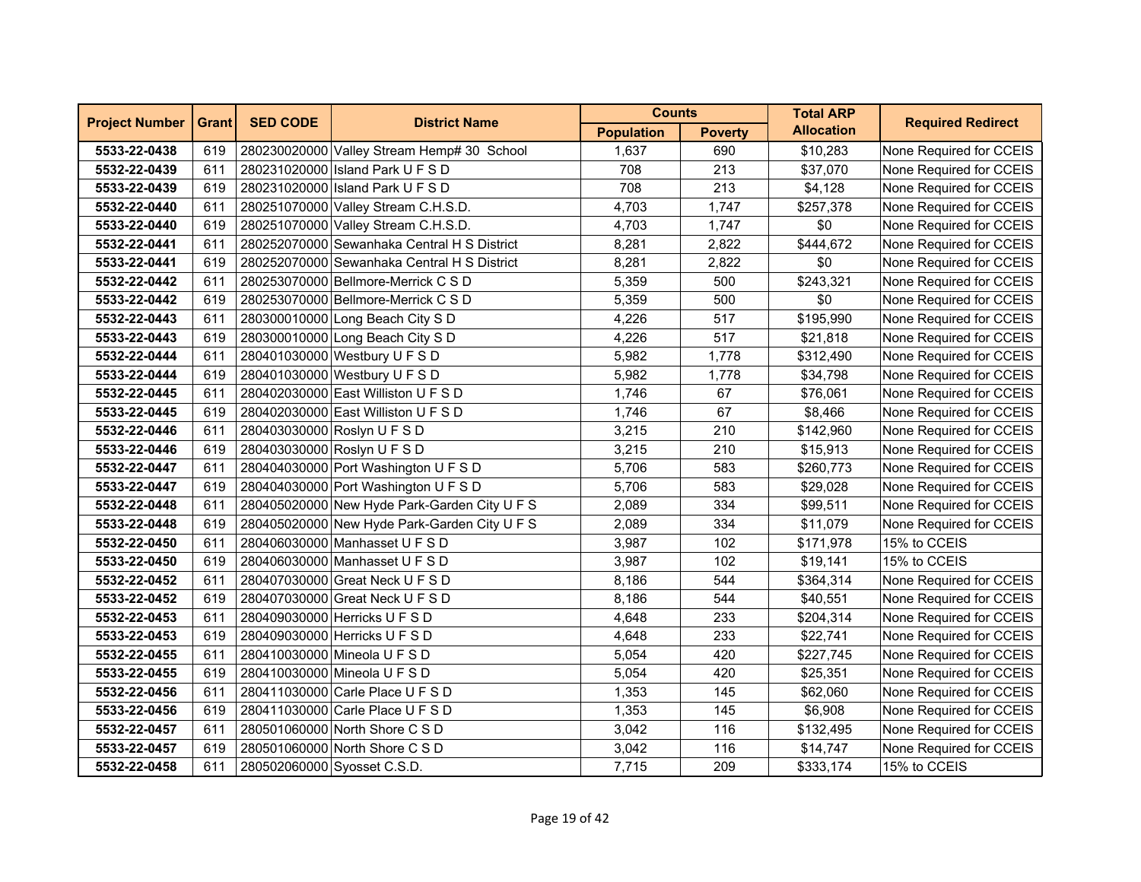| <b>Project Number</b> | <b>Grant</b> | <b>SED CODE</b>             | <b>District Name</b>                         | <b>Counts</b>     |                | <b>Total ARP</b>  | <b>Required Redirect</b> |
|-----------------------|--------------|-----------------------------|----------------------------------------------|-------------------|----------------|-------------------|--------------------------|
|                       |              |                             |                                              | <b>Population</b> | <b>Poverty</b> | <b>Allocation</b> |                          |
| 5533-22-0438          | 619          |                             | 280230020000 Valley Stream Hemp# 30 School   | 1,637             | 690            | \$10,283          | None Required for CCEIS  |
| 5532-22-0439          | 611          |                             | 280231020000 Island Park U F S D             | 708               | 213            | \$37,070          | None Required for CCEIS  |
| 5533-22-0439          | 619          |                             | 280231020000 Island Park U F S D             | 708               | 213            | \$4,128           | None Required for CCEIS  |
| 5532-22-0440          | 611          |                             | 280251070000 Valley Stream C.H.S.D.          | 4,703             | 1,747          | \$257,378         | None Required for CCEIS  |
| 5533-22-0440          | 619          |                             | 280251070000 Valley Stream C.H.S.D.          | 4,703             | 1,747          | \$0               | None Required for CCEIS  |
| 5532-22-0441          | 611          |                             | 280252070000 Sewanhaka Central H S District  | 8,281             | 2,822          | \$444,672         | None Required for CCEIS  |
| 5533-22-0441          | 619          |                             | 280252070000 Sewanhaka Central H S District  | 8,281             | 2,822          | \$0               | None Required for CCEIS  |
| 5532-22-0442          | 611          |                             | 280253070000 Bellmore-Merrick C S D          | 5,359             | 500            | \$243,321         | None Required for CCEIS  |
| 5533-22-0442          | 619          |                             | 280253070000 Bellmore-Merrick C S D          | 5,359             | 500            | \$0               | None Required for CCEIS  |
| 5532-22-0443          | 611          |                             | 280300010000 Long Beach City S D             | 4,226             | 517            | \$195,990         | None Required for CCEIS  |
| 5533-22-0443          | 619          |                             | 280300010000 Long Beach City S D             | 4,226             | 517            | \$21,818          | None Required for CCEIS  |
| 5532-22-0444          | 611          |                             | 280401030000 Westbury U F S D                | 5,982             | 1,778          | \$312,490         | None Required for CCEIS  |
| 5533-22-0444          | 619          |                             | 280401030000 Westbury U F S D                | 5,982             | 1,778          | \$34,798          | None Required for CCEIS  |
| 5532-22-0445          | 611          |                             | 280402030000 East Williston U F S D          | 1,746             | 67             | \$76,061          | None Required for CCEIS  |
| 5533-22-0445          | 619          |                             | 280402030000 East Williston U F S D          | 1,746             | 67             | \$8,466           | None Required for CCEIS  |
| 5532-22-0446          | 611          |                             | 280403030000 Roslyn U F S D                  | 3,215             | 210            | \$142,960         | None Required for CCEIS  |
| 5533-22-0446          | 619          |                             | 280403030000 Roslyn U F S D                  | 3,215             | 210            | \$15,913          | None Required for CCEIS  |
| 5532-22-0447          | 611          |                             | 280404030000 Port Washington U F S D         | 5,706             | 583            | \$260,773         | None Required for CCEIS  |
| 5533-22-0447          | 619          |                             | 280404030000 Port Washington U F S D         | 5,706             | 583            | \$29,028          | None Required for CCEIS  |
| 5532-22-0448          | 611          |                             | 280405020000 New Hyde Park-Garden City U F S | 2,089             | 334            | \$99,511          | None Required for CCEIS  |
| 5533-22-0448          | 619          |                             | 280405020000 New Hyde Park-Garden City U F S | 2,089             | 334            | \$11,079          | None Required for CCEIS  |
| 5532-22-0450          | 611          |                             | 280406030000 Manhasset U F S D               | 3,987             | 102            | \$171,978         | 15% to CCEIS             |
| 5533-22-0450          | 619          |                             | 280406030000 Manhasset U F S D               | 3,987             | 102            | \$19,141          | 15% to CCEIS             |
| 5532-22-0452          | 611          |                             | 280407030000 Great Neck U F S D              | 8,186             | 544            | \$364,314         | None Required for CCEIS  |
| 5533-22-0452          | 619          |                             | 280407030000 Great Neck U F S D              | 8,186             | 544            | \$40,551          | None Required for CCEIS  |
| 5532-22-0453          | 611          |                             | 280409030000 Herricks U F S D                | 4,648             | 233            | \$204,314         | None Required for CCEIS  |
| 5533-22-0453          | 619          |                             | 280409030000 Herricks U F S D                | 4,648             | 233            | \$22,741          | None Required for CCEIS  |
| 5532-22-0455          | 611          |                             | 280410030000 Mineola U F S D                 | 5,054             | 420            | \$227,745         | None Required for CCEIS  |
| 5533-22-0455          | 619          |                             | 280410030000 Mineola U F S D                 | 5,054             | 420            | \$25,351          | None Required for CCEIS  |
| 5532-22-0456          | 611          |                             | 280411030000 Carle Place U F S D             | 1,353             | 145            | \$62,060          | None Required for CCEIS  |
| 5533-22-0456          | 619          |                             | 280411030000 Carle Place U F S D             | 1,353             | 145            | \$6,908           | None Required for CCEIS  |
| 5532-22-0457          | 611          |                             | 280501060000 North Shore C S D               | 3,042             | 116            | \$132,495         | None Required for CCEIS  |
| 5533-22-0457          | 619          |                             | 280501060000 North Shore C S D               | 3,042             | 116            | \$14,747          | None Required for CCEIS  |
| 5532-22-0458          | 611          | 280502060000 Syosset C.S.D. |                                              | 7,715             | 209            | \$333,174         | 15% to CCEIS             |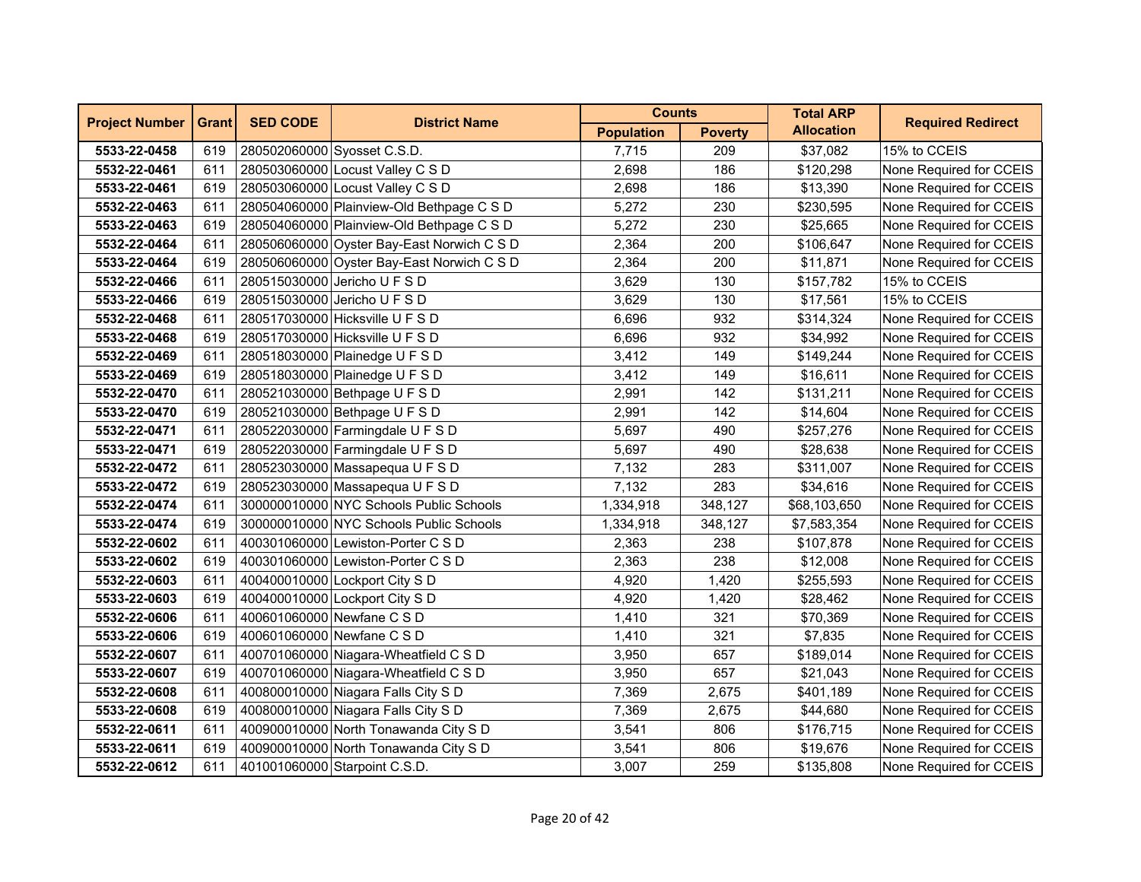| <b>Project Number</b> | <b>Grant</b> | <b>SED CODE</b>             | <b>District Name</b>                       | <b>Counts</b>     |                | <b>Total ARP</b>  | <b>Required Redirect</b> |
|-----------------------|--------------|-----------------------------|--------------------------------------------|-------------------|----------------|-------------------|--------------------------|
|                       |              |                             |                                            | <b>Population</b> | <b>Poverty</b> | <b>Allocation</b> |                          |
| 5533-22-0458          | 619          | 280502060000 Syosset C.S.D. |                                            | 7,715             | 209            | \$37,082          | 15% to CCEIS             |
| 5532-22-0461          | 611          |                             | 280503060000 Locust Valley C S D           | 2,698             | 186            | \$120,298         | None Required for CCEIS  |
| 5533-22-0461          | 619          |                             | 280503060000 Locust Valley C S D           | 2,698             | 186            | \$13,390          | None Required for CCEIS  |
| 5532-22-0463          | 611          |                             | 280504060000 Plainview-Old Bethpage C S D  | 5,272             | 230            | \$230,595         | None Required for CCEIS  |
| 5533-22-0463          | 619          |                             | 280504060000 Plainview-Old Bethpage C S D  | 5,272             | 230            | \$25,665          | None Required for CCEIS  |
| 5532-22-0464          | 611          |                             | 280506060000 Oyster Bay-East Norwich C S D | 2,364             | 200            | \$106,647         | None Required for CCEIS  |
| 5533-22-0464          | 619          |                             | 280506060000 Oyster Bay-East Norwich C S D | 2,364             | 200            | \$11,871          | None Required for CCEIS  |
| 5532-22-0466          | 611          |                             | 280515030000 Jericho U F S D               | 3,629             | 130            | \$157,782         | 15% to CCEIS             |
| 5533-22-0466          | 619          |                             | 280515030000 Jericho U F S D               | 3,629             | 130            | \$17,561          | 15% to CCEIS             |
| 5532-22-0468          | 611          |                             | 280517030000 Hicksville U F S D            | 6,696             | 932            | \$314,324         | None Required for CCEIS  |
| 5533-22-0468          | 619          |                             | 280517030000 Hicksville U F S D            | 6,696             | 932            | \$34,992          | None Required for CCEIS  |
| 5532-22-0469          | 611          |                             | 280518030000 Plainedge U F S D             | 3,412             | 149            | \$149,244         | None Required for CCEIS  |
| 5533-22-0469          | 619          |                             | 280518030000 Plainedge U F S D             | 3,412             | 149            | \$16,611          | None Required for CCEIS  |
| 5532-22-0470          | 611          |                             | 280521030000 Bethpage U F S D              | 2,991             | 142            | \$131,211         | None Required for CCEIS  |
| 5533-22-0470          | 619          |                             | 280521030000 Bethpage U F S D              | 2,991             | 142            | \$14,604          | None Required for CCEIS  |
| 5532-22-0471          | 611          |                             | 280522030000 Farmingdale U F S D           | 5,697             | 490            | \$257,276         | None Required for CCEIS  |
| 5533-22-0471          | 619          |                             | 280522030000 Farmingdale U F S D           | 5,697             | 490            | \$28,638          | None Required for CCEIS  |
| 5532-22-0472          | 611          |                             | 280523030000 Massapequa U F S D            | 7,132             | 283            | \$311,007         | None Required for CCEIS  |
| 5533-22-0472          | 619          |                             | 280523030000 Massapequa U F S D            | 7,132             | 283            | \$34,616          | None Required for CCEIS  |
| 5532-22-0474          | 611          |                             | 300000010000 NYC Schools Public Schools    | 1,334,918         | 348,127        | \$68,103,650      | None Required for CCEIS  |
| 5533-22-0474          | 619          |                             | 300000010000 NYC Schools Public Schools    | 1,334,918         | 348,127        | \$7,583,354       | None Required for CCEIS  |
| 5532-22-0602          | 611          |                             | 400301060000 Lewiston-Porter C S D         | 2,363             | 238            | \$107,878         | None Required for CCEIS  |
| 5533-22-0602          | 619          |                             | 400301060000 Lewiston-Porter C S D         | 2,363             | 238            | \$12,008          | None Required for CCEIS  |
| 5532-22-0603          | 611          |                             | 400400010000 Lockport City S D             | 4,920             | 1,420          | \$255,593         | None Required for CCEIS  |
| 5533-22-0603          | 619          |                             | 400400010000 Lockport City S D             | 4,920             | 1,420          | \$28,462          | None Required for CCEIS  |
| 5532-22-0606          | 611          |                             | 400601060000 Newfane C S D                 | 1,410             | 321            | \$70,369          | None Required for CCEIS  |
| 5533-22-0606          | 619          |                             | 400601060000 Newfane C S D                 | 1,410             | 321            | \$7,835           | None Required for CCEIS  |
| 5532-22-0607          | 611          |                             | 400701060000 Niagara-Wheatfield C S D      | 3,950             | 657            | \$189,014         | None Required for CCEIS  |
| 5533-22-0607          | 619          |                             | 400701060000 Niagara-Wheatfield C S D      | 3,950             | 657            | \$21,043          | None Required for CCEIS  |
| 5532-22-0608          | 611          |                             | 400800010000 Niagara Falls City S D        | 7,369             | 2,675          | \$401,189         | None Required for CCEIS  |
| 5533-22-0608          | 619          |                             | 400800010000 Niagara Falls City S D        | 7,369             | 2,675          | \$44,680          | None Required for CCEIS  |
| 5532-22-0611          | 611          |                             | 400900010000 North Tonawanda City S D      | 3,541             | 806            | \$176,715         | None Required for CCEIS  |
| 5533-22-0611          | 619          |                             | 400900010000 North Tonawanda City S D      | 3,541             | 806            | \$19,676          | None Required for CCEIS  |
| 5532-22-0612          | 611          |                             | 401001060000 Starpoint C.S.D.              | 3,007             | 259            | \$135,808         | None Required for CCEIS  |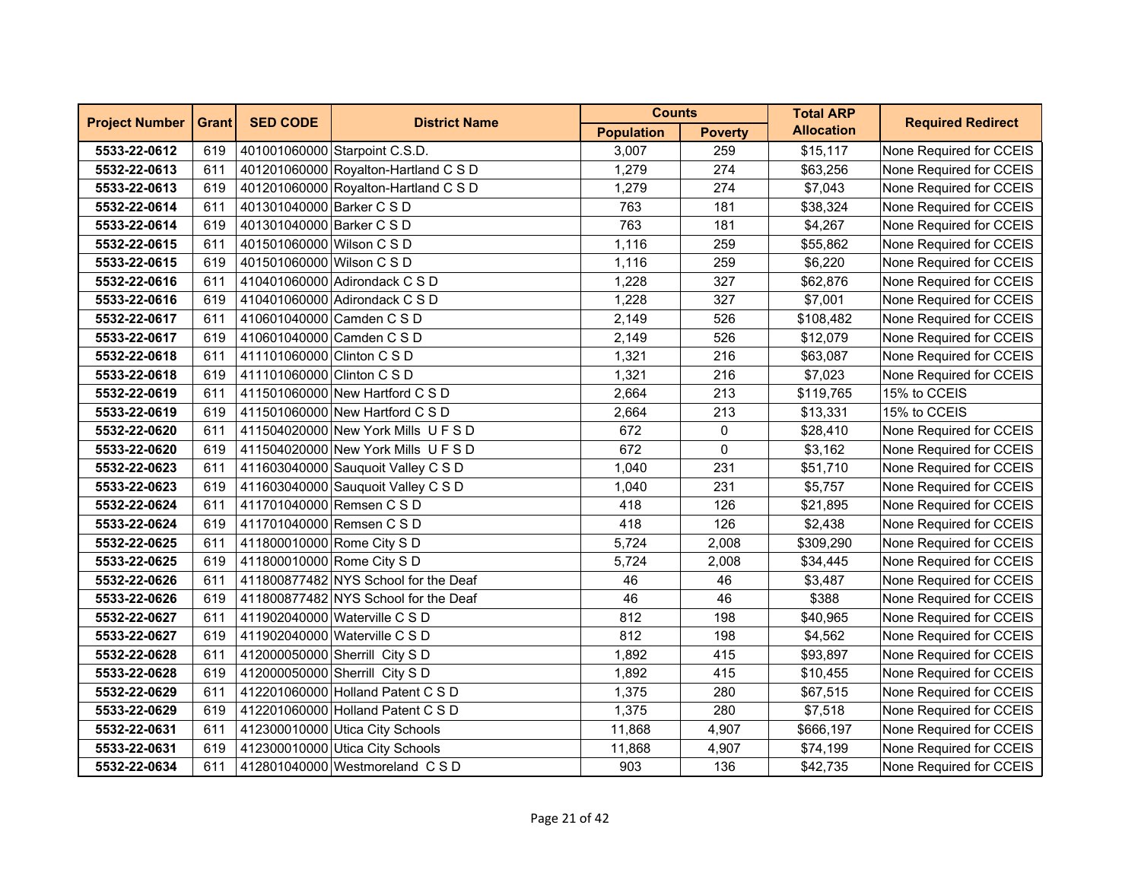| <b>Project Number</b> | <b>Grant</b> | <b>SED CODE</b>            | <b>District Name</b>                 | <b>Counts</b>     |                | <b>Total ARP</b>  | <b>Required Redirect</b> |
|-----------------------|--------------|----------------------------|--------------------------------------|-------------------|----------------|-------------------|--------------------------|
|                       |              |                            |                                      | <b>Population</b> | <b>Poverty</b> | <b>Allocation</b> |                          |
| 5533-22-0612          | 619          |                            | 401001060000 Starpoint C.S.D.        | 3.007             | 259            | \$15,117          | None Required for CCEIS  |
| 5532-22-0613          | 611          |                            | 401201060000 Royalton-Hartland C S D | 1,279             | 274            | \$63,256          | None Required for CCEIS  |
| 5533-22-0613          | 619          |                            | 401201060000 Royalton-Hartland C S D | 1,279             | 274            | \$7,043           | None Required for CCEIS  |
| 5532-22-0614          | 611          | 401301040000 Barker C S D  |                                      | 763               | 181            | \$38,324          | None Required for CCEIS  |
| 5533-22-0614          | 619          | 401301040000 Barker C S D  |                                      | 763               | 181            | \$4,267           | None Required for CCEIS  |
| 5532-22-0615          | 611          | 401501060000 Wilson C S D  |                                      | 1,116             | 259            | \$55,862          | None Required for CCEIS  |
| 5533-22-0615          | 619          | 401501060000 Wilson C S D  |                                      | 1,116             | 259            | \$6,220           | None Required for CCEIS  |
| 5532-22-0616          | 611          |                            | 410401060000 Adirondack C S D        | 1,228             | 327            | \$62,876          | None Required for CCEIS  |
| 5533-22-0616          | 619          |                            | 410401060000 Adirondack C S D        | 1,228             | 327            | \$7,001           | None Required for CCEIS  |
| 5532-22-0617          | 611          | 410601040000 Camden C S D  |                                      | 2,149             | 526            | \$108,482         | None Required for CCEIS  |
| 5533-22-0617          | 619          | 410601040000 Camden C S D  |                                      | 2,149             | 526            | \$12,079          | None Required for CCEIS  |
| 5532-22-0618          | 611          | 411101060000 Clinton C S D |                                      | 1,321             | 216            | \$63,087          | None Required for CCEIS  |
| 5533-22-0618          | 619          | 411101060000 Clinton C S D |                                      | 1,321             | 216            | \$7,023           | None Required for CCEIS  |
| 5532-22-0619          | 611          |                            | 411501060000 New Hartford C S D      | 2,664             | 213            | \$119,765         | 15% to CCEIS             |
| 5533-22-0619          | 619          |                            | 411501060000 New Hartford C S D      | 2,664             | 213            | \$13,331          | 15% to CCEIS             |
| 5532-22-0620          | 611          |                            | 411504020000 New York Mills U F S D  | 672               | 0              | \$28,410          | None Required for CCEIS  |
| 5533-22-0620          | 619          |                            | 411504020000 New York Mills U F S D  | 672               | 0              | \$3,162           | None Required for CCEIS  |
| 5532-22-0623          | 611          |                            | 411603040000 Sauguoit Valley C S D   | 1,040             | 231            | \$51,710          | None Required for CCEIS  |
| 5533-22-0623          | 619          |                            | 411603040000 Sauguoit Valley C S D   | 1,040             | 231            | \$5,757           | None Required for CCEIS  |
| 5532-22-0624          | 611          | 411701040000 Remsen C S D  |                                      | 418               | 126            | \$21,895          | None Required for CCEIS  |
| 5533-22-0624          | 619          | 411701040000 Remsen C S D  |                                      | 418               | 126            | \$2,438           | None Required for CCEIS  |
| 5532-22-0625          | 611          | 411800010000 Rome City S D |                                      | 5,724             | 2,008          | \$309,290         | None Required for CCEIS  |
| 5533-22-0625          | 619          | 411800010000 Rome City S D |                                      | 5,724             | 2,008          | \$34,445          | None Required for CCEIS  |
| 5532-22-0626          | 611          |                            | 411800877482 NYS School for the Deaf | 46                | 46             | \$3,487           | None Required for CCEIS  |
| 5533-22-0626          | 619          |                            | 411800877482 NYS School for the Deaf | 46                | 46             | \$388             | None Required for CCEIS  |
| 5532-22-0627          | 611          |                            | 411902040000 Waterville C S D        | 812               | 198            | \$40,965          | None Required for CCEIS  |
| 5533-22-0627          | 619          |                            | 411902040000 Waterville C S D        | 812               | 198            | \$4,562           | None Required for CCEIS  |
| 5532-22-0628          | 611          |                            | 412000050000 Sherrill City S D       | 1,892             | 415            | \$93,897          | None Required for CCEIS  |
| 5533-22-0628          | 619          |                            | 412000050000 Sherrill City S D       | 1,892             | 415            | \$10,455          | None Required for CCEIS  |
| 5532-22-0629          | 611          |                            | 412201060000 Holland Patent C S D    | 1,375             | 280            | \$67,515          | None Required for CCEIS  |
| 5533-22-0629          | 619          |                            | 412201060000 Holland Patent C S D    | 1,375             | 280            | \$7,518           | None Required for CCEIS  |
| 5532-22-0631          | 611          |                            | 412300010000 Utica City Schools      | 11,868            | 4,907          | \$666,197         | None Required for CCEIS  |
| 5533-22-0631          | 619          |                            | 412300010000 Utica City Schools      | 11,868            | 4,907          | \$74,199          | None Required for CCEIS  |
| 5532-22-0634          | 611          |                            | 412801040000 Westmoreland C S D      | 903               | 136            | \$42,735          | None Required for CCEIS  |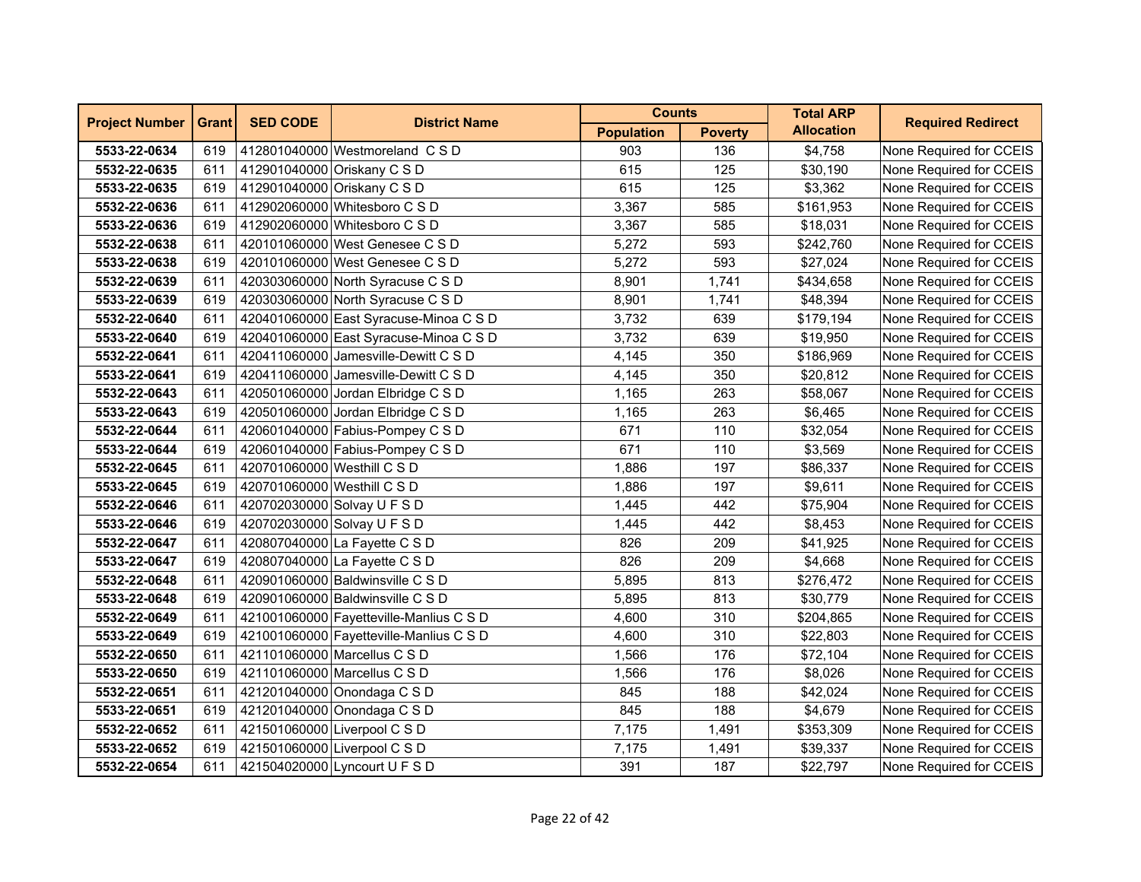| <b>Project Number</b> | <b>Grant</b> | <b>SED CODE</b>             | <b>District Name</b>                    | <b>Counts</b>     |                | <b>Total ARP</b>  | <b>Required Redirect</b> |
|-----------------------|--------------|-----------------------------|-----------------------------------------|-------------------|----------------|-------------------|--------------------------|
|                       |              |                             |                                         | <b>Population</b> | <b>Poverty</b> | <b>Allocation</b> |                          |
| 5533-22-0634          | 619          |                             | 412801040000 Westmoreland C S D         | 903               | 136            | \$4,758           | None Required for CCEIS  |
| 5532-22-0635          | 611          |                             | 412901040000 Oriskany C S D             | 615               | 125            | \$30,190          | None Required for CCEIS  |
| 5533-22-0635          | 619          |                             | 412901040000 Oriskany C S D             | 615               | 125            | \$3,362           | None Required for CCEIS  |
| 5532-22-0636          | 611          |                             | 412902060000 Whitesboro C S D           | 3,367             | 585            | \$161,953         | None Required for CCEIS  |
| 5533-22-0636          | 619          |                             | 412902060000 Whitesboro C S D           | 3,367             | 585            | \$18,031          | None Required for CCEIS  |
| 5532-22-0638          | 611          |                             | 420101060000 West Genesee C S D         | 5,272             | 593            | \$242,760         | None Required for CCEIS  |
| 5533-22-0638          | 619          |                             | 420101060000 West Genesee C S D         | 5,272             | 593            | \$27,024          | None Required for CCEIS  |
| 5532-22-0639          | 611          |                             | 420303060000 North Syracuse C S D       | 8,901             | 1,741          | \$434,658         | None Required for CCEIS  |
| 5533-22-0639          | 619          |                             | 420303060000 North Syracuse C S D       | 8,901             | 1,741          | \$48,394          | None Required for CCEIS  |
| 5532-22-0640          | 611          |                             | 420401060000 East Syracuse-Minoa C S D  | 3,732             | 639            | \$179,194         | None Required for CCEIS  |
| 5533-22-0640          | 619          |                             | 420401060000 East Syracuse-Minoa C S D  | 3,732             | 639            | \$19,950          | None Required for CCEIS  |
| 5532-22-0641          | 611          |                             | 420411060000 Jamesville-Dewitt C S D    | 4,145             | 350            | \$186,969         | None Required for CCEIS  |
| 5533-22-0641          | 619          |                             | 420411060000 Jamesville-Dewitt C S D    | 4,145             | 350            | \$20,812          | None Required for CCEIS  |
| 5532-22-0643          | 611          |                             | 420501060000 Jordan Elbridge C S D      | 1,165             | 263            | \$58,067          | None Required for CCEIS  |
| 5533-22-0643          | 619          |                             | 420501060000 Jordan Elbridge C S D      | 1,165             | 263            | \$6,465           | None Required for CCEIS  |
| 5532-22-0644          | 611          |                             | 420601040000 Fabius-Pompey C S D        | 671               | 110            | \$32,054          | None Required for CCEIS  |
| 5533-22-0644          | 619          |                             | 420601040000 Fabius-Pompey C S D        | 671               | 110            | \$3,569           | None Required for CCEIS  |
| 5532-22-0645          | 611          | 420701060000 Westhill C S D |                                         | 1,886             | 197            | \$86,337          | None Required for CCEIS  |
| 5533-22-0645          | 619          | 420701060000 Westhill C S D |                                         | 1,886             | 197            | \$9,611           | None Required for CCEIS  |
| 5532-22-0646          | 611          |                             | 420702030000 Solvay U F S D             | 1,445             | 442            | \$75,904          | None Required for CCEIS  |
| 5533-22-0646          | 619          |                             | 420702030000 Solvay U F S D             | 1,445             | 442            | \$8,453           | None Required for CCEIS  |
| 5532-22-0647          | 611          |                             | 420807040000 La Fayette C S D           | 826               | 209            | \$41,925          | None Required for CCEIS  |
| 5533-22-0647          | 619          |                             | 420807040000 La Fayette C S D           | 826               | 209            | \$4,668           | None Required for CCEIS  |
| 5532-22-0648          | 611          |                             | 420901060000 Baldwinsville C S D        | 5,895             | 813            | \$276,472         | None Required for CCEIS  |
| 5533-22-0648          | 619          |                             | 420901060000 Baldwinsville C S D        | 5,895             | 813            | \$30,779          | None Required for CCEIS  |
| 5532-22-0649          | 611          |                             | 421001060000 Fayetteville-Manlius C S D | 4,600             | 310            | \$204,865         | None Required for CCEIS  |
| 5533-22-0649          | 619          |                             | 421001060000 Fayetteville-Manlius C S D | 4,600             | 310            | \$22,803          | None Required for CCEIS  |
| 5532-22-0650          | 611          |                             | 421101060000 Marcellus C S D            | 1,566             | 176            | \$72,104          | None Required for CCEIS  |
| 5533-22-0650          | 619          |                             | 421101060000 Marcellus C S D            | 1,566             | 176            | \$8,026           | None Required for CCEIS  |
| 5532-22-0651          | 611          |                             | 421201040000 Onondaga C S D             | 845               | 188            | \$42,024          | None Required for CCEIS  |
| 5533-22-0651          | 619          |                             | 421201040000 Onondaga C S D             | 845               | 188            | \$4,679           | None Required for CCEIS  |
| 5532-22-0652          | 611          |                             | 421501060000 Liverpool C S D            | 7,175             | 1,491          | \$353,309         | None Required for CCEIS  |
| 5533-22-0652          | 619          |                             | 421501060000 Liverpool C S D            | 7,175             | 1,491          | \$39,337          | None Required for CCEIS  |
| 5532-22-0654          | 611          |                             | 421504020000 Lyncourt U F S D           | 391               | 187            | \$22,797          | None Required for CCEIS  |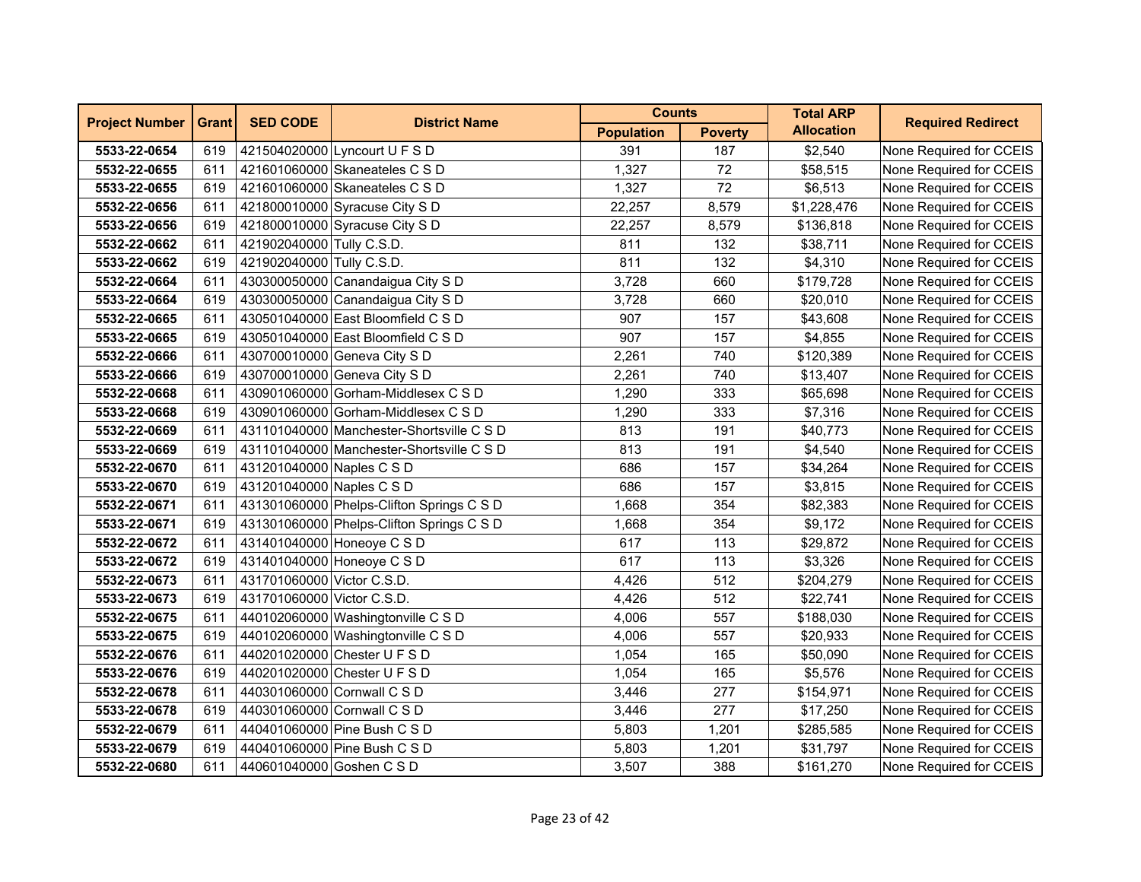| <b>Project Number</b> | <b>Grant</b> | <b>SED CODE</b>            | <b>District Name</b>                      | <b>Counts</b>     |                | <b>Total ARP</b>  | <b>Required Redirect</b> |
|-----------------------|--------------|----------------------------|-------------------------------------------|-------------------|----------------|-------------------|--------------------------|
|                       |              |                            |                                           | <b>Population</b> | <b>Poverty</b> | <b>Allocation</b> |                          |
| 5533-22-0654          | 619          |                            | 421504020000 Lyncourt U F S D             | 391               | 187            | \$2,540           | None Required for CCEIS  |
| 5532-22-0655          | 611          |                            | 421601060000 Skaneateles C S D            | 1,327             | 72             | \$58,515          | None Required for CCEIS  |
| 5533-22-0655          | 619          |                            | 421601060000 Skaneateles C S D            | 1,327             | 72             | \$6,513           | None Required for CCEIS  |
| 5532-22-0656          | 611          |                            | 421800010000 Syracuse City S D            | 22,257            | 8,579          | \$1,228,476       | None Required for CCEIS  |
| 5533-22-0656          | 619          |                            | 421800010000 Syracuse City S D            | 22,257            | 8,579          | \$136,818         | None Required for CCEIS  |
| 5532-22-0662          | 611          | 421902040000 Tully C.S.D.  |                                           | 811               | 132            | \$38,711          | None Required for CCEIS  |
| 5533-22-0662          | 619          | 421902040000 Tully C.S.D.  |                                           | 811               | 132            | \$4,310           | None Required for CCEIS  |
| 5532-22-0664          | 611          |                            | 430300050000 Canandaigua City S D         | 3,728             | 660            | \$179,728         | None Required for CCEIS  |
| 5533-22-0664          | 619          |                            | 430300050000 Canandaigua City S D         | 3,728             | 660            | \$20,010          | None Required for CCEIS  |
| 5532-22-0665          | 611          |                            | 430501040000 East Bloomfield C S D        | 907               | 157            | \$43,608          | None Required for CCEIS  |
| 5533-22-0665          | 619          |                            | 430501040000 East Bloomfield C S D        | 907               | 157            | \$4,855           | None Required for CCEIS  |
| 5532-22-0666          | 611          |                            | 430700010000 Geneva City S D              | 2,261             | 740            | \$120,389         | None Required for CCEIS  |
| 5533-22-0666          | 619          |                            | 430700010000 Geneva City S D              | 2,261             | 740            | \$13,407          | None Required for CCEIS  |
| 5532-22-0668          | 611          |                            | 430901060000 Gorham-Middlesex C S D       | 1,290             | 333            | \$65,698          | None Required for CCEIS  |
| 5533-22-0668          | 619          |                            | 430901060000 Gorham-Middlesex C S D       | 1,290             | 333            | \$7,316           | None Required for CCEIS  |
| 5532-22-0669          | 611          |                            | 431101040000 Manchester-Shortsville C S D | 813               | 191            | \$40,773          | None Required for CCEIS  |
| 5533-22-0669          | 619          |                            | 431101040000 Manchester-Shortsville C S D | 813               | 191            | \$4,540           | None Required for CCEIS  |
| 5532-22-0670          | 611          | 431201040000 Naples C S D  |                                           | 686               | 157            | \$34,264          | None Required for CCEIS  |
| 5533-22-0670          | 619          | 431201040000 Naples C S D  |                                           | 686               | 157            | \$3,815           | None Required for CCEIS  |
| 5532-22-0671          | 611          |                            | 431301060000 Phelps-Clifton Springs C S D | 1,668             | 354            | \$82,383          | None Required for CCEIS  |
| 5533-22-0671          | 619          |                            | 431301060000 Phelps-Clifton Springs C S D | 1,668             | 354            | \$9,172           | None Required for CCEIS  |
| 5532-22-0672          | 611          |                            | 431401040000 Honeoye C S D                | 617               | 113            | \$29,872          | None Required for CCEIS  |
| 5533-22-0672          | 619          |                            | 431401040000 Honeoye C S D                | 617               | 113            | \$3,326           | None Required for CCEIS  |
| 5532-22-0673          | 611          | 431701060000 Victor C.S.D. |                                           | 4,426             | 512            | \$204,279         | None Required for CCEIS  |
| 5533-22-0673          | 619          | 431701060000 Victor C.S.D. |                                           | 4,426             | 512            | \$22,741          | None Required for CCEIS  |
| 5532-22-0675          | 611          |                            | 440102060000 Washingtonville C S D        | 4,006             | 557            | \$188,030         | None Required for CCEIS  |
| 5533-22-0675          | 619          |                            | 440102060000 Washingtonville C S D        | 4,006             | 557            | \$20,933          | None Required for CCEIS  |
| 5532-22-0676          | 611          |                            | 440201020000 Chester U F S D              | 1,054             | 165            | \$50,090          | None Required for CCEIS  |
| 5533-22-0676          | 619          |                            | 440201020000 Chester U F S D              | 1,054             | 165            | \$5,576           | None Required for CCEIS  |
| 5532-22-0678          | 611          |                            | 440301060000 Cornwall C S D               | 3,446             | 277            | \$154,971         | None Required for CCEIS  |
| 5533-22-0678          | 619          |                            | 440301060000 Cornwall C S D               | 3,446             | 277            | \$17,250          | None Required for CCEIS  |
| 5532-22-0679          | 611          |                            | 440401060000 Pine Bush C S D              | 5,803             | 1,201          | \$285,585         | None Required for CCEIS  |
| 5533-22-0679          | 619          |                            | 440401060000 Pine Bush C S D              | 5,803             | 1,201          | \$31,797          | None Required for CCEIS  |
| 5532-22-0680          | 611          | 440601040000 Goshen C S D  |                                           | 3,507             | 388            | \$161,270         | None Required for CCEIS  |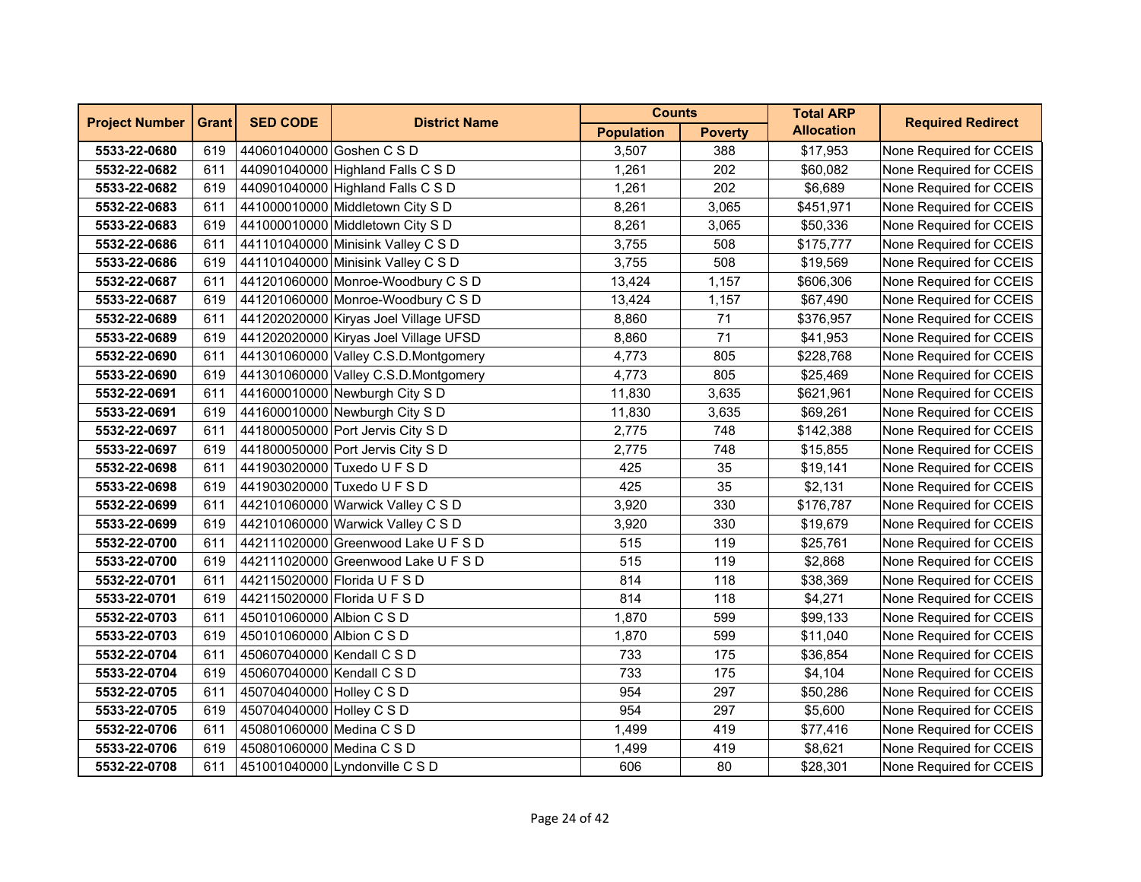| <b>Project Number</b> | <b>Grant</b> | <b>SED CODE</b>            | <b>District Name</b>                  | <b>Counts</b>     |                | <b>Total ARP</b>  | <b>Required Redirect</b> |
|-----------------------|--------------|----------------------------|---------------------------------------|-------------------|----------------|-------------------|--------------------------|
|                       |              |                            |                                       | <b>Population</b> | <b>Poverty</b> | <b>Allocation</b> |                          |
| 5533-22-0680          | 619          | 440601040000 Goshen C S D  |                                       | 3,507             | 388            | \$17,953          | None Required for CCEIS  |
| 5532-22-0682          | 611          |                            | 440901040000 Highland Falls C S D     | 1,261             | 202            | \$60,082          | None Required for CCEIS  |
| 5533-22-0682          | 619          |                            | 440901040000 Highland Falls C S D     | 1,261             | 202            | \$6,689           | None Required for CCEIS  |
| 5532-22-0683          | 611          |                            | 441000010000 Middletown City S D      | 8,261             | 3,065          | \$451,971         | None Required for CCEIS  |
| 5533-22-0683          | 619          |                            | 441000010000 Middletown City S D      | 8,261             | 3,065          | \$50,336          | None Required for CCEIS  |
| 5532-22-0686          | 611          |                            | 441101040000 Minisink Valley C S D    | 3,755             | 508            | \$175,777         | None Required for CCEIS  |
| 5533-22-0686          | 619          |                            | 441101040000 Minisink Valley C S D    | 3,755             | 508            | \$19,569          | None Required for CCEIS  |
| 5532-22-0687          | 611          |                            | 441201060000 Monroe-Woodbury C S D    | 13,424            | 1,157          | \$606,306         | None Required for CCEIS  |
| 5533-22-0687          | 619          |                            | 441201060000 Monroe-Woodbury C S D    | 13,424            | 1,157          | \$67,490          | None Required for CCEIS  |
| 5532-22-0689          | 611          |                            | 441202020000 Kiryas Joel Village UFSD | 8,860             | 71             | \$376,957         | None Required for CCEIS  |
| 5533-22-0689          | 619          |                            | 441202020000 Kiryas Joel Village UFSD | 8,860             | 71             | \$41,953          | None Required for CCEIS  |
| 5532-22-0690          | 611          |                            | 441301060000 Valley C.S.D.Montgomery  | 4,773             | 805            | \$228,768         | None Required for CCEIS  |
| 5533-22-0690          | 619          |                            | 441301060000 Valley C.S.D.Montgomery  | 4,773             | 805            | \$25,469          | None Required for CCEIS  |
| 5532-22-0691          | 611          |                            | 441600010000 Newburgh City S D        | 11,830            | 3,635          | \$621,961         | None Required for CCEIS  |
| 5533-22-0691          | 619          |                            | 441600010000 Newburgh City S D        | 11,830            | 3,635          | \$69,261          | None Required for CCEIS  |
| 5532-22-0697          | 611          |                            | 441800050000 Port Jervis City S D     | 2,775             | 748            | \$142,388         | None Required for CCEIS  |
| 5533-22-0697          | 619          |                            | 441800050000 Port Jervis City S D     | 2,775             | 748            | \$15,855          | None Required for CCEIS  |
| 5532-22-0698          | 611          |                            | 441903020000 Tuxedo U F S D           | 425               | 35             | \$19,141          | None Required for CCEIS  |
| 5533-22-0698          | 619          |                            | 441903020000 Tuxedo U F S D           | 425               | 35             | \$2,131           | None Required for CCEIS  |
| 5532-22-0699          | 611          |                            | 442101060000 Warwick Valley C S D     | 3,920             | 330            | \$176,787         | None Required for CCEIS  |
| 5533-22-0699          | 619          |                            | 442101060000 Warwick Valley C S D     | 3,920             | 330            | \$19,679          | None Required for CCEIS  |
| 5532-22-0700          | 611          |                            | 442111020000 Greenwood Lake U F S D   | 515               | 119            | \$25,761          | None Required for CCEIS  |
| 5533-22-0700          | 619          |                            | 442111020000 Greenwood Lake U F S D   | 515               | 119            | \$2,868           | None Required for CCEIS  |
| 5532-22-0701          | 611          |                            | 442115020000 Florida U F S D          | 814               | 118            | \$38,369          | None Required for CCEIS  |
| 5533-22-0701          | 619          |                            | 442115020000 Florida U F S D          | 814               | 118            | \$4,271           | None Required for CCEIS  |
| 5532-22-0703          | 611          | 450101060000 Albion C S D  |                                       | 1,870             | 599            | \$99,133          | None Required for CCEIS  |
| 5533-22-0703          | 619          | 450101060000 Albion C S D  |                                       | 1,870             | 599            | \$11,040          | None Required for CCEIS  |
| 5532-22-0704          | 611          | 450607040000 Kendall C S D |                                       | 733               | 175            | \$36,854          | None Required for CCEIS  |
| 5533-22-0704          | 619          | 450607040000 Kendall C S D |                                       | 733               | 175            | \$4,104           | None Required for CCEIS  |
| 5532-22-0705          | 611          | 450704040000 Holley C S D  |                                       | 954               | 297            | \$50,286          | None Required for CCEIS  |
| 5533-22-0705          | 619          | 450704040000 Holley C S D  |                                       | 954               | 297            | \$5,600           | None Required for CCEIS  |
| 5532-22-0706          | 611          | 450801060000 Medina C S D  |                                       | 1,499             | 419            | \$77,416          | None Required for CCEIS  |
| 5533-22-0706          | 619          | 450801060000 Medina C S D  |                                       | 1,499             | 419            | \$8,621           | None Required for CCEIS  |
| 5532-22-0708          | 611          |                            | 451001040000 Lyndonville C S D        | 606               | 80             | \$28,301          | None Required for CCEIS  |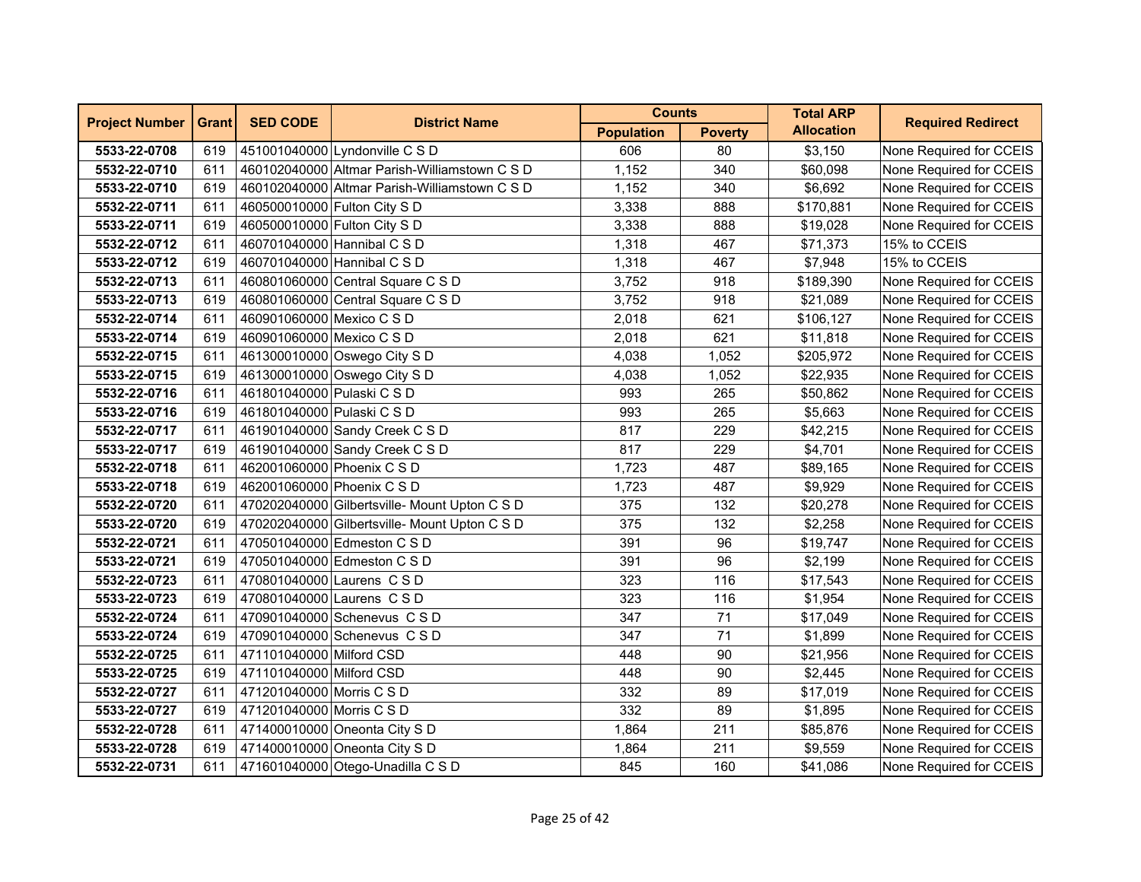| <b>Project Number</b> | <b>Grant</b> | <b>SED CODE</b>              | <b>District Name</b>                          | <b>Counts</b>     |                | <b>Total ARP</b>  | <b>Required Redirect</b> |
|-----------------------|--------------|------------------------------|-----------------------------------------------|-------------------|----------------|-------------------|--------------------------|
|                       |              |                              |                                               | <b>Population</b> | <b>Poverty</b> | <b>Allocation</b> |                          |
| 5533-22-0708          | 619          |                              | 451001040000 Lyndonville C S D                | 606               | 80             | \$3,150           | None Required for CCEIS  |
| 5532-22-0710          | 611          |                              | 460102040000 Altmar Parish-Williamstown C S D | 1,152             | 340            | \$60,098          | None Required for CCEIS  |
| 5533-22-0710          | 619          |                              | 460102040000 Altmar Parish-Williamstown C S D | 1,152             | 340            | \$6,692           | None Required for CCEIS  |
| 5532-22-0711          | 611          | 460500010000 Fulton City S D |                                               | 3,338             | 888            | \$170,881         | None Required for CCEIS  |
| 5533-22-0711          | 619          | 460500010000 Fulton City S D |                                               | 3,338             | 888            | \$19,028          | None Required for CCEIS  |
| 5532-22-0712          | 611          |                              | 460701040000 Hannibal C S D                   | 1,318             | 467            | \$71,373          | 15% to CCEIS             |
| 5533-22-0712          | 619          |                              | 460701040000 Hannibal C S D                   | 1,318             | 467            | \$7,948           | 15% to CCEIS             |
| 5532-22-0713          | 611          |                              | 460801060000 Central Square C S D             | 3,752             | 918            | \$189,390         | None Required for CCEIS  |
| 5533-22-0713          | 619          |                              | 460801060000 Central Square C S D             | 3,752             | 918            | \$21,089          | None Required for CCEIS  |
| 5532-22-0714          | 611          | 460901060000 Mexico C S D    |                                               | 2,018             | 621            | \$106,127         | None Required for CCEIS  |
| 5533-22-0714          | 619          | 460901060000 Mexico C S D    |                                               | 2,018             | 621            | \$11,818          | None Required for CCEIS  |
| 5532-22-0715          | 611          |                              | 461300010000 Oswego City S D                  | 4,038             | 1,052          | \$205,972         | None Required for CCEIS  |
| 5533-22-0715          | 619          |                              | 461300010000 Oswego City S D                  | 4,038             | 1,052          | \$22,935          | None Required for CCEIS  |
| 5532-22-0716          | 611          | 461801040000 Pulaski C S D   |                                               | 993               | 265            | \$50,862          | None Required for CCEIS  |
| 5533-22-0716          | 619          | 461801040000 Pulaski C S D   |                                               | 993               | 265            | \$5,663           | None Required for CCEIS  |
| 5532-22-0717          | 611          |                              | 461901040000 Sandy Creek C S D                | 817               | 229            | \$42,215          | None Required for CCEIS  |
| 5533-22-0717          | 619          |                              | 461901040000 Sandy Creek C S D                | 817               | 229            | \$4,701           | None Required for CCEIS  |
| 5532-22-0718          | 611          | 462001060000 Phoenix C S D   |                                               | 1,723             | 487            | \$89,165          | None Required for CCEIS  |
| 5533-22-0718          | 619          | 462001060000 Phoenix C S D   |                                               | 1,723             | 487            | \$9,929           | None Required for CCEIS  |
| 5532-22-0720          | 611          |                              | 470202040000 Gilbertsville- Mount Upton C S D | 375               | 132            | \$20,278          | None Required for CCEIS  |
| 5533-22-0720          | 619          |                              | 470202040000 Gilbertsville- Mount Upton C S D | 375               | 132            | \$2,258           | None Required for CCEIS  |
| 5532-22-0721          | 611          |                              | 470501040000 Edmeston C S D                   | 391               | 96             | \$19,747          | None Required for CCEIS  |
| 5533-22-0721          | 619          |                              | 470501040000 Edmeston C S D                   | 391               | 96             | \$2,199           | None Required for CCEIS  |
| 5532-22-0723          | 611          |                              | 470801040000 Laurens CSD                      | 323               | 116            | \$17,543          | None Required for CCEIS  |
| 5533-22-0723          | 619          |                              | 470801040000 Laurens C S D                    | 323               | 116            | \$1,954           | None Required for CCEIS  |
| 5532-22-0724          | 611          |                              | 470901040000 Schenevus C S D                  | 347               | 71             | \$17,049          | None Required for CCEIS  |
| 5533-22-0724          | 619          |                              | 470901040000 Schenevus CSD                    | 347               | 71             | \$1,899           | None Required for CCEIS  |
| 5532-22-0725          | 611          | 471101040000 Milford CSD     |                                               | 448               | 90             | \$21,956          | None Required for CCEIS  |
| 5533-22-0725          | 619          | 471101040000 Milford CSD     |                                               | 448               | 90             | \$2,445           | None Required for CCEIS  |
| 5532-22-0727          | 611          | 471201040000 Morris C S D    |                                               | 332               | 89             | \$17,019          | None Required for CCEIS  |
| 5533-22-0727          | 619          | 471201040000 Morris C S D    |                                               | 332               | 89             | \$1,895           | None Required for CCEIS  |
| 5532-22-0728          | 611          |                              | 471400010000 Oneonta City S D                 | 1,864             | 211            | \$85,876          | None Required for CCEIS  |
| 5533-22-0728          | 619          |                              | 471400010000 Oneonta City S D                 | 1,864             | 211            | \$9,559           | None Required for CCEIS  |
| 5532-22-0731          | 611          |                              | 471601040000 Otego-Unadilla C S D             | 845               | 160            | \$41,086          | None Required for CCEIS  |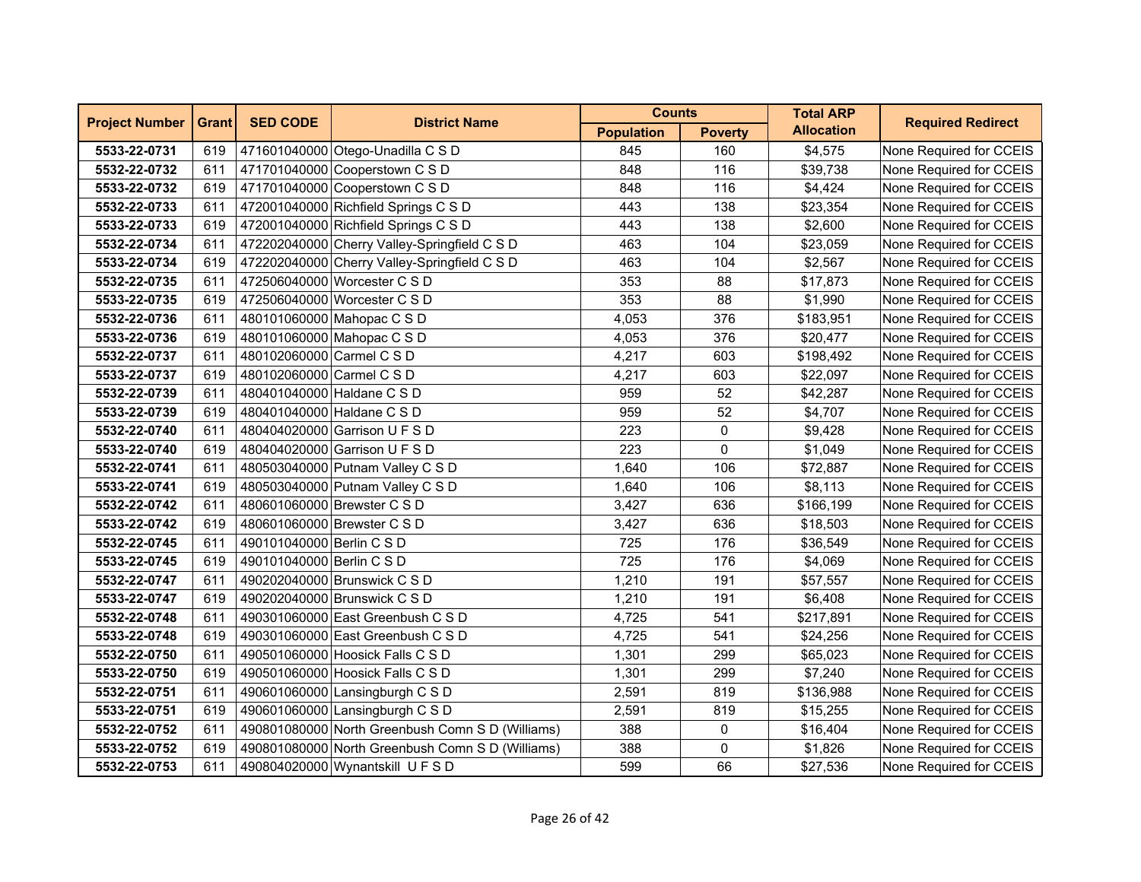| <b>Project Number</b> | <b>Grant</b> | <b>SED CODE</b>            | <b>District Name</b>                             | <b>Counts</b>     |                | <b>Total ARP</b>  | <b>Required Redirect</b> |
|-----------------------|--------------|----------------------------|--------------------------------------------------|-------------------|----------------|-------------------|--------------------------|
|                       |              |                            |                                                  | <b>Population</b> | <b>Poverty</b> | <b>Allocation</b> |                          |
| 5533-22-0731          | 619          |                            | 471601040000 Otego-Unadilla C S D                | 845               | 160            | \$4,575           | None Required for CCEIS  |
| 5532-22-0732          | 611          |                            | 471701040000 Cooperstown C S D                   | 848               | 116            | \$39,738          | None Required for CCEIS  |
| 5533-22-0732          | 619          |                            | 471701040000 Cooperstown C S D                   | 848               | 116            | \$4,424           | None Required for CCEIS  |
| 5532-22-0733          | 611          |                            | 472001040000 Richfield Springs C S D             | 443               | 138            | \$23,354          | None Required for CCEIS  |
| 5533-22-0733          | 619          |                            | 472001040000 Richfield Springs C S D             | 443               | 138            | \$2,600           | None Required for CCEIS  |
| 5532-22-0734          | 611          |                            | 472202040000 Cherry Valley-Springfield C S D     | 463               | 104            | \$23,059          | None Required for CCEIS  |
| 5533-22-0734          | 619          |                            | 472202040000 Cherry Valley-Springfield C S D     | 463               | 104            | \$2,567           | None Required for CCEIS  |
| 5532-22-0735          | 611          |                            | 472506040000 Worcester C S D                     | 353               | 88             | \$17,873          | None Required for CCEIS  |
| 5533-22-0735          | 619          |                            | 472506040000 Worcester C S D                     | 353               | 88             | \$1,990           | None Required for CCEIS  |
| 5532-22-0736          | 611          |                            | 480101060000 Mahopac C S D                       | 4,053             | 376            | \$183,951         | None Required for CCEIS  |
| 5533-22-0736          | 619          |                            | 480101060000 Mahopac C S D                       | 4,053             | 376            | \$20,477          | None Required for CCEIS  |
| 5532-22-0737          | 611          | 480102060000 Carmel C S D  |                                                  | 4,217             | 603            | \$198,492         | None Required for CCEIS  |
| 5533-22-0737          | 619          | 480102060000 Carmel C S D  |                                                  | 4,217             | 603            | \$22,097          | None Required for CCEIS  |
| 5532-22-0739          | 611          | 480401040000 Haldane C S D |                                                  | 959               | 52             | \$42,287          | None Required for CCEIS  |
| 5533-22-0739          | 619          | 480401040000 Haldane C S D |                                                  | 959               | 52             | \$4,707           | None Required for CCEIS  |
| 5532-22-0740          | 611          |                            | 480404020000 Garrison U F S D                    | 223               | 0              | \$9,428           | None Required for CCEIS  |
| 5533-22-0740          | 619          |                            | 480404020000 Garrison U F S D                    | 223               | 0              | \$1,049           | None Required for CCEIS  |
| 5532-22-0741          | 611          |                            | 480503040000 Putnam Valley C S D                 | 1,640             | 106            | \$72,887          | None Required for CCEIS  |
| 5533-22-0741          | 619          |                            | 480503040000 Putnam Valley C S D                 | 1,640             | 106            | \$8,113           | None Required for CCEIS  |
| 5532-22-0742          | 611          |                            | 480601060000 Brewster C S D                      | 3,427             | 636            | \$166,199         | None Required for CCEIS  |
| 5533-22-0742          | 619          |                            | 480601060000 Brewster C S D                      | 3,427             | 636            | \$18,503          | None Required for CCEIS  |
| 5532-22-0745          | 611          | 490101040000 Berlin C S D  |                                                  | 725               | 176            | \$36,549          | None Required for CCEIS  |
| 5533-22-0745          | 619          | 490101040000 Berlin C S D  |                                                  | 725               | 176            | \$4,069           | None Required for CCEIS  |
| 5532-22-0747          | 611          |                            | 490202040000 Brunswick C S D                     | 1,210             | 191            | \$57,557          | None Required for CCEIS  |
| 5533-22-0747          | 619          |                            | 490202040000 Brunswick C S D                     | 1,210             | 191            | \$6,408           | None Required for CCEIS  |
| 5532-22-0748          | 611          |                            | 490301060000 East Greenbush C S D                | 4,725             | 541            | \$217,891         | None Required for CCEIS  |
| 5533-22-0748          | 619          |                            | 490301060000 East Greenbush C S D                | 4,725             | 541            | \$24,256          | None Required for CCEIS  |
| 5532-22-0750          | 611          |                            | 490501060000 Hoosick Falls C S D                 | 1,301             | 299            | \$65,023          | None Required for CCEIS  |
| 5533-22-0750          | 619          |                            | 490501060000 Hoosick Falls C S D                 | 1,301             | 299            | \$7,240           | None Required for CCEIS  |
| 5532-22-0751          | 611          |                            | 490601060000 Lansingburgh C S D                  | 2,591             | 819            | \$136,988         | None Required for CCEIS  |
| 5533-22-0751          | 619          |                            | 490601060000 Lansingburgh C S D                  | 2,591             | 819            | \$15,255          | None Required for CCEIS  |
| 5532-22-0752          | 611          |                            | 490801080000 North Greenbush Comn S D (Williams) | 388               | 0              | \$16,404          | None Required for CCEIS  |
| 5533-22-0752          | 619          |                            | 490801080000 North Greenbush Comn S D (Williams) | 388               | 0              | \$1,826           | None Required for CCEIS  |
| 5532-22-0753          | 611          |                            | 490804020000 Wynantskill U F S D                 | 599               | 66             | \$27,536          | None Required for CCEIS  |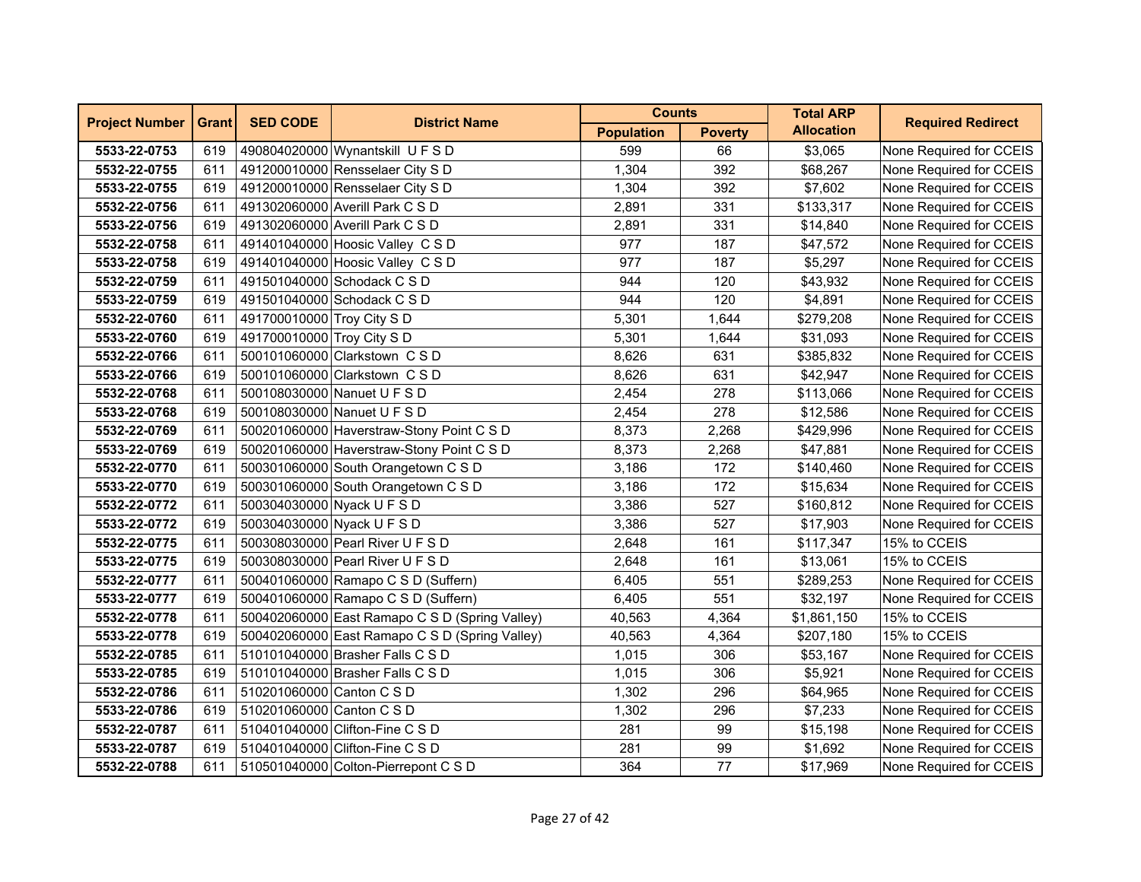| <b>Project Number</b> | <b>Grant</b> | <b>SED CODE</b>            | <b>District Name</b>                           | <b>Counts</b>     |                | <b>Total ARP</b>  | <b>Required Redirect</b> |
|-----------------------|--------------|----------------------------|------------------------------------------------|-------------------|----------------|-------------------|--------------------------|
|                       |              |                            |                                                | <b>Population</b> | <b>Poverty</b> | <b>Allocation</b> |                          |
| 5533-22-0753          | 619          |                            | 490804020000 Wynantskill U F S D               | 599               | 66             | \$3,065           | None Required for CCEIS  |
| 5532-22-0755          | 611          |                            | 491200010000 Rensselaer City S D               | 1,304             | 392            | \$68,267          | None Required for CCEIS  |
| 5533-22-0755          | 619          |                            | 491200010000 Rensselaer City S D               | 1,304             | 392            | \$7,602           | None Required for CCEIS  |
| 5532-22-0756          | 611          |                            | 491302060000 Averill Park C S D                | 2,891             | 331            | \$133,317         | None Required for CCEIS  |
| 5533-22-0756          | 619          |                            | 491302060000 Averill Park C S D                | 2,891             | 331            | \$14,840          | None Required for CCEIS  |
| 5532-22-0758          | 611          |                            | 491401040000 Hoosic Valley C S D               | 977               | 187            | \$47,572          | None Required for CCEIS  |
| 5533-22-0758          | 619          |                            | 491401040000 Hoosic Valley C S D               | 977               | 187            | \$5,297           | None Required for CCEIS  |
| 5532-22-0759          | 611          |                            | 491501040000 Schodack C S D                    | 944               | 120            | \$43,932          | None Required for CCEIS  |
| 5533-22-0759          | 619          |                            | 491501040000 Schodack C S D                    | 944               | 120            | \$4,891           | None Required for CCEIS  |
| 5532-22-0760          | 611          | 491700010000 Troy City S D |                                                | 5,301             | 1,644          | \$279,208         | None Required for CCEIS  |
| 5533-22-0760          | 619          | 491700010000 Troy City S D |                                                | 5,301             | 1,644          | \$31,093          | None Required for CCEIS  |
| 5532-22-0766          | 611          |                            | 500101060000 Clarkstown CSD                    | 8,626             | 631            | \$385,832         | None Required for CCEIS  |
| 5533-22-0766          | 619          |                            | 500101060000 Clarkstown C S D                  | 8,626             | 631            | \$42,947          | None Required for CCEIS  |
| 5532-22-0768          | 611          |                            | 500108030000 Nanuet U F S D                    | 2,454             | 278            | \$113,066         | None Required for CCEIS  |
| 5533-22-0768          | 619          |                            | 500108030000 Nanuet U F S D                    | 2,454             | 278            | \$12,586          | None Required for CCEIS  |
| 5532-22-0769          | 611          |                            | 500201060000 Haverstraw-Stony Point C S D      | 8,373             | 2,268          | \$429,996         | None Required for CCEIS  |
| 5533-22-0769          | 619          |                            | 500201060000 Haverstraw-Stony Point C S D      | 8,373             | 2,268          | \$47,881          | None Required for CCEIS  |
| 5532-22-0770          | 611          |                            | 500301060000 South Orangetown C S D            | 3,186             | 172            | \$140,460         | None Required for CCEIS  |
| 5533-22-0770          | 619          |                            | 500301060000 South Orangetown C S D            | 3,186             | 172            | \$15,634          | None Required for CCEIS  |
| 5532-22-0772          | 611          | 500304030000 Nyack U F S D |                                                | 3,386             | 527            | \$160,812         | None Required for CCEIS  |
| 5533-22-0772          | 619          | 500304030000 Nyack U F S D |                                                | 3,386             | 527            | \$17,903          | None Required for CCEIS  |
| 5532-22-0775          | 611          |                            | 500308030000 Pearl River U F S D               | 2,648             | 161            | \$117,347         | 15% to CCEIS             |
| 5533-22-0775          | 619          |                            | 500308030000 Pearl River U F S D               | 2,648             | 161            | \$13,061          | 15% to CCEIS             |
| 5532-22-0777          | 611          |                            | 500401060000 Ramapo C S D (Suffern)            | 6,405             | 551            | \$289,253         | None Required for CCEIS  |
| 5533-22-0777          | 619          |                            | 500401060000 Ramapo C S D (Suffern)            | 6,405             | 551            | \$32,197          | None Required for CCEIS  |
| 5532-22-0778          | 611          |                            | 500402060000 East Ramapo C S D (Spring Valley) | 40,563            | 4,364          | \$1,861,150       | 15% to CCEIS             |
| 5533-22-0778          | 619          |                            | 500402060000 East Ramapo C S D (Spring Valley) | 40,563            | 4,364          | \$207,180         | 15% to CCEIS             |
| 5532-22-0785          | 611          |                            | 510101040000 Brasher Falls C S D               | 1,015             | 306            | \$53,167          | None Required for CCEIS  |
| 5533-22-0785          | 619          |                            | 510101040000 Brasher Falls C S D               | 1,015             | 306            | \$5,921           | None Required for CCEIS  |
| 5532-22-0786          | 611          | 510201060000 Canton C S D  |                                                | 1,302             | 296            | \$64,965          | None Required for CCEIS  |
| 5533-22-0786          | 619          | 510201060000 Canton C S D  |                                                | 1,302             | 296            | \$7,233           | None Required for CCEIS  |
| 5532-22-0787          | 611          |                            | 510401040000 Clifton-Fine C S D                | 281               | 99             | \$15,198          | None Required for CCEIS  |
| 5533-22-0787          | 619          |                            | 510401040000 Clifton-Fine C S D                | 281               | 99             | \$1,692           | None Required for CCEIS  |
| 5532-22-0788          | 611          |                            | 510501040000 Colton-Pierrepont C S D           | 364               | 77             | \$17,969          | None Required for CCEIS  |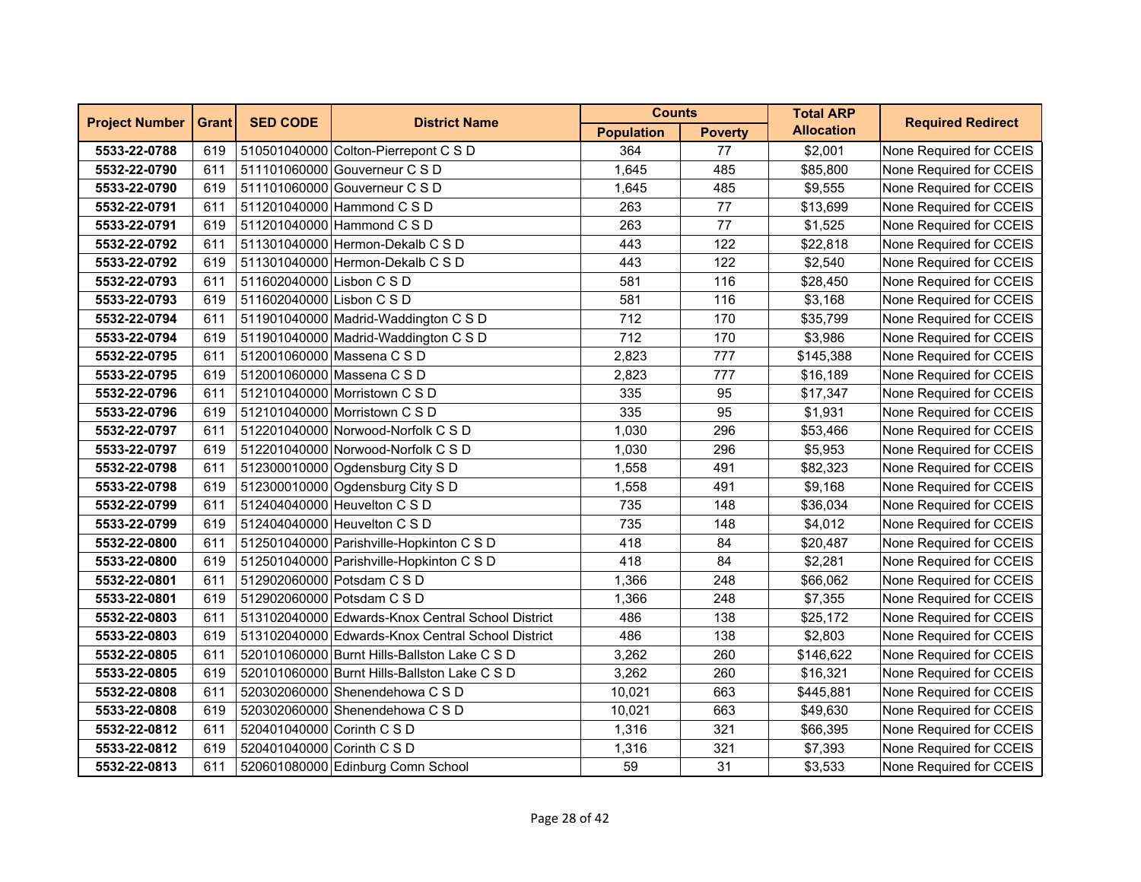| <b>Project Number</b> | <b>Grant</b> | <b>SED CODE</b>            | <b>District Name</b>                              | <b>Counts</b>     |                | <b>Total ARP</b>  | <b>Required Redirect</b> |
|-----------------------|--------------|----------------------------|---------------------------------------------------|-------------------|----------------|-------------------|--------------------------|
|                       |              |                            |                                                   | <b>Population</b> | <b>Poverty</b> | <b>Allocation</b> |                          |
| 5533-22-0788          | 619          |                            | 510501040000 Colton-Pierrepont C S D              | 364               | 77             | \$2,001           | None Required for CCEIS  |
| 5532-22-0790          | 611          |                            | 511101060000 Gouverneur C S D                     | 1,645             | 485            | \$85,800          | None Required for CCEIS  |
| 5533-22-0790          | 619          |                            | 511101060000 Gouverneur C S D                     | 1,645             | 485            | \$9,555           | None Required for CCEIS  |
| 5532-22-0791          | 611          |                            | 511201040000 Hammond C S D                        | 263               | 77             | \$13,699          | None Required for CCEIS  |
| 5533-22-0791          | 619          |                            | 511201040000 Hammond C S D                        | 263               | 77             | \$1,525           | None Required for CCEIS  |
| 5532-22-0792          | 611          |                            | 511301040000 Hermon-Dekalb C S D                  | 443               | 122            | \$22,818          | None Required for CCEIS  |
| 5533-22-0792          | 619          |                            | 511301040000 Hermon-Dekalb C S D                  | 443               | 122            | \$2,540           | None Required for CCEIS  |
| 5532-22-0793          | 611          | 511602040000 Lisbon C S D  |                                                   | 581               | 116            | \$28,450          | None Required for CCEIS  |
| 5533-22-0793          | 619          | 511602040000 Lisbon C S D  |                                                   | 581               | 116            | \$3,168           | None Required for CCEIS  |
| 5532-22-0794          | 611          |                            | 511901040000 Madrid-Waddington C S D              | 712               | 170            | \$35,799          | None Required for CCEIS  |
| 5533-22-0794          | 619          |                            | 511901040000 Madrid-Waddington C S D              | 712               | 170            | \$3,986           | None Required for CCEIS  |
| 5532-22-0795          | 611          |                            | 512001060000 Massena C S D                        | 2,823             | 777            | \$145,388         | None Required for CCEIS  |
| 5533-22-0795          | 619          |                            | 512001060000 Massena C S D                        | 2,823             | 777            | \$16,189          | None Required for CCEIS  |
| 5532-22-0796          | 611          |                            | 512101040000 Morristown C S D                     | 335               | 95             | \$17,347          | None Required for CCEIS  |
| 5533-22-0796          | 619          |                            | 512101040000 Morristown C S D                     | 335               | 95             | \$1,931           | None Required for CCEIS  |
| 5532-22-0797          | 611          |                            | 512201040000 Norwood-Norfolk C S D                | 1,030             | 296            | \$53,466          | None Required for CCEIS  |
| 5533-22-0797          | 619          |                            | 512201040000 Norwood-Norfolk C S D                | 1,030             | 296            | \$5,953           | None Required for CCEIS  |
| 5532-22-0798          | 611          |                            | 512300010000 Ogdensburg City S D                  | 1,558             | 491            | \$82,323          | None Required for CCEIS  |
| 5533-22-0798          | 619          |                            | 512300010000 Ogdensburg City S D                  | 1,558             | 491            | \$9,168           | None Required for CCEIS  |
| 5532-22-0799          | 611          |                            | 512404040000 Heuvelton C S D                      | 735               | 148            | \$36,034          | None Required for CCEIS  |
| 5533-22-0799          | 619          |                            | 512404040000 Heuvelton C S D                      | 735               | 148            | \$4,012           | None Required for CCEIS  |
| 5532-22-0800          | 611          |                            | 512501040000 Parishville-Hopkinton C S D          | 418               | 84             | \$20,487          | None Required for CCEIS  |
| 5533-22-0800          | 619          |                            | 512501040000 Parishville-Hopkinton C S D          | 418               | 84             | \$2,281           | None Required for CCEIS  |
| 5532-22-0801          | 611          |                            | 512902060000 Potsdam C S D                        | 1,366             | 248            | \$66,062          | None Required for CCEIS  |
| 5533-22-0801          | 619          |                            | 512902060000 Potsdam C S D                        | 1,366             | 248            | \$7,355           | None Required for CCEIS  |
| 5532-22-0803          | 611          |                            | 513102040000 Edwards-Knox Central School District | 486               | 138            | \$25,172          | None Required for CCEIS  |
| 5533-22-0803          | 619          |                            | 513102040000 Edwards-Knox Central School District | 486               | 138            | \$2,803           | None Required for CCEIS  |
| 5532-22-0805          | 611          |                            | 520101060000 Burnt Hills-Ballston Lake C S D      | 3,262             | 260            | \$146,622         | None Required for CCEIS  |
| 5533-22-0805          | 619          |                            | 520101060000 Burnt Hills-Ballston Lake C S D      | 3,262             | 260            | \$16,321          | None Required for CCEIS  |
| 5532-22-0808          | 611          |                            | 520302060000 Shenendehowa C S D                   | 10,021            | 663            | \$445,881         | None Required for CCEIS  |
| 5533-22-0808          | 619          |                            | 520302060000 Shenendehowa C S D                   | 10,021            | 663            | \$49,630          | None Required for CCEIS  |
| 5532-22-0812          | 611          | 520401040000 Corinth C S D |                                                   | 1,316             | 321            | \$66,395          | None Required for CCEIS  |
| 5533-22-0812          | 619          | 520401040000 Corinth C S D |                                                   | 1,316             | 321            | \$7,393           | None Required for CCEIS  |
| 5532-22-0813          | 611          |                            | 520601080000 Edinburg Comn School                 | 59                | 31             | \$3,533           | None Required for CCEIS  |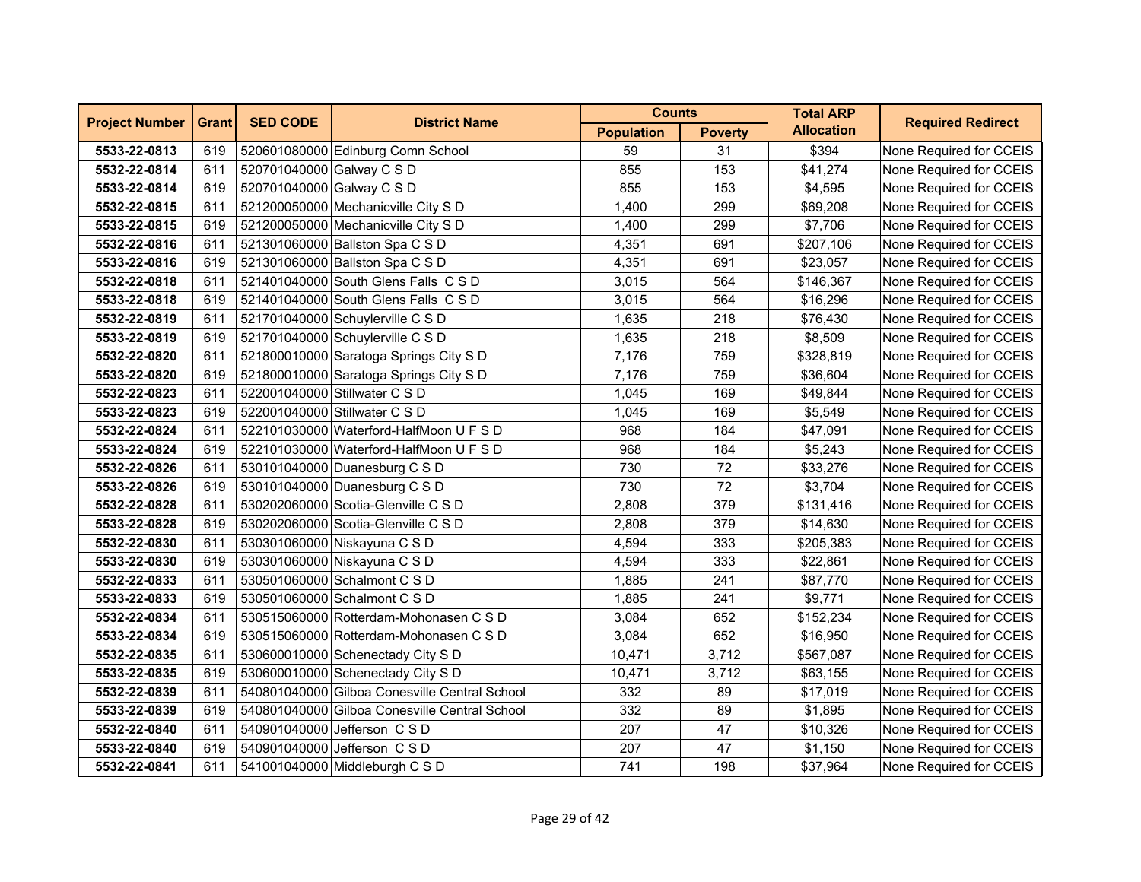| <b>Project Number</b> | <b>Grant</b> | <b>SED CODE</b>           | <b>District Name</b>                          | <b>Counts</b>     |                | <b>Total ARP</b>  | <b>Required Redirect</b> |
|-----------------------|--------------|---------------------------|-----------------------------------------------|-------------------|----------------|-------------------|--------------------------|
|                       |              |                           |                                               | <b>Population</b> | <b>Poverty</b> | <b>Allocation</b> |                          |
| 5533-22-0813          | 619          |                           | 520601080000 Edinburg Comn School             | 59                | 31             | \$394             | None Required for CCEIS  |
| 5532-22-0814          | 611          | 520701040000 Galway C S D |                                               | 855               | 153            | \$41,274          | None Required for CCEIS  |
| 5533-22-0814          | 619          | 520701040000 Galway C S D |                                               | 855               | 153            | \$4,595           | None Required for CCEIS  |
| 5532-22-0815          | 611          |                           | 521200050000 Mechanicville City S D           | 1,400             | 299            | \$69,208          | None Required for CCEIS  |
| 5533-22-0815          | 619          |                           | 521200050000 Mechanicville City S D           | 1,400             | 299            | \$7,706           | None Required for CCEIS  |
| 5532-22-0816          | 611          |                           | 521301060000 Ballston Spa C S D               | 4,351             | 691            | \$207,106         | None Required for CCEIS  |
| 5533-22-0816          | 619          |                           | 521301060000 Ballston Spa C S D               | 4,351             | 691            | \$23,057          | None Required for CCEIS  |
| 5532-22-0818          | 611          |                           | 521401040000 South Glens Falls C S D          | 3,015             | 564            | \$146,367         | None Required for CCEIS  |
| 5533-22-0818          | 619          |                           | 521401040000 South Glens Falls C S D          | 3,015             | 564            | \$16,296          | None Required for CCEIS  |
| 5532-22-0819          | 611          |                           | 521701040000 Schuylerville C S D              | 1,635             | 218            | \$76,430          | None Required for CCEIS  |
| 5533-22-0819          | 619          |                           | 521701040000 Schuylerville C S D              | 1,635             | 218            | \$8,509           | None Required for CCEIS  |
| 5532-22-0820          | 611          |                           | 521800010000 Saratoga Springs City S D        | 7,176             | 759            | \$328,819         | None Required for CCEIS  |
| 5533-22-0820          | 619          |                           | 521800010000 Saratoga Springs City S D        | 7,176             | 759            | \$36,604          | None Required for CCEIS  |
| 5532-22-0823          | 611          |                           | 522001040000 Stillwater C S D                 | 1,045             | 169            | \$49,844          | None Required for CCEIS  |
| 5533-22-0823          | 619          |                           | 522001040000 Stillwater C S D                 | 1,045             | 169            | \$5,549           | None Required for CCEIS  |
| 5532-22-0824          | 611          |                           | 522101030000 Waterford-HalfMoon U F S D       | 968               | 184            | \$47,091          | None Required for CCEIS  |
| 5533-22-0824          | 619          |                           | 522101030000 Waterford-HalfMoon U F S D       | 968               | 184            | \$5,243           | None Required for CCEIS  |
| 5532-22-0826          | 611          |                           | 530101040000 Duanesburg C S D                 | 730               | 72             | \$33,276          | None Required for CCEIS  |
| 5533-22-0826          | 619          |                           | 530101040000 Duanesburg C S D                 | 730               | 72             | \$3,704           | None Required for CCEIS  |
| 5532-22-0828          | 611          |                           | 530202060000 Scotia-Glenville C S D           | 2,808             | 379            | \$131,416         | None Required for CCEIS  |
| 5533-22-0828          | 619          |                           | 530202060000 Scotia-Glenville C S D           | 2,808             | 379            | \$14,630          | None Required for CCEIS  |
| 5532-22-0830          | 611          |                           | 530301060000 Niskayuna C S D                  | 4,594             | 333            | \$205,383         | None Required for CCEIS  |
| 5533-22-0830          | 619          |                           | 530301060000 Niskayuna C S D                  | 4,594             | 333            | \$22,861          | None Required for CCEIS  |
| 5532-22-0833          | 611          |                           | 530501060000 Schalmont C S D                  | 1,885             | 241            | \$87,770          | None Required for CCEIS  |
| 5533-22-0833          | 619          |                           | 530501060000 Schalmont C S D                  | 1,885             | 241            | \$9,771           | None Required for CCEIS  |
| 5532-22-0834          | 611          |                           | 530515060000 Rotterdam-Mohonasen C S D        | 3,084             | 652            | \$152,234         | None Required for CCEIS  |
| 5533-22-0834          | 619          |                           | 530515060000 Rotterdam-Mohonasen C S D        | 3,084             | 652            | \$16,950          | None Required for CCEIS  |
| 5532-22-0835          | 611          |                           | 530600010000 Schenectady City S D             | 10,471            | 3,712          | \$567,087         | None Required for CCEIS  |
| 5533-22-0835          | 619          |                           | 530600010000 Schenectady City S D             | 10,471            | 3,712          | \$63,155          | None Required for CCEIS  |
| 5532-22-0839          | 611          |                           | 540801040000 Gilboa Conesville Central School | 332               | 89             | \$17,019          | None Required for CCEIS  |
| 5533-22-0839          | 619          |                           | 540801040000 Gilboa Conesville Central School | 332               | 89             | \$1,895           | None Required for CCEIS  |
| 5532-22-0840          | 611          |                           | 540901040000 Jefferson C S D                  | 207               | 47             | \$10,326          | None Required for CCEIS  |
| 5533-22-0840          | 619          |                           | 540901040000 Jefferson C S D                  | 207               | 47             | \$1,150           | None Required for CCEIS  |
| 5532-22-0841          | 611          |                           | 541001040000 Middleburgh C S D                | 741               | 198            | \$37,964          | None Required for CCEIS  |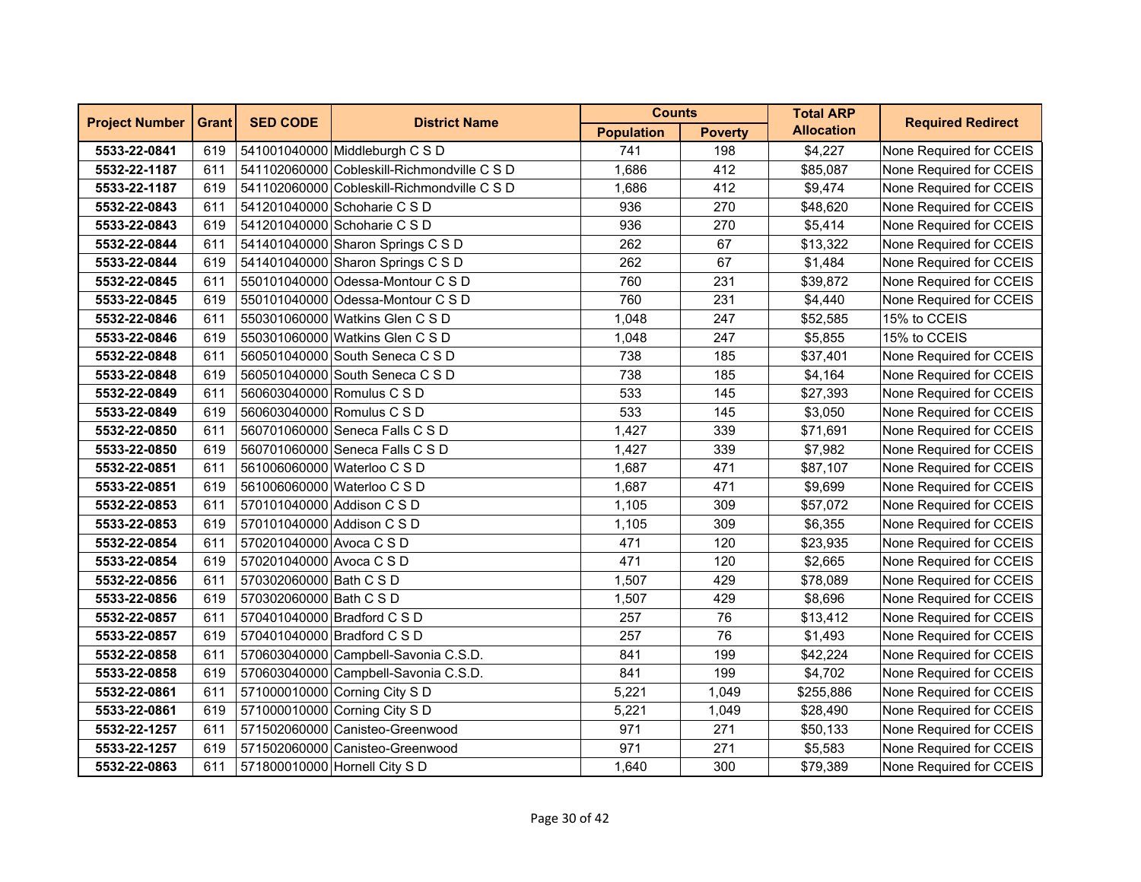| <b>Project Number</b> | <b>Grant</b> | <b>SED CODE</b>            | <b>District Name</b>                        | <b>Counts</b>     |                | <b>Total ARP</b>  | <b>Required Redirect</b> |
|-----------------------|--------------|----------------------------|---------------------------------------------|-------------------|----------------|-------------------|--------------------------|
|                       |              |                            |                                             | <b>Population</b> | <b>Poverty</b> | <b>Allocation</b> |                          |
| 5533-22-0841          | 619          |                            | 541001040000 Middleburgh C S D              | 741               | 198            | \$4,227           | None Required for CCEIS  |
| 5532-22-1187          | 611          |                            | 541102060000 Cobleskill-Richmondville C S D | 1,686             | 412            | \$85,087          | None Required for CCEIS  |
| 5533-22-1187          | 619          |                            | 541102060000 Cobleskill-Richmondville C S D | 1,686             | 412            | \$9,474           | None Required for CCEIS  |
| 5532-22-0843          | 611          |                            | 541201040000 Schoharie C S D                | 936               | 270            | \$48,620          | None Required for CCEIS  |
| 5533-22-0843          | 619          |                            | 541201040000 Schoharie C S D                | 936               | 270            | \$5,414           | None Required for CCEIS  |
| 5532-22-0844          | 611          |                            | 541401040000 Sharon Springs C S D           | 262               | 67             | \$13,322          | None Required for CCEIS  |
| 5533-22-0844          | 619          |                            | 541401040000 Sharon Springs C S D           | 262               | 67             | \$1,484           | None Required for CCEIS  |
| 5532-22-0845          | 611          |                            | 550101040000 Odessa-Montour C S D           | 760               | 231            | \$39,872          | None Required for CCEIS  |
| 5533-22-0845          | 619          |                            | 550101040000 Odessa-Montour C S D           | 760               | 231            | \$4,440           | None Required for CCEIS  |
| 5532-22-0846          | 611          |                            | 550301060000 Watkins Glen C S D             | 1,048             | 247            | \$52,585          | 15% to CCEIS             |
| 5533-22-0846          | 619          |                            | 550301060000 Watkins Glen C S D             | 1,048             | 247            | \$5,855           | 15% to CCEIS             |
| 5532-22-0848          | 611          |                            | 560501040000 South Seneca C S D             | 738               | 185            | \$37,401          | None Required for CCEIS  |
| 5533-22-0848          | 619          |                            | 560501040000 South Seneca C S D             | 738               | 185            | \$4,164           | None Required for CCEIS  |
| 5532-22-0849          | 611          |                            | 560603040000 Romulus C S D                  | 533               | 145            | \$27,393          | None Required for CCEIS  |
| 5533-22-0849          | 619          |                            | 560603040000 Romulus C S D                  | 533               | 145            | \$3,050           | None Required for CCEIS  |
| 5532-22-0850          | 611          |                            | 560701060000 Seneca Falls C S D             | 1,427             | 339            | \$71,691          | None Required for CCEIS  |
| 5533-22-0850          | 619          |                            | 560701060000 Seneca Falls C S D             | 1,427             | 339            | \$7,982           | None Required for CCEIS  |
| 5532-22-0851          | 611          |                            | 561006060000 Waterloo C S D                 | 1,687             | 471            | \$87,107          | None Required for CCEIS  |
| 5533-22-0851          | 619          |                            | 561006060000 Waterloo C S D                 | 1.687             | 471            | \$9,699           | None Required for CCEIS  |
| 5532-22-0853          | 611          | 570101040000 Addison C S D |                                             | 1,105             | 309            | \$57,072          | None Required for CCEIS  |
| 5533-22-0853          | 619          | 570101040000 Addison C S D |                                             | 1,105             | 309            | \$6,355           | None Required for CCEIS  |
| 5532-22-0854          | 611          | 570201040000 Avoca C S D   |                                             | 471               | 120            | \$23,935          | None Required for CCEIS  |
| 5533-22-0854          | 619          | 570201040000 Avoca C S D   |                                             | 471               | 120            | \$2,665           | None Required for CCEIS  |
| 5532-22-0856          | 611          | 570302060000 Bath C S D    |                                             | 1,507             | 429            | \$78,089          | None Required for CCEIS  |
| 5533-22-0856          | 619          | 570302060000 Bath C S D    |                                             | 1,507             | 429            | \$8,696           | None Required for CCEIS  |
| 5532-22-0857          | 611          |                            | 570401040000 Bradford C S D                 | 257               | 76             | \$13,412          | None Required for CCEIS  |
| 5533-22-0857          | 619          |                            | 570401040000 Bradford C S D                 | 257               | 76             | \$1,493           | None Required for CCEIS  |
| 5532-22-0858          | 611          |                            | 570603040000 Campbell-Savonia C.S.D.        | 841               | 199            | \$42,224          | None Required for CCEIS  |
| 5533-22-0858          | 619          |                            | 570603040000 Campbell-Savonia C.S.D.        | 841               | 199            | \$4,702           | None Required for CCEIS  |
| 5532-22-0861          | 611          |                            | 571000010000 Corning City S D               | 5,221             | 1,049          | \$255,886         | None Required for CCEIS  |
| 5533-22-0861          | 619          |                            | 571000010000 Corning City S D               | 5,221             | 1,049          | \$28,490          | None Required for CCEIS  |
| 5532-22-1257          | 611          |                            | 571502060000 Canisteo-Greenwood             | 971               | 271            | \$50,133          | None Required for CCEIS  |
| 5533-22-1257          | 619          |                            | 571502060000 Canisteo-Greenwood             | 971               | 271            | \$5,583           | None Required for CCEIS  |
| 5532-22-0863          | 611          |                            | 571800010000 Hornell City S D               | 1,640             | 300            | \$79,389          | None Required for CCEIS  |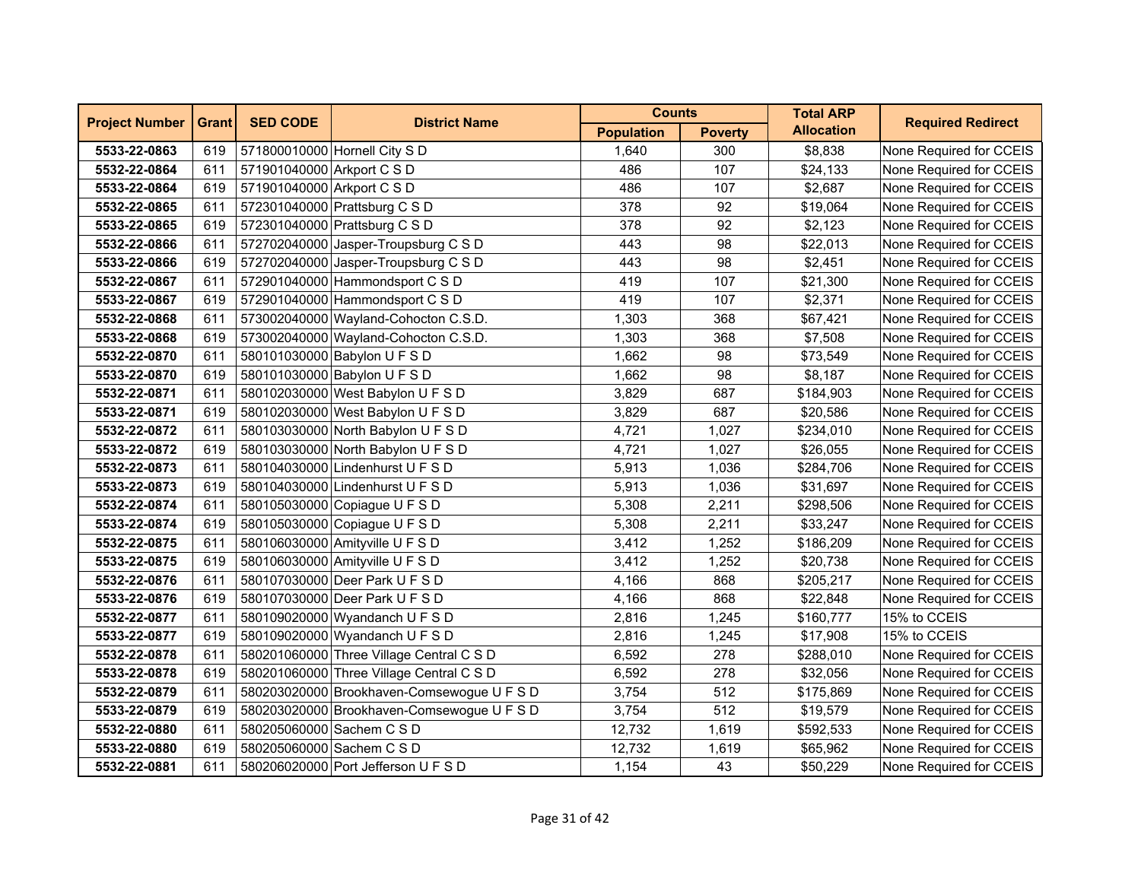| <b>Project Number</b> | <b>Grant</b> | <b>SED CODE</b>            | <b>District Name</b>                       | <b>Counts</b>     |                | <b>Total ARP</b>  | <b>Required Redirect</b> |
|-----------------------|--------------|----------------------------|--------------------------------------------|-------------------|----------------|-------------------|--------------------------|
|                       |              |                            |                                            | <b>Population</b> | <b>Poverty</b> | <b>Allocation</b> |                          |
| 5533-22-0863          | 619          |                            | 571800010000 Hornell City S D              | 1,640             | 300            | \$8,838           | None Required for CCEIS  |
| 5532-22-0864          | 611          | 571901040000 Arkport C S D |                                            | 486               | 107            | \$24,133          | None Required for CCEIS  |
| 5533-22-0864          | 619          | 571901040000 Arkport C S D |                                            | 486               | 107            | \$2,687           | None Required for CCEIS  |
| 5532-22-0865          | 611          |                            | 572301040000 Prattsburg C S D              | 378               | 92             | \$19,064          | None Required for CCEIS  |
| 5533-22-0865          | 619          |                            | 572301040000 Prattsburg C S D              | 378               | 92             | \$2,123           | None Required for CCEIS  |
| 5532-22-0866          | 611          |                            | 572702040000 Jasper-Troupsburg C S D       | 443               | 98             | \$22,013          | None Required for CCEIS  |
| 5533-22-0866          | 619          |                            | 572702040000 Jasper-Troupsburg C S D       | 443               | 98             | \$2,451           | None Required for CCEIS  |
| 5532-22-0867          | 611          |                            | 572901040000 Hammondsport C S D            | 419               | 107            | \$21,300          | None Required for CCEIS  |
| 5533-22-0867          | 619          |                            | 572901040000 Hammondsport C S D            | 419               | 107            | \$2,371           | None Required for CCEIS  |
| 5532-22-0868          | 611          |                            | 573002040000 Wayland-Cohocton C.S.D.       | 1,303             | 368            | \$67,421          | None Required for CCEIS  |
| 5533-22-0868          | 619          |                            | 573002040000 Wayland-Cohocton C.S.D.       | 1,303             | 368            | \$7,508           | None Required for CCEIS  |
| 5532-22-0870          | 611          |                            | 580101030000 Babylon U F S D               | 1,662             | 98             | \$73,549          | None Required for CCEIS  |
| 5533-22-0870          | 619          |                            | 580101030000 Babylon U F S D               | 1,662             | 98             | \$8,187           | None Required for CCEIS  |
| 5532-22-0871          | 611          |                            | 580102030000 West Babylon U F S D          | 3,829             | 687            | \$184,903         | None Required for CCEIS  |
| 5533-22-0871          | 619          |                            | 580102030000 West Babylon U F S D          | 3,829             | 687            | \$20,586          | None Required for CCEIS  |
| 5532-22-0872          | 611          |                            | 580103030000 North Babylon U F S D         | 4,721             | 1,027          | \$234,010         | None Required for CCEIS  |
| 5533-22-0872          | 619          |                            | 580103030000 North Babylon U F S D         | 4,721             | 1,027          | \$26,055          | None Required for CCEIS  |
| 5532-22-0873          | 611          |                            | 580104030000 Lindenhurst U F S D           | 5,913             | 1,036          | \$284,706         | None Required for CCEIS  |
| 5533-22-0873          | 619          |                            | 580104030000 Lindenhurst U F S D           | 5,913             | 1,036          | \$31,697          | None Required for CCEIS  |
| 5532-22-0874          | 611          |                            | 580105030000 Copiague U F S D              | 5,308             | 2,211          | \$298,506         | None Required for CCEIS  |
| 5533-22-0874          | 619          |                            | 580105030000 Copiague U F S D              | 5,308             | 2,211          | \$33,247          | None Required for CCEIS  |
| 5532-22-0875          | 611          |                            | 580106030000 Amityville U F S D            | 3,412             | 1,252          | \$186,209         | None Required for CCEIS  |
| 5533-22-0875          | 619          |                            | 580106030000 Amityville U F S D            | 3,412             | 1,252          | \$20,738          | None Required for CCEIS  |
| 5532-22-0876          | 611          |                            | 580107030000 Deer Park U F S D             | 4,166             | 868            | \$205,217         | None Required for CCEIS  |
| 5533-22-0876          | 619          |                            | 580107030000 Deer Park U F S D             | 4,166             | 868            | \$22,848          | None Required for CCEIS  |
| 5532-22-0877          | 611          |                            | 580109020000 Wyandanch U F S D             | 2,816             | 1,245          | \$160,777         | 15% to CCEIS             |
| 5533-22-0877          | 619          |                            | 580109020000 Wyandanch U F S D             | 2,816             | 1,245          | \$17,908          | 15% to CCEIS             |
| 5532-22-0878          | 611          |                            | 580201060000 Three Village Central C S D   | 6,592             | 278            | \$288,010         | None Required for CCEIS  |
| 5533-22-0878          | 619          |                            | 580201060000 Three Village Central C S D   | 6,592             | 278            | \$32,056          | None Required for CCEIS  |
| 5532-22-0879          | 611          |                            | 580203020000 Brookhaven-Comsewogue U F S D | 3,754             | 512            | \$175,869         | None Required for CCEIS  |
| 5533-22-0879          | 619          |                            | 580203020000 Brookhaven-Comsewogue U F S D | 3,754             | 512            | \$19,579          | None Required for CCEIS  |
| 5532-22-0880          | 611          | 580205060000 Sachem C S D  |                                            | 12,732            | 1,619          | \$592,533         | None Required for CCEIS  |
| 5533-22-0880          | 619          | 580205060000 Sachem C S D  |                                            | 12,732            | 1,619          | \$65,962          | None Required for CCEIS  |
| 5532-22-0881          | 611          |                            | 580206020000 Port Jefferson U F S D        | 1,154             | 43             | \$50,229          | None Required for CCEIS  |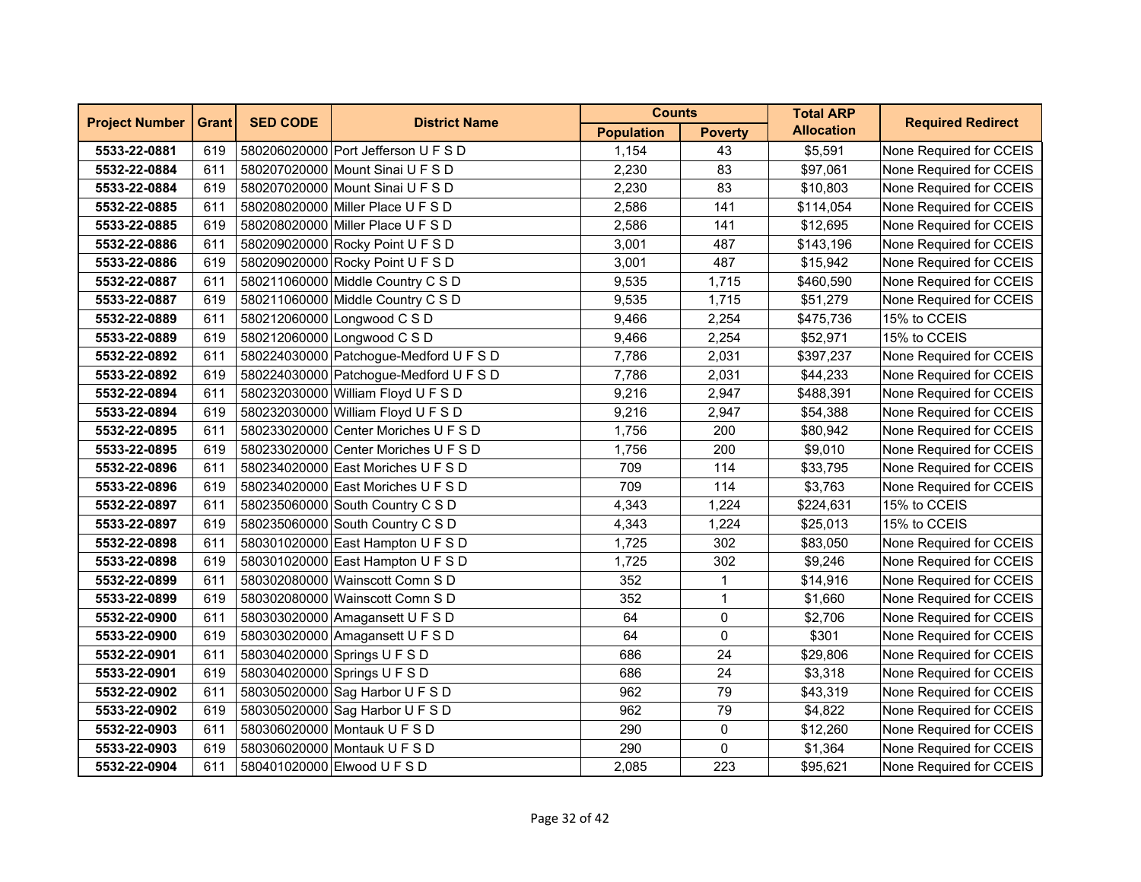| <b>Project Number</b> | <b>Grant</b> | <b>SED CODE</b> | <b>District Name</b>                   | <b>Counts</b>     |                | <b>Total ARP</b>  | <b>Required Redirect</b> |
|-----------------------|--------------|-----------------|----------------------------------------|-------------------|----------------|-------------------|--------------------------|
|                       |              |                 |                                        | <b>Population</b> | <b>Poverty</b> | <b>Allocation</b> |                          |
| 5533-22-0881          | 619          |                 | 580206020000 Port Jefferson U F S D    | 1,154             | 43             | \$5,591           | None Required for CCEIS  |
| 5532-22-0884          | 611          |                 | 580207020000 Mount Sinai U F S D       | 2,230             | 83             | \$97,061          | None Required for CCEIS  |
| 5533-22-0884          | 619          |                 | 580207020000 Mount Sinai U F S D       | 2,230             | 83             | \$10,803          | None Required for CCEIS  |
| 5532-22-0885          | 611          |                 | 580208020000 Miller Place U F S D      | 2,586             | 141            | \$114,054         | None Required for CCEIS  |
| 5533-22-0885          | 619          |                 | 580208020000 Miller Place U F S D      | 2,586             | 141            | \$12,695          | None Required for CCEIS  |
| 5532-22-0886          | 611          |                 | 580209020000 Rocky Point U F S D       | 3,001             | 487            | \$143,196         | None Required for CCEIS  |
| 5533-22-0886          | 619          |                 | 580209020000 Rocky Point U F S D       | 3,001             | 487            | \$15,942          | None Required for CCEIS  |
| 5532-22-0887          | 611          |                 | 580211060000 Middle Country C S D      | 9,535             | 1,715          | \$460,590         | None Required for CCEIS  |
| 5533-22-0887          | 619          |                 | 580211060000 Middle Country C S D      | 9,535             | 1,715          | \$51,279          | None Required for CCEIS  |
| 5532-22-0889          | 611          |                 | 580212060000 Longwood C S D            | 9,466             | 2,254          | \$475,736         | 15% to CCEIS             |
| 5533-22-0889          | 619          |                 | 580212060000 Longwood C S D            | 9,466             | 2,254          | \$52,971          | 15% to CCEIS             |
| 5532-22-0892          | 611          |                 | 580224030000 Patchogue-Medford U F S D | 7,786             | 2,031          | \$397,237         | None Required for CCEIS  |
| 5533-22-0892          | 619          |                 | 580224030000 Patchogue-Medford U F S D | 7,786             | 2,031          | \$44,233          | None Required for CCEIS  |
| 5532-22-0894          | 611          |                 | 580232030000 William Floyd U F S D     | 9,216             | 2,947          | \$488,391         | None Required for CCEIS  |
| 5533-22-0894          | 619          |                 | 580232030000 William Floyd U F S D     | 9,216             | 2,947          | \$54,388          | None Required for CCEIS  |
| 5532-22-0895          | 611          |                 | 580233020000 Center Moriches U F S D   | 1,756             | 200            | \$80,942          | None Required for CCEIS  |
| 5533-22-0895          | 619          |                 | 580233020000 Center Moriches U F S D   | 1,756             | 200            | \$9,010           | None Required for CCEIS  |
| 5532-22-0896          | 611          |                 | 580234020000 East Moriches U F S D     | 709               | 114            | \$33,795          | None Required for CCEIS  |
| 5533-22-0896          | 619          |                 | 580234020000 East Moriches U F S D     | 709               | 114            | \$3,763           | None Required for CCEIS  |
| 5532-22-0897          | 611          |                 | 580235060000 South Country C S D       | 4,343             | 1,224          | \$224,631         | 15% to CCEIS             |
| 5533-22-0897          | 619          |                 | 580235060000 South Country C S D       | 4,343             | 1,224          | \$25,013          | 15% to CCEIS             |
| 5532-22-0898          | 611          |                 | 580301020000 East Hampton U F S D      | 1,725             | 302            | \$83,050          | None Required for CCEIS  |
| 5533-22-0898          | 619          |                 | 580301020000 East Hampton U F S D      | 1,725             | 302            | \$9,246           | None Required for CCEIS  |
| 5532-22-0899          | 611          |                 | 580302080000 Wainscott Comn S D        | 352               | $\mathbf{1}$   | \$14,916          | None Required for CCEIS  |
| 5533-22-0899          | 619          |                 | 580302080000 Wainscott Comn S D        | 352               | $\mathbf{1}$   | \$1,660           | None Required for CCEIS  |
| 5532-22-0900          | 611          |                 | 580303020000 Amagansett U F S D        | 64                | 0              | \$2,706           | None Required for CCEIS  |
| 5533-22-0900          | 619          |                 | 580303020000 Amagansett U F S D        | 64                | 0              | \$301             | None Required for CCEIS  |
| 5532-22-0901          | 611          |                 | 580304020000 Springs U F S D           | 686               | 24             | \$29,806          | None Required for CCEIS  |
| 5533-22-0901          | 619          |                 | 580304020000 Springs U F S D           | 686               | 24             | \$3,318           | None Required for CCEIS  |
| 5532-22-0902          | 611          |                 | 580305020000 Sag Harbor U F S D        | 962               | 79             | \$43,319          | None Required for CCEIS  |
| 5533-22-0902          | 619          |                 | 580305020000 Sag Harbor U F S D        | 962               | 79             | \$4,822           | None Required for CCEIS  |
| 5532-22-0903          | 611          |                 | 580306020000 Montauk U F S D           | 290               | 0              | \$12,260          | None Required for CCEIS  |
| 5533-22-0903          | 619          |                 | 580306020000 Montauk U F S D           | 290               | 0              | \$1,364           | None Required for CCEIS  |
| 5532-22-0904          | 611          |                 | 580401020000 Elwood U F S D            | 2,085             | 223            | \$95,621          | None Required for CCEIS  |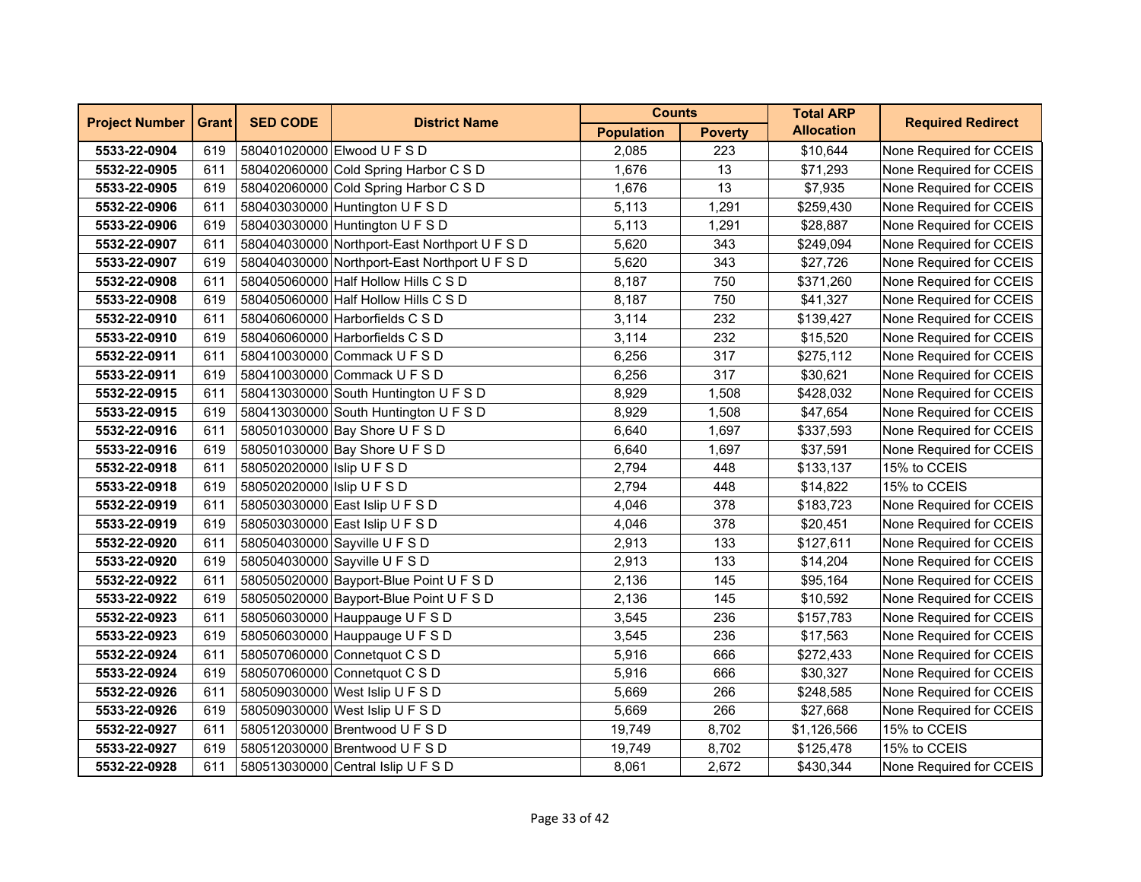| <b>Project Number</b> | <b>Grant</b> | <b>SED CODE</b>            | <b>District Name</b>                          | <b>Counts</b>     |                | <b>Total ARP</b>  | <b>Required Redirect</b> |
|-----------------------|--------------|----------------------------|-----------------------------------------------|-------------------|----------------|-------------------|--------------------------|
|                       |              |                            |                                               | <b>Population</b> | <b>Poverty</b> | <b>Allocation</b> |                          |
| 5533-22-0904          | 619          |                            | 580401020000 Elwood U F S D                   | 2,085             | 223            | \$10,644          | None Required for CCEIS  |
| 5532-22-0905          | 611          |                            | 580402060000 Cold Spring Harbor C S D         | 1,676             | 13             | \$71,293          | None Required for CCEIS  |
| 5533-22-0905          | 619          |                            | 580402060000 Cold Spring Harbor C S D         | 1,676             | 13             | \$7,935           | None Required for CCEIS  |
| 5532-22-0906          | 611          |                            | 580403030000 Huntington U F S D               | 5,113             | 1,291          | \$259,430         | None Required for CCEIS  |
| 5533-22-0906          | 619          |                            | 580403030000 Huntington U F S D               | 5,113             | 1,291          | \$28,887          | None Required for CCEIS  |
| 5532-22-0907          | 611          |                            | 580404030000 Northport-East Northport U F S D | 5,620             | 343            | \$249,094         | None Required for CCEIS  |
| 5533-22-0907          | 619          |                            | 580404030000 Northport-East Northport U F S D | 5,620             | 343            | \$27,726          | None Required for CCEIS  |
| 5532-22-0908          | 611          |                            | 580405060000 Half Hollow Hills C S D          | 8,187             | 750            | \$371,260         | None Required for CCEIS  |
| 5533-22-0908          | 619          |                            | 580405060000 Half Hollow Hills C S D          | 8,187             | 750            | \$41,327          | None Required for CCEIS  |
| 5532-22-0910          | 611          |                            | 580406060000 Harborfields C S D               | 3,114             | 232            | \$139,427         | None Required for CCEIS  |
| 5533-22-0910          | 619          |                            | 580406060000 Harborfields C S D               | 3,114             | 232            | \$15,520          | None Required for CCEIS  |
| 5532-22-0911          | 611          |                            | 580410030000 Commack U F S D                  | 6,256             | 317            | \$275,112         | None Required for CCEIS  |
| 5533-22-0911          | 619          |                            | 580410030000 Commack U F S D                  | 6,256             | 317            | \$30,621          | None Required for CCEIS  |
| 5532-22-0915          | 611          |                            | 580413030000 South Huntington U F S D         | 8,929             | 1,508          | \$428,032         | None Required for CCEIS  |
| 5533-22-0915          | 619          |                            | 580413030000 South Huntington U F S D         | 8,929             | 1,508          | \$47,654          | None Required for CCEIS  |
| 5532-22-0916          | 611          |                            | 580501030000 Bay Shore U F S D                | 6,640             | 1,697          | \$337,593         | None Required for CCEIS  |
| 5533-22-0916          | 619          |                            | 580501030000 Bay Shore U F S D                | 6,640             | 1,697          | \$37,591          | None Required for CCEIS  |
| 5532-22-0918          | 611          | 580502020000 Islip U F S D |                                               | 2,794             | 448            | \$133,137         | 15% to CCEIS             |
| 5533-22-0918          | 619          | 580502020000 Islip U F S D |                                               | 2,794             | 448            | \$14,822          | 15% to CCEIS             |
| 5532-22-0919          | 611          |                            | 580503030000 East Islip U F S D               | 4,046             | 378            | \$183,723         | None Required for CCEIS  |
| 5533-22-0919          | 619          |                            | 580503030000 East Islip U F S D               | 4,046             | 378            | \$20,451          | None Required for CCEIS  |
| 5532-22-0920          | 611          |                            | 580504030000 Sayville U F S D                 | 2,913             | 133            | \$127,611         | None Required for CCEIS  |
| 5533-22-0920          | 619          |                            | 580504030000 Sayville U F S D                 | 2,913             | 133            | \$14,204          | None Required for CCEIS  |
| 5532-22-0922          | 611          |                            | 580505020000 Bayport-Blue Point U F S D       | 2,136             | 145            | \$95,164          | None Required for CCEIS  |
| 5533-22-0922          | 619          |                            | 580505020000 Bayport-Blue Point U F S D       | 2,136             | 145            | \$10,592          | None Required for CCEIS  |
| 5532-22-0923          | 611          |                            | 580506030000 Hauppauge U F S D                | 3,545             | 236            | \$157,783         | None Required for CCEIS  |
| 5533-22-0923          | 619          |                            | 580506030000 Hauppauge U F S D                | 3,545             | 236            | \$17,563          | None Required for CCEIS  |
| 5532-22-0924          | 611          |                            | 580507060000 Connetquot C S D                 | 5,916             | 666            | \$272,433         | None Required for CCEIS  |
| 5533-22-0924          | 619          |                            | 580507060000 Connetquot C S D                 | 5,916             | 666            | \$30,327          | None Required for CCEIS  |
| 5532-22-0926          | 611          |                            | 580509030000 West Islip U F S D               | 5,669             | 266            | \$248,585         | None Required for CCEIS  |
| 5533-22-0926          | 619          |                            | 580509030000 West Islip U F S D               | 5,669             | 266            | \$27,668          | None Required for CCEIS  |
| 5532-22-0927          | 611          |                            | 580512030000 Brentwood U F S D                | 19,749            | 8,702          | \$1,126,566       | 15% to CCEIS             |
| 5533-22-0927          | 619          |                            | 580512030000 Brentwood U F S D                | 19,749            | 8,702          | \$125,478         | 15% to CCEIS             |
| 5532-22-0928          | 611          |                            | 580513030000 Central Islip U F S D            | 8,061             | 2,672          | \$430,344         | None Required for CCEIS  |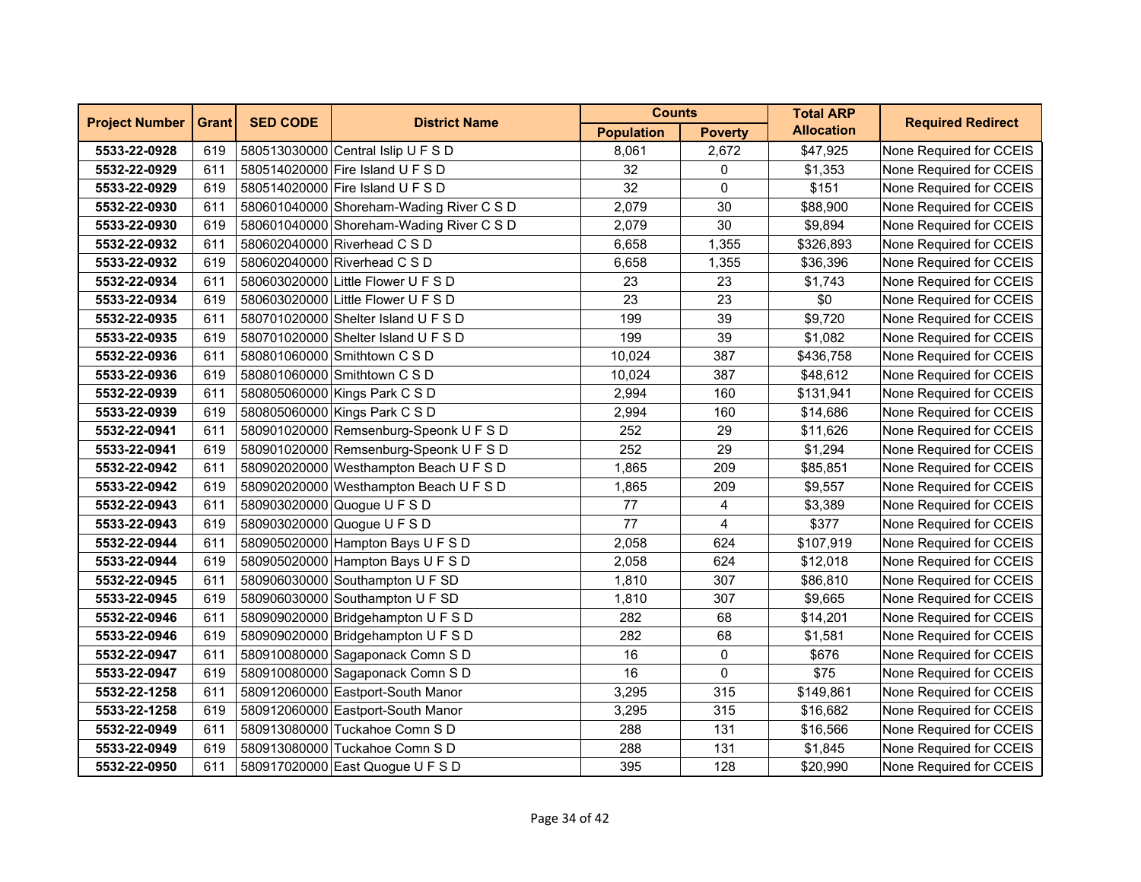| <b>Project Number</b> | <b>Grant</b> | <b>SED CODE</b> | <b>District Name</b>                     | <b>Counts</b>     |                | <b>Total ARP</b>  | <b>Required Redirect</b> |
|-----------------------|--------------|-----------------|------------------------------------------|-------------------|----------------|-------------------|--------------------------|
|                       |              |                 |                                          | <b>Population</b> | <b>Poverty</b> | <b>Allocation</b> |                          |
| 5533-22-0928          | 619          |                 | 580513030000 Central Islip U F S D       | 8,061             | 2,672          | \$47,925          | None Required for CCEIS  |
| 5532-22-0929          | 611          |                 | 580514020000 Fire Island U F S D         | 32                | 0              | \$1,353           | None Required for CCEIS  |
| 5533-22-0929          | 619          |                 | 580514020000 Fire Island U F S D         | 32                | 0              | \$151             | None Required for CCEIS  |
| 5532-22-0930          | 611          |                 | 580601040000 Shoreham-Wading River C S D | 2,079             | 30             | \$88,900          | None Required for CCEIS  |
| 5533-22-0930          | 619          |                 | 580601040000 Shoreham-Wading River C S D | 2,079             | 30             | \$9,894           | None Required for CCEIS  |
| 5532-22-0932          | 611          |                 | 580602040000 Riverhead C S D             | 6,658             | 1,355          | \$326,893         | None Required for CCEIS  |
| 5533-22-0932          | 619          |                 | 580602040000 Riverhead C S D             | 6,658             | 1,355          | \$36,396          | None Required for CCEIS  |
| 5532-22-0934          | 611          |                 | 580603020000 Little Flower U F S D       | 23                | 23             | \$1,743           | None Required for CCEIS  |
| 5533-22-0934          | 619          |                 | 580603020000 Little Flower U F S D       | 23                | 23             | \$0               | None Required for CCEIS  |
| 5532-22-0935          | 611          |                 | 580701020000 Shelter Island U F S D      | 199               | 39             | \$9,720           | None Required for CCEIS  |
| 5533-22-0935          | 619          |                 | 580701020000 Shelter Island U F S D      | 199               | 39             | \$1,082           | None Required for CCEIS  |
| 5532-22-0936          | 611          |                 | 580801060000 Smithtown C S D             | 10,024            | 387            | \$436,758         | None Required for CCEIS  |
| 5533-22-0936          | 619          |                 | 580801060000 Smithtown C S D             | 10,024            | 387            | \$48,612          | None Required for CCEIS  |
| 5532-22-0939          | 611          |                 | 580805060000 Kings Park C S D            | 2,994             | 160            | \$131,941         | None Required for CCEIS  |
| 5533-22-0939          | 619          |                 | 580805060000 Kings Park C S D            | 2,994             | 160            | \$14,686          | None Required for CCEIS  |
| 5532-22-0941          | 611          |                 | 580901020000 Remsenburg-Speonk U F S D   | 252               | 29             | \$11,626          | None Required for CCEIS  |
| 5533-22-0941          | 619          |                 | 580901020000 Remsenburg-Speonk U F S D   | 252               | 29             | \$1,294           | None Required for CCEIS  |
| 5532-22-0942          | 611          |                 | 580902020000 Westhampton Beach U F S D   | 1,865             | 209            | \$85,851          | None Required for CCEIS  |
| 5533-22-0942          | 619          |                 | 580902020000 Westhampton Beach U F S D   | 1,865             | 209            | \$9,557           | None Required for CCEIS  |
| 5532-22-0943          | 611          |                 | 580903020000 Quogue U F S D              | 77                | 4              | \$3,389           | None Required for CCEIS  |
| 5533-22-0943          | 619          |                 | 580903020000 Quogue U F S D              | 77                | $\overline{4}$ | \$377             | None Required for CCEIS  |
| 5532-22-0944          | 611          |                 | 580905020000 Hampton Bays U F S D        | 2,058             | 624            | \$107,919         | None Required for CCEIS  |
| 5533-22-0944          | 619          |                 | 580905020000 Hampton Bays U F S D        | 2,058             | 624            | \$12,018          | None Required for CCEIS  |
| 5532-22-0945          | 611          |                 | 580906030000 Southampton U F SD          | 1,810             | 307            | \$86,810          | None Required for CCEIS  |
| 5533-22-0945          | 619          |                 | 580906030000 Southampton U F SD          | 1,810             | 307            | \$9,665           | None Required for CCEIS  |
| 5532-22-0946          | 611          |                 | 580909020000 Bridgehampton U F S D       | 282               | 68             | \$14,201          | None Required for CCEIS  |
| 5533-22-0946          | 619          |                 | 580909020000 Bridgehampton U F S D       | 282               | 68             | \$1,581           | None Required for CCEIS  |
| 5532-22-0947          | 611          |                 | 580910080000 Sagaponack Comn S D         | 16                | 0              | \$676             | None Required for CCEIS  |
| 5533-22-0947          | 619          |                 | 580910080000 Sagaponack Comn S D         | 16                | 0              | \$75              | None Required for CCEIS  |
| 5532-22-1258          | 611          |                 | 580912060000 Eastport-South Manor        | 3,295             | 315            | \$149,861         | None Required for CCEIS  |
| 5533-22-1258          | 619          |                 | 580912060000 Eastport-South Manor        | 3,295             | 315            | \$16,682          | None Required for CCEIS  |
| 5532-22-0949          | 611          |                 | 580913080000 Tuckahoe Comn S D           | 288               | 131            | \$16,566          | None Required for CCEIS  |
| 5533-22-0949          | 619          |                 | 580913080000 Tuckahoe Comn S D           | 288               | 131            | \$1,845           | None Required for CCEIS  |
| 5532-22-0950          | 611          |                 | 580917020000 East Quogue U F S D         | 395               | 128            | \$20,990          | None Required for CCEIS  |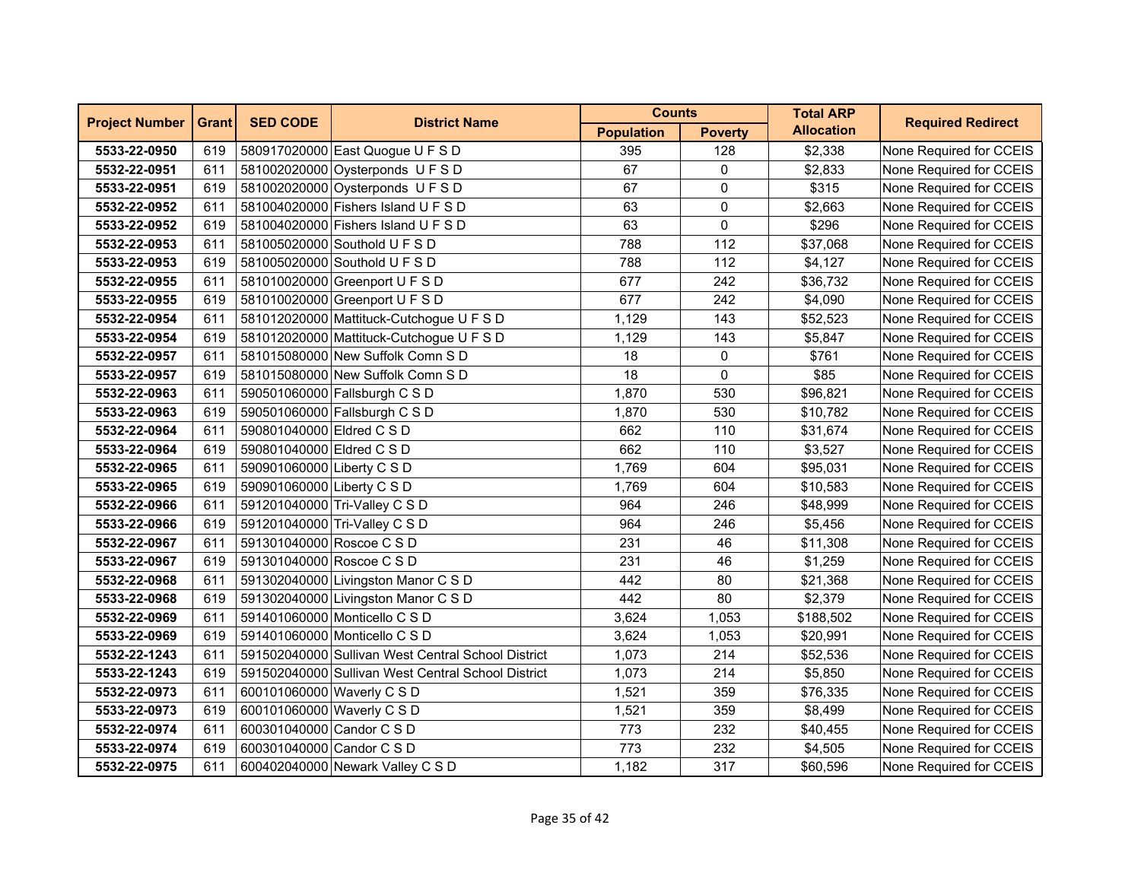| <b>Project Number</b> | <b>Grant</b> | <b>SED CODE</b>            | <b>District Name</b>                               | <b>Counts</b>     |                | <b>Total ARP</b>  | <b>Required Redirect</b> |
|-----------------------|--------------|----------------------------|----------------------------------------------------|-------------------|----------------|-------------------|--------------------------|
|                       |              |                            |                                                    | <b>Population</b> | <b>Poverty</b> | <b>Allocation</b> |                          |
| 5533-22-0950          | 619          |                            | 580917020000 East Quogue U F S D                   | 395               | 128            | \$2,338           | None Required for CCEIS  |
| 5532-22-0951          | 611          |                            | 581002020000 Oysterponds U F S D                   | 67                | 0              | \$2,833           | None Required for CCEIS  |
| 5533-22-0951          | 619          |                            | 581002020000 Oysterponds U F S D                   | 67                | 0              | \$315             | None Required for CCEIS  |
| 5532-22-0952          | 611          |                            | 581004020000 Fishers Island U F S D                | 63                | 0              | \$2,663           | None Required for CCEIS  |
| 5533-22-0952          | 619          |                            | 581004020000 Fishers Island U F S D                | 63                | 0              | \$296             | None Required for CCEIS  |
| 5532-22-0953          | 611          |                            | 581005020000 Southold U F S D                      | 788               | 112            | \$37,068          | None Required for CCEIS  |
| 5533-22-0953          | 619          |                            | 581005020000 Southold U F S D                      | 788               | 112            | \$4,127           | None Required for CCEIS  |
| 5532-22-0955          | 611          |                            | 581010020000 Greenport U F S D                     | 677               | 242            | \$36,732          | None Required for CCEIS  |
| 5533-22-0955          | 619          |                            | 581010020000 Greenport U F S D                     | 677               | 242            | \$4,090           | None Required for CCEIS  |
| 5532-22-0954          | 611          |                            | 581012020000 Mattituck-Cutchogue U F S D           | 1,129             | 143            | \$52,523          | None Required for CCEIS  |
| 5533-22-0954          | 619          |                            | 581012020000 Mattituck-Cutchogue U F S D           | 1,129             | 143            | \$5,847           | None Required for CCEIS  |
| 5532-22-0957          | 611          |                            | 581015080000 New Suffolk Comn S D                  | 18                | 0              | \$761             | None Required for CCEIS  |
| 5533-22-0957          | 619          |                            | 581015080000 New Suffolk Comn S D                  | 18                | 0              | \$85              | None Required for CCEIS  |
| 5532-22-0963          | 611          |                            | 590501060000 Fallsburgh C S D                      | 1,870             | 530            | \$96,821          | None Required for CCEIS  |
| 5533-22-0963          | 619          |                            | 590501060000 Fallsburgh C S D                      | 1,870             | 530            | \$10,782          | None Required for CCEIS  |
| 5532-22-0964          | 611          | 590801040000 Eldred C S D  |                                                    | 662               | 110            | \$31,674          | None Required for CCEIS  |
| 5533-22-0964          | 619          | 590801040000 Eldred C S D  |                                                    | 662               | 110            | \$3,527           | None Required for CCEIS  |
| 5532-22-0965          | 611          | 590901060000 Liberty C S D |                                                    | 1,769             | 604            | \$95,031          | None Required for CCEIS  |
| 5533-22-0965          | 619          | 590901060000 Liberty C S D |                                                    | 1,769             | 604            | \$10,583          | None Required for CCEIS  |
| 5532-22-0966          | 611          |                            | 591201040000 Tri-Valley C S D                      | 964               | 246            | \$48,999          | None Required for CCEIS  |
| 5533-22-0966          | 619          |                            | 591201040000 Tri-Valley C S D                      | 964               | 246            | \$5,456           | None Required for CCEIS  |
| 5532-22-0967          | 611          | 591301040000 Roscoe C S D  |                                                    | 231               | 46             | \$11,308          | None Required for CCEIS  |
| 5533-22-0967          | 619          | 591301040000 Roscoe C S D  |                                                    | 231               | 46             | \$1,259           | None Required for CCEIS  |
| 5532-22-0968          | 611          |                            | 591302040000 Livingston Manor C S D                | 442               | 80             | \$21,368          | None Required for CCEIS  |
| 5533-22-0968          | 619          |                            | 591302040000 Livingston Manor C S D                | 442               | 80             | \$2,379           | None Required for CCEIS  |
| 5532-22-0969          | 611          |                            | 591401060000 Monticello C S D                      | 3,624             | 1,053          | \$188,502         | None Required for CCEIS  |
| 5533-22-0969          | 619          |                            | 591401060000 Monticello C S D                      | 3,624             | 1,053          | \$20,991          | None Required for CCEIS  |
| 5532-22-1243          | 611          |                            | 591502040000 Sullivan West Central School District | 1,073             | 214            | \$52,536          | None Required for CCEIS  |
| 5533-22-1243          | 619          |                            | 591502040000 Sullivan West Central School District | 1,073             | 214            | \$5,850           | None Required for CCEIS  |
| 5532-22-0973          | 611          | 600101060000 Waverly C S D |                                                    | 1,521             | 359            | \$76,335          | None Required for CCEIS  |
| 5533-22-0973          | 619          | 600101060000 Waverly C S D |                                                    | 1,521             | 359            | \$8,499           | None Required for CCEIS  |
| 5532-22-0974          | 611          | 600301040000 Candor C S D  |                                                    | 773               | 232            | \$40,455          | None Required for CCEIS  |
| 5533-22-0974          | 619          | 600301040000 Candor C S D  |                                                    | 773               | 232            | \$4,505           | None Required for CCEIS  |
| 5532-22-0975          | 611          |                            | 600402040000 Newark Valley C S D                   | 1,182             | 317            | \$60,596          | None Required for CCEIS  |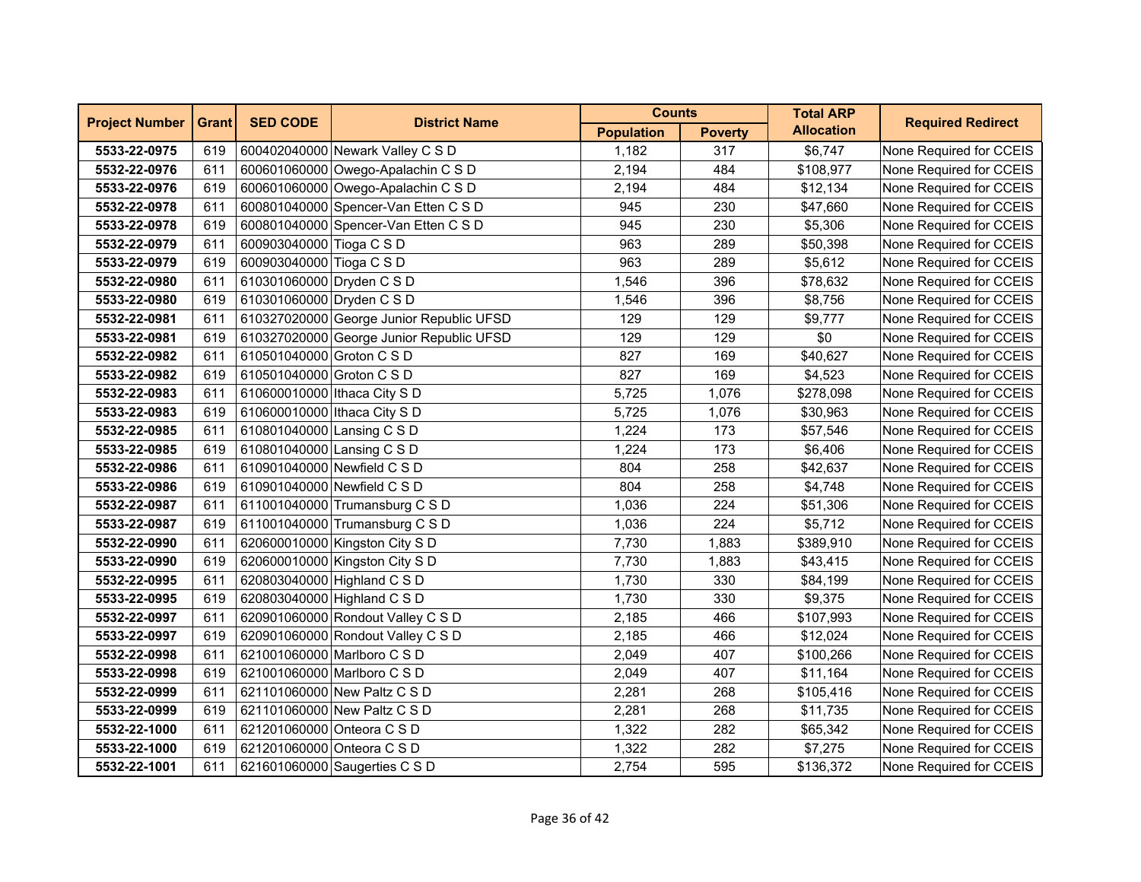| <b>Project Number</b> | <b>Grant</b> | <b>SED CODE</b>              | <b>District Name</b>                     | <b>Counts</b>     |                | <b>Total ARP</b>  | <b>Required Redirect</b> |
|-----------------------|--------------|------------------------------|------------------------------------------|-------------------|----------------|-------------------|--------------------------|
|                       |              |                              |                                          | <b>Population</b> | <b>Poverty</b> | <b>Allocation</b> |                          |
| 5533-22-0975          | 619          |                              | 600402040000 Newark Valley C S D         | 1.182             | 317            | \$6,747           | None Required for CCEIS  |
| 5532-22-0976          | 611          |                              | 600601060000 Owego-Apalachin C S D       | 2,194             | 484            | \$108,977         | None Required for CCEIS  |
| 5533-22-0976          | 619          |                              | 600601060000 Owego-Apalachin C S D       | 2,194             | 484            | \$12,134          | None Required for CCEIS  |
| 5532-22-0978          | 611          |                              | 600801040000 Spencer-Van Etten C S D     | 945               | 230            | \$47,660          | None Required for CCEIS  |
| 5533-22-0978          | 619          |                              | 600801040000 Spencer-Van Etten C S D     | 945               | 230            | \$5,306           | None Required for CCEIS  |
| 5532-22-0979          | 611          | 600903040000 Tioga C S D     |                                          | 963               | 289            | \$50,398          | None Required for CCEIS  |
| 5533-22-0979          | 619          | 600903040000 Tioga C S D     |                                          | 963               | 289            | \$5,612           | None Required for CCEIS  |
| 5532-22-0980          | 611          | 610301060000 Dryden C S D    |                                          | 1,546             | 396            | \$78,632          | None Required for CCEIS  |
| 5533-22-0980          | 619          | 610301060000 Dryden C S D    |                                          | 1,546             | 396            | \$8,756           | None Required for CCEIS  |
| 5532-22-0981          | 611          |                              | 610327020000 George Junior Republic UFSD | 129               | 129            | \$9,777           | None Required for CCEIS  |
| 5533-22-0981          | 619          |                              | 610327020000 George Junior Republic UFSD | 129               | 129            | \$0               | None Required for CCEIS  |
| 5532-22-0982          | 611          | 610501040000 Groton C S D    |                                          | 827               | 169            | \$40,627          | None Required for CCEIS  |
| 5533-22-0982          | 619          | 610501040000 Groton C S D    |                                          | 827               | 169            | \$4,523           | None Required for CCEIS  |
| 5532-22-0983          | 611          | 610600010000 Ithaca City S D |                                          | 5,725             | 1,076          | \$278,098         | None Required for CCEIS  |
| 5533-22-0983          | 619          | 610600010000 Ithaca City S D |                                          | 5,725             | 1,076          | \$30,963          | None Required for CCEIS  |
| 5532-22-0985          | 611          | 610801040000 Lansing C S D   |                                          | 1,224             | 173            | \$57,546          | None Required for CCEIS  |
| 5533-22-0985          | 619          | 610801040000 Lansing C S D   |                                          | 1,224             | 173            | \$6,406           | None Required for CCEIS  |
| 5532-22-0986          | 611          |                              | 610901040000 Newfield C S D              | 804               | 258            | \$42,637          | None Required for CCEIS  |
| 5533-22-0986          | 619          |                              | 610901040000 Newfield C S D              | 804               | 258            | \$4,748           | None Required for CCEIS  |
| 5532-22-0987          | 611          |                              | 611001040000 Trumansburg C S D           | 1,036             | 224            | \$51,306          | None Required for CCEIS  |
| 5533-22-0987          | 619          |                              | 611001040000 Trumansburg C S D           | 1,036             | 224            | \$5,712           | None Required for CCEIS  |
| 5532-22-0990          | 611          |                              | 620600010000 Kingston City S D           | 7,730             | 1,883          | \$389,910         | None Required for CCEIS  |
| 5533-22-0990          | 619          |                              | 620600010000 Kingston City S D           | 7,730             | 1,883          | \$43,415          | None Required for CCEIS  |
| 5532-22-0995          | 611          |                              | 620803040000 Highland C S D              | 1,730             | 330            | \$84,199          | None Required for CCEIS  |
| 5533-22-0995          | 619          |                              | 620803040000 Highland C S D              | 1,730             | 330            | \$9,375           | None Required for CCEIS  |
| 5532-22-0997          | 611          |                              | 620901060000 Rondout Valley C S D        | 2,185             | 466            | \$107,993         | None Required for CCEIS  |
| 5533-22-0997          | 619          |                              | 620901060000 Rondout Valley C S D        | 2,185             | 466            | \$12,024          | None Required for CCEIS  |
| 5532-22-0998          | 611          |                              | 621001060000 Marlboro C S D              | 2,049             | 407            | \$100,266         | None Required for CCEIS  |
| 5533-22-0998          | 619          |                              | 621001060000 Marlboro C S D              | 2,049             | 407            | \$11,164          | None Required for CCEIS  |
| 5532-22-0999          | 611          |                              | 621101060000 New Paltz C S D             | 2,281             | 268            | \$105,416         | None Required for CCEIS  |
| 5533-22-0999          | 619          |                              | 621101060000 New Paltz C S D             | 2,281             | 268            | \$11,735          | None Required for CCEIS  |
| 5532-22-1000          | 611          | 621201060000 Onteora C S D   |                                          | 1,322             | 282            | \$65,342          | None Required for CCEIS  |
| 5533-22-1000          | 619          | 621201060000 Onteora C S D   |                                          | 1,322             | 282            | \$7,275           | None Required for CCEIS  |
| 5532-22-1001          | 611          |                              | 621601060000 Saugerties C S D            | 2,754             | 595            | \$136,372         | None Required for CCEIS  |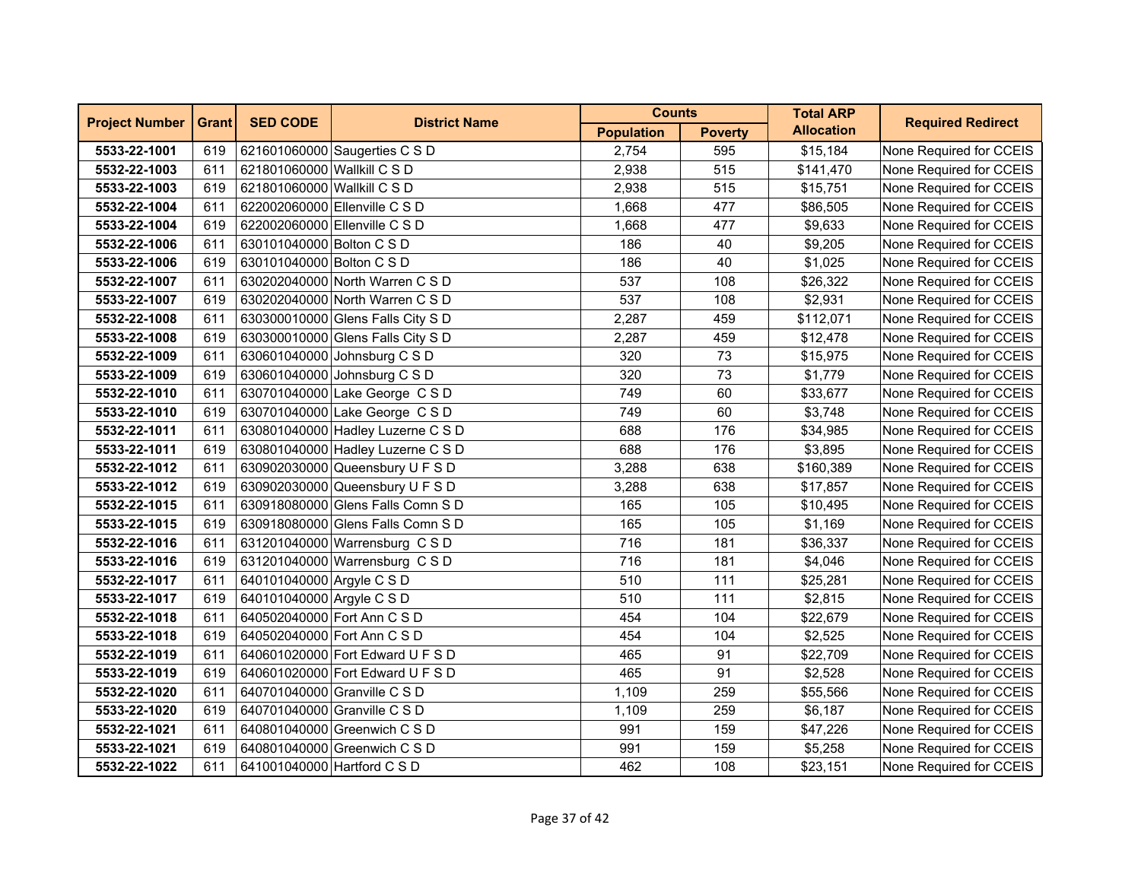| <b>Project Number</b> | <b>Grant</b> | <b>SED CODE</b><br><b>District Name</b> | <b>Counts</b>                     |                   | <b>Total ARP</b> | <b>Required Redirect</b> |                         |
|-----------------------|--------------|-----------------------------------------|-----------------------------------|-------------------|------------------|--------------------------|-------------------------|
|                       |              |                                         |                                   | <b>Population</b> | <b>Poverty</b>   | <b>Allocation</b>        |                         |
| 5533-22-1001          | 619          |                                         | 621601060000 Saugerties C S D     | 2,754             | 595              | \$15,184                 | None Required for CCEIS |
| 5532-22-1003          | 611          | 621801060000 Wallkill C S D             |                                   | 2,938             | 515              | \$141,470                | None Required for CCEIS |
| 5533-22-1003          | 619          | 621801060000 Wallkill C S D             |                                   | 2,938             | 515              | \$15,751                 | None Required for CCEIS |
| 5532-22-1004          | 611          |                                         | 622002060000 Ellenville C S D     | 1,668             | 477              | \$86,505                 | None Required for CCEIS |
| 5533-22-1004          | 619          |                                         | 622002060000 Ellenville C S D     | 1,668             | 477              | \$9,633                  | None Required for CCEIS |
| 5532-22-1006          | 611          | 630101040000 Bolton C S D               |                                   | 186               | 40               | \$9,205                  | None Required for CCEIS |
| 5533-22-1006          | 619          | 630101040000 Bolton C S D               |                                   | 186               | 40               | \$1,025                  | None Required for CCEIS |
| 5532-22-1007          | 611          |                                         | 630202040000 North Warren C S D   | 537               | 108              | \$26,322                 | None Required for CCEIS |
| 5533-22-1007          | 619          |                                         | 630202040000 North Warren C S D   | 537               | 108              | \$2,931                  | None Required for CCEIS |
| 5532-22-1008          | 611          |                                         | 630300010000 Glens Falls City S D | 2,287             | 459              | \$112,071                | None Required for CCEIS |
| 5533-22-1008          | 619          |                                         | 630300010000 Glens Falls City S D | 2,287             | 459              | \$12,478                 | None Required for CCEIS |
| 5532-22-1009          | 611          |                                         | 630601040000 Johnsburg C S D      | 320               | 73               | \$15,975                 | None Required for CCEIS |
| 5533-22-1009          | 619          |                                         | 630601040000 Johnsburg C S D      | 320               | 73               | \$1,779                  | None Required for CCEIS |
| 5532-22-1010          | 611          |                                         | 630701040000 Lake George C S D    | 749               | 60               | \$33,677                 | None Required for CCEIS |
| 5533-22-1010          | 619          |                                         | 630701040000 Lake George C S D    | 749               | 60               | \$3,748                  | None Required for CCEIS |
| 5532-22-1011          | 611          |                                         | 630801040000 Hadley Luzerne C S D | 688               | 176              | \$34,985                 | None Required for CCEIS |
| 5533-22-1011          | 619          |                                         | 630801040000 Hadley Luzerne C S D | 688               | 176              | \$3,895                  | None Required for CCEIS |
| 5532-22-1012          | 611          |                                         | 630902030000 Queensbury U F S D   | 3,288             | 638              | \$160,389                | None Required for CCEIS |
| 5533-22-1012          | 619          |                                         | 630902030000 Queensbury U F S D   | 3,288             | 638              | \$17,857                 | None Required for CCEIS |
| 5532-22-1015          | 611          |                                         | 630918080000 Glens Falls Comn S D | 165               | 105              | \$10,495                 | None Required for CCEIS |
| 5533-22-1015          | 619          |                                         | 630918080000 Glens Falls Comn S D | 165               | 105              | \$1,169                  | None Required for CCEIS |
| 5532-22-1016          | 611          |                                         | 631201040000 Warrensburg C S D    | 716               | 181              | \$36,337                 | None Required for CCEIS |
| 5533-22-1016          | 619          |                                         | 631201040000 Warrensburg C S D    | 716               | 181              | \$4,046                  | None Required for CCEIS |
| 5532-22-1017          | 611          | 640101040000 Argyle C S D               |                                   | 510               | 111              | \$25,281                 | None Required for CCEIS |
| 5533-22-1017          | 619          | 640101040000 Argyle C S D               |                                   | 510               | 111              | \$2,815                  | None Required for CCEIS |
| 5532-22-1018          | 611          |                                         | 640502040000 Fort Ann C S D       | 454               | 104              | \$22,679                 | None Required for CCEIS |
| 5533-22-1018          | 619          | 640502040000 Fort Ann C S D             |                                   | 454               | 104              | \$2,525                  | None Required for CCEIS |
| 5532-22-1019          | 611          |                                         | 640601020000 Fort Edward U F S D  | 465               | 91               | \$22,709                 | None Required for CCEIS |
| 5533-22-1019          | 619          |                                         | 640601020000 Fort Edward U F S D  | 465               | 91               | \$2,528                  | None Required for CCEIS |
| 5532-22-1020          | 611          |                                         | 640701040000 Granville C S D      | 1,109             | 259              | \$55,566                 | None Required for CCEIS |
| 5533-22-1020          | 619          |                                         | 640701040000 Granville C S D      | 1,109             | 259              | \$6,187                  | None Required for CCEIS |
| 5532-22-1021          | 611          |                                         | 640801040000 Greenwich C S D      | 991               | 159              | \$47,226                 | None Required for CCEIS |
| 5533-22-1021          | 619          |                                         | 640801040000 Greenwich C S D      | 991               | 159              | \$5,258                  | None Required for CCEIS |
| 5532-22-1022          | 611          | 641001040000 Hartford C S D             |                                   | 462               | 108              | \$23,151                 | None Required for CCEIS |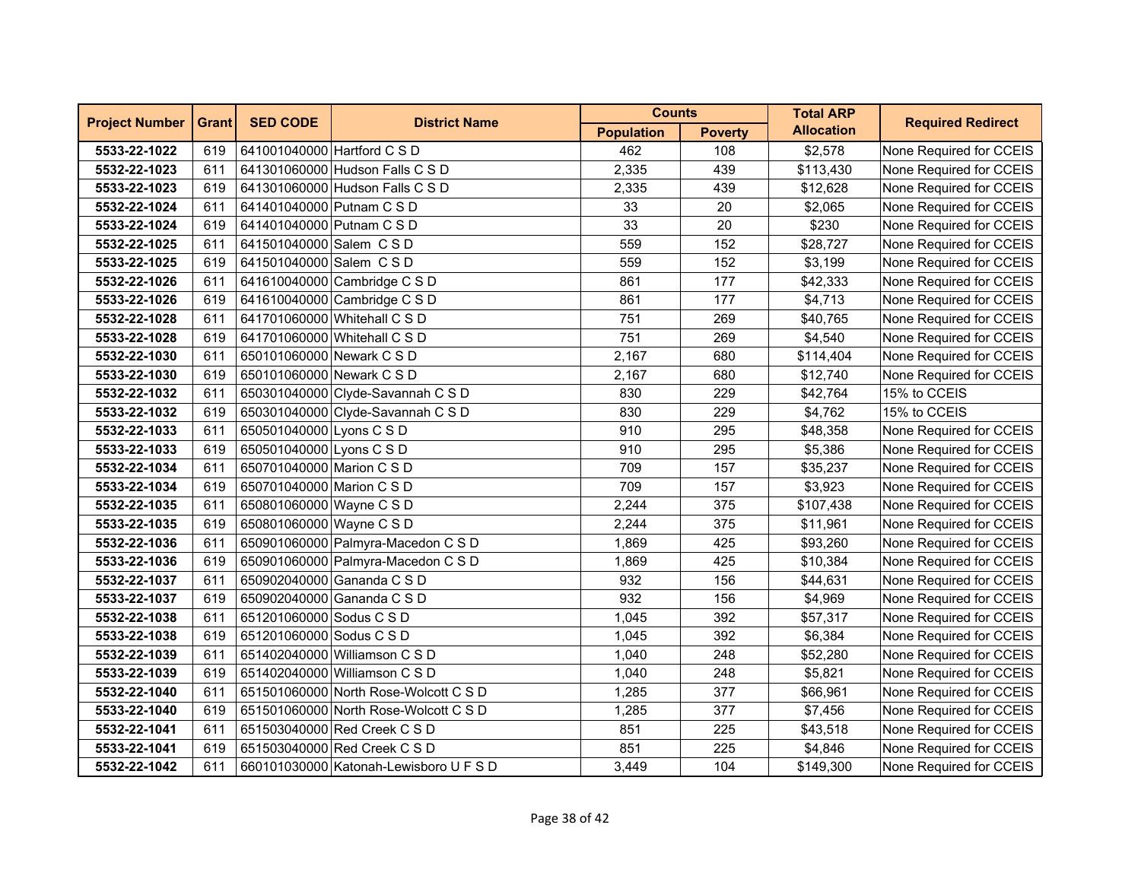| <b>Project Number</b> | <b>Grant</b> | <b>SED CODE</b><br><b>District Name</b> | <b>Counts</b>                          |                   | <b>Total ARP</b> | <b>Required Redirect</b> |                         |
|-----------------------|--------------|-----------------------------------------|----------------------------------------|-------------------|------------------|--------------------------|-------------------------|
|                       |              |                                         |                                        | <b>Population</b> | <b>Poverty</b>   | <b>Allocation</b>        |                         |
| 5533-22-1022          | 619          | 641001040000 Hartford C S D             |                                        | 462               | 108              | \$2,578                  | None Required for CCEIS |
| 5532-22-1023          | 611          |                                         | 641301060000 Hudson Falls C S D        | 2,335             | 439              | \$113,430                | None Required for CCEIS |
| 5533-22-1023          | 619          |                                         | 641301060000 Hudson Falls C S D        | 2,335             | 439              | \$12,628                 | None Required for CCEIS |
| 5532-22-1024          | 611          | 641401040000 Putnam C S D               |                                        | 33                | 20               | \$2,065                  | None Required for CCEIS |
| 5533-22-1024          | 619          | 641401040000 Putnam C S D               |                                        | 33                | 20               | \$230                    | None Required for CCEIS |
| 5532-22-1025          | 611          | 641501040000 Salem C S D                |                                        | 559               | 152              | \$28,727                 | None Required for CCEIS |
| 5533-22-1025          | 619          | 641501040000 Salem C S D                |                                        | 559               | 152              | \$3,199                  | None Required for CCEIS |
| 5532-22-1026          | 611          |                                         | 641610040000 Cambridge C S D           | 861               | 177              | \$42,333                 | None Required for CCEIS |
| 5533-22-1026          | 619          |                                         | 641610040000 Cambridge C S D           | 861               | 177              | \$4,713                  | None Required for CCEIS |
| 5532-22-1028          | 611          |                                         | 641701060000 Whitehall C S D           | 751               | 269              | \$40,765                 | None Required for CCEIS |
| 5533-22-1028          | 619          |                                         | 641701060000 Whitehall C S D           | 751               | 269              | \$4,540                  | None Required for CCEIS |
| 5532-22-1030          | 611          | 650101060000 Newark C S D               |                                        | 2,167             | 680              | \$114,404                | None Required for CCEIS |
| 5533-22-1030          | 619          | 650101060000 Newark C S D               |                                        | 2,167             | 680              | \$12,740                 | None Required for CCEIS |
| 5532-22-1032          | 611          |                                         | 650301040000 Clyde-Savannah C S D      | 830               | 229              | \$42,764                 | 15% to CCEIS            |
| 5533-22-1032          | 619          |                                         | 650301040000 Clyde-Savannah C S D      | 830               | 229              | \$4,762                  | 15% to CCEIS            |
| 5532-22-1033          | 611          | 650501040000 Lyons C S D                |                                        | 910               | 295              | \$48,358                 | None Required for CCEIS |
| 5533-22-1033          | 619          | 650501040000 Lyons C S D                |                                        | 910               | 295              | \$5,386                  | None Required for CCEIS |
| 5532-22-1034          | 611          | 650701040000 Marion C S D               |                                        | 709               | 157              | \$35,237                 | None Required for CCEIS |
| 5533-22-1034          | 619          | 650701040000 Marion C S D               |                                        | 709               | 157              | \$3,923                  | None Required for CCEIS |
| 5532-22-1035          | 611          | 650801060000 Wayne C S D                |                                        | 2,244             | 375              | \$107,438                | None Required for CCEIS |
| 5533-22-1035          | 619          | 650801060000 Wayne C S D                |                                        | 2,244             | 375              | \$11,961                 | None Required for CCEIS |
| 5532-22-1036          | 611          |                                         | 650901060000 Palmyra-Macedon C S D     | 1,869             | 425              | \$93,260                 | None Required for CCEIS |
| 5533-22-1036          | 619          |                                         | 650901060000 Palmyra-Macedon C S D     | 1,869             | 425              | \$10,384                 | None Required for CCEIS |
| 5532-22-1037          | 611          |                                         | 650902040000 Gananda C S D             | 932               | 156              | \$44,631                 | None Required for CCEIS |
| 5533-22-1037          | 619          |                                         | 650902040000 Gananda C S D             | 932               | 156              | \$4,969                  | None Required for CCEIS |
| 5532-22-1038          | 611          | 651201060000 Sodus C S D                |                                        | 1,045             | 392              | \$57,317                 | None Required for CCEIS |
| 5533-22-1038          | 619          | 651201060000 Sodus C S D                |                                        | 1,045             | 392              | \$6,384                  | None Required for CCEIS |
| 5532-22-1039          | 611          |                                         | 651402040000 Williamson C S D          | 1,040             | 248              | \$52,280                 | None Required for CCEIS |
| 5533-22-1039          | 619          |                                         | 651402040000 Williamson C S D          | 1,040             | 248              | \$5,821                  | None Required for CCEIS |
| 5532-22-1040          | 611          |                                         | 651501060000 North Rose-Wolcott C S D  | 1,285             | 377              | \$66,961                 | None Required for CCEIS |
| 5533-22-1040          | 619          |                                         | 651501060000 North Rose-Wolcott C S D  | 1,285             | 377              | \$7,456                  | None Required for CCEIS |
| 5532-22-1041          | 611          |                                         | 651503040000 Red Creek C S D           | 851               | 225              | \$43,518                 | None Required for CCEIS |
| 5533-22-1041          | 619          |                                         | 651503040000 Red Creek C S D           | 851               | 225              | \$4,846                  | None Required for CCEIS |
| 5532-22-1042          | 611          |                                         | 660101030000 Katonah-Lewisboro U F S D | 3,449             | 104              | \$149,300                | None Required for CCEIS |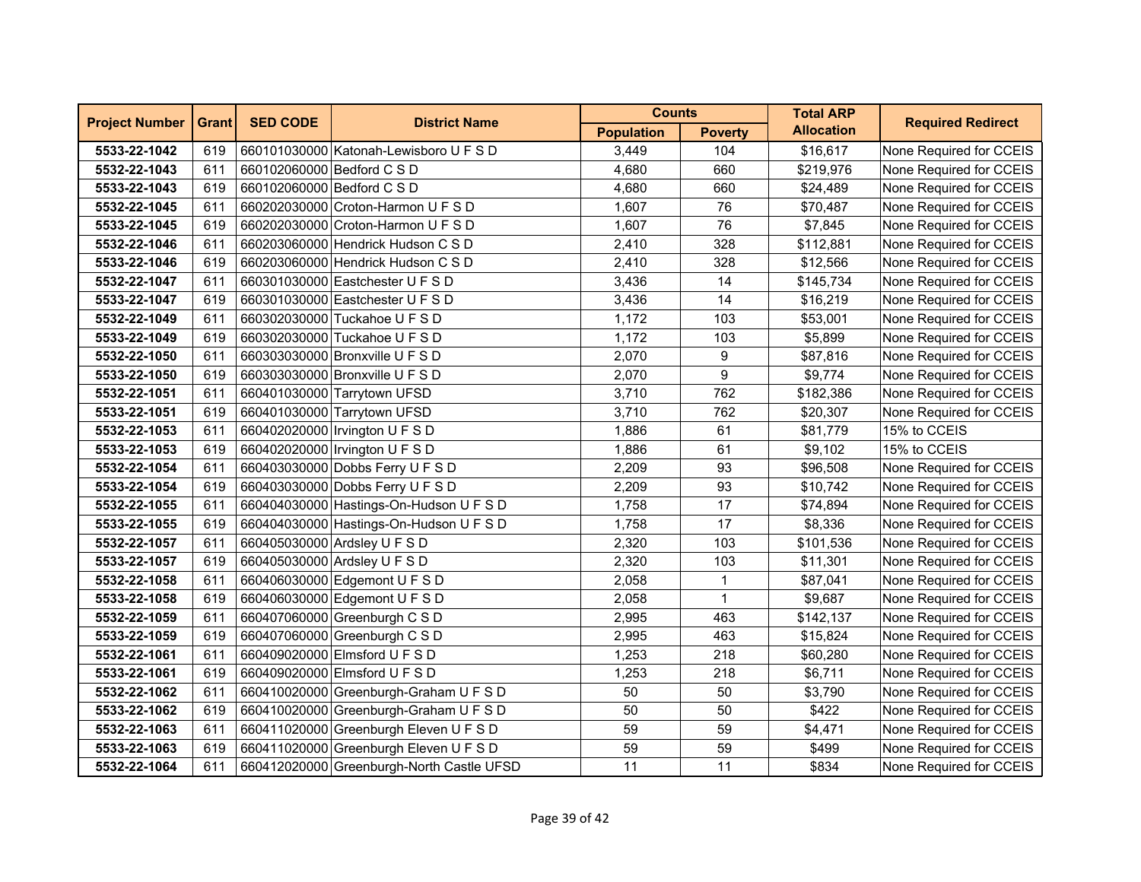| <b>Project Number</b> | <b>Grant</b> | <b>SED CODE</b><br><b>District Name</b> | <b>Counts</b>                             |                   | <b>Total ARP</b> | <b>Required Redirect</b> |                         |
|-----------------------|--------------|-----------------------------------------|-------------------------------------------|-------------------|------------------|--------------------------|-------------------------|
|                       |              |                                         |                                           | <b>Population</b> | <b>Poverty</b>   | <b>Allocation</b>        |                         |
| 5533-22-1042          | 619          |                                         | 660101030000 Katonah-Lewisboro U F S D    | 3,449             | 104              | \$16,617                 | None Required for CCEIS |
| 5532-22-1043          | 611          | 660102060000 Bedford C S D              |                                           | 4,680             | 660              | \$219,976                | None Required for CCEIS |
| 5533-22-1043          | 619          | 660102060000 Bedford C S D              |                                           | 4,680             | 660              | \$24,489                 | None Required for CCEIS |
| 5532-22-1045          | 611          |                                         | 660202030000 Croton-Harmon U F S D        | 1,607             | 76               | \$70,487                 | None Required for CCEIS |
| 5533-22-1045          | 619          |                                         | 660202030000 Croton-Harmon U F S D        | 1,607             | 76               | \$7,845                  | None Required for CCEIS |
| 5532-22-1046          | 611          |                                         | 660203060000 Hendrick Hudson C S D        | 2,410             | 328              | \$112,881                | None Required for CCEIS |
| 5533-22-1046          | 619          |                                         | 660203060000 Hendrick Hudson C S D        | 2,410             | 328              | \$12,566                 | None Required for CCEIS |
| 5532-22-1047          | 611          |                                         | 660301030000 Eastchester U F S D          | 3,436             | 14               | \$145,734                | None Required for CCEIS |
| 5533-22-1047          | 619          |                                         | 660301030000 Eastchester U F S D          | 3,436             | 14               | \$16,219                 | None Required for CCEIS |
| 5532-22-1049          | 611          |                                         | 660302030000 Tuckahoe U F S D             | 1,172             | 103              | \$53,001                 | None Required for CCEIS |
| 5533-22-1049          | 619          |                                         | 660302030000 Tuckahoe U F S D             | 1,172             | 103              | \$5,899                  | None Required for CCEIS |
| 5532-22-1050          | 611          |                                         | 660303030000 Bronxville U F S D           | 2,070             | 9                | \$87,816                 | None Required for CCEIS |
| 5533-22-1050          | 619          |                                         | 660303030000 Bronxville U F S D           | 2,070             | 9                | \$9,774                  | None Required for CCEIS |
| 5532-22-1051          | 611          |                                         | 660401030000 Tarrytown UFSD               | 3,710             | 762              | \$182,386                | None Required for CCEIS |
| 5533-22-1051          | 619          |                                         | 660401030000 Tarrytown UFSD               | 3,710             | 762              | \$20,307                 | None Required for CCEIS |
| 5532-22-1053          | 611          |                                         | 660402020000 Irvington U F S D            | 1,886             | 61               | \$81,779                 | 15% to CCEIS            |
| 5533-22-1053          | 619          |                                         | 660402020000 Irvington U F S D            | 1,886             | 61               | \$9,102                  | 15% to CCEIS            |
| 5532-22-1054          | 611          |                                         | 660403030000 Dobbs Ferry U F S D          | 2,209             | 93               | \$96,508                 | None Required for CCEIS |
| 5533-22-1054          | 619          |                                         | 660403030000 Dobbs Ferry U F S D          | 2,209             | 93               | \$10,742                 | None Required for CCEIS |
| 5532-22-1055          | 611          |                                         | 660404030000 Hastings-On-Hudson U F S D   | 1,758             | 17               | \$74,894                 | None Required for CCEIS |
| 5533-22-1055          | 619          |                                         | 660404030000 Hastings-On-Hudson U F S D   | 1,758             | 17               | \$8,336                  | None Required for CCEIS |
| 5532-22-1057          | 611          |                                         | 660405030000 Ardsley U F S D              | 2,320             | 103              | \$101,536                | None Required for CCEIS |
| 5533-22-1057          | 619          |                                         | 660405030000 Ardsley U F S D              | 2,320             | 103              | \$11,301                 | None Required for CCEIS |
| 5532-22-1058          | 611          |                                         | 660406030000 Edgemont U F S D             | 2,058             | $\mathbf{1}$     | \$87,041                 | None Required for CCEIS |
| 5533-22-1058          | 619          |                                         | 660406030000 Edgemont U F S D             | 2,058             | $\mathbf{1}$     | \$9,687                  | None Required for CCEIS |
| 5532-22-1059          | 611          |                                         | 660407060000 Greenburgh C S D             | 2,995             | 463              | \$142,137                | None Required for CCEIS |
| 5533-22-1059          | 619          |                                         | 660407060000 Greenburgh C S D             | 2,995             | 463              | \$15,824                 | None Required for CCEIS |
| 5532-22-1061          | 611          |                                         | 660409020000 Elmsford U F S D             | 1,253             | 218              | \$60,280                 | None Required for CCEIS |
| 5533-22-1061          | 619          |                                         | 660409020000 Elmsford U F S D             | 1,253             | 218              | \$6,711                  | None Required for CCEIS |
| 5532-22-1062          | 611          |                                         | 660410020000 Greenburgh-Graham U F S D    | 50                | 50               | \$3,790                  | None Required for CCEIS |
| 5533-22-1062          | 619          |                                         | 660410020000 Greenburgh-Graham U F S D    | 50                | 50               | \$422                    | None Required for CCEIS |
| 5532-22-1063          | 611          |                                         | 660411020000 Greenburgh Eleven U F S D    | 59                | 59               | \$4,471                  | None Required for CCEIS |
| 5533-22-1063          | 619          |                                         | 660411020000 Greenburgh Eleven U F S D    | 59                | 59               | \$499                    | None Required for CCEIS |
| 5532-22-1064          | 611          |                                         | 660412020000 Greenburgh-North Castle UFSD | 11                | 11               | \$834                    | None Required for CCEIS |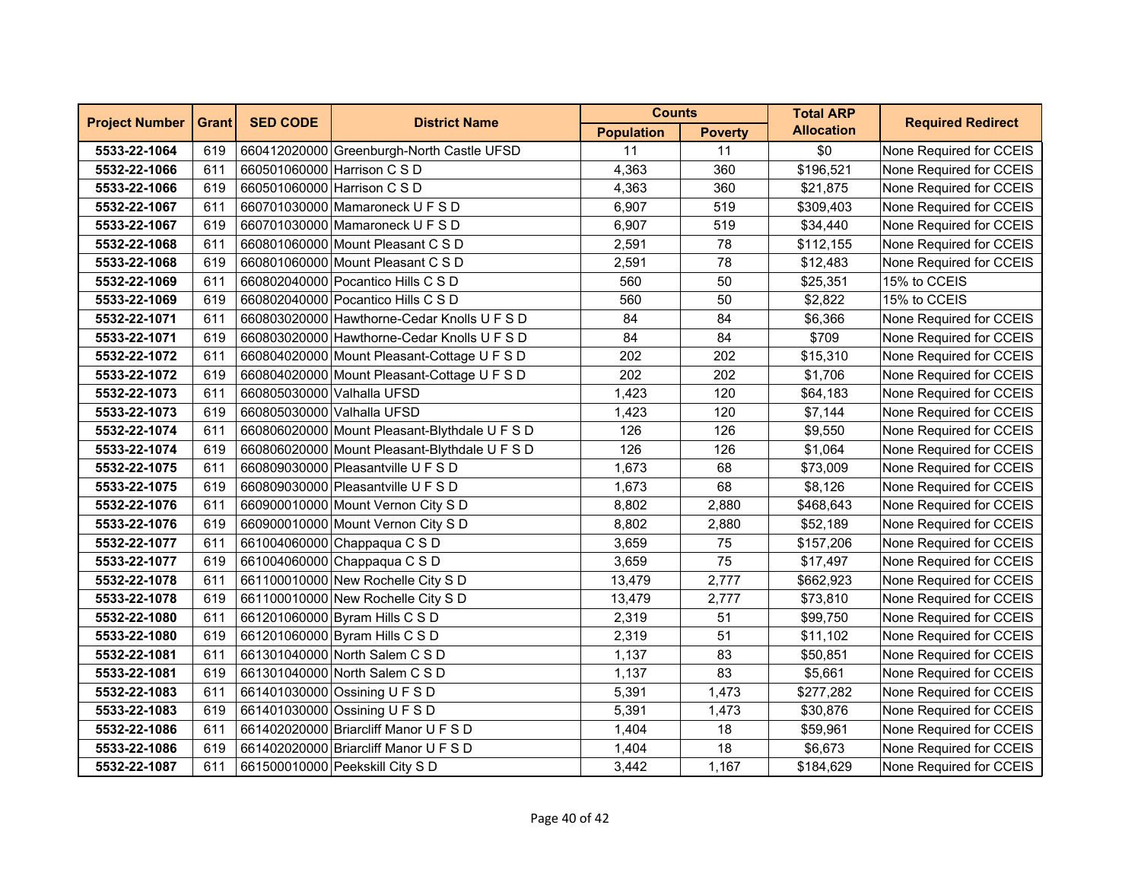| <b>Project Number</b> | <b>Grant</b> | <b>SED CODE</b><br><b>District Name</b> | <b>Counts</b>                                 |                   | <b>Total ARP</b> | <b>Required Redirect</b> |                         |
|-----------------------|--------------|-----------------------------------------|-----------------------------------------------|-------------------|------------------|--------------------------|-------------------------|
|                       |              |                                         |                                               | <b>Population</b> | <b>Poverty</b>   | <b>Allocation</b>        |                         |
| 5533-22-1064          | 619          |                                         | 660412020000 Greenburgh-North Castle UFSD     | 11                | 11               | \$0                      | None Required for CCEIS |
| 5532-22-1066          | 611          |                                         | 660501060000 Harrison C S D                   | 4,363             | 360              | \$196,521                | None Required for CCEIS |
| 5533-22-1066          | 619          | 660501060000 Harrison C S D             |                                               | 4,363             | 360              | \$21,875                 | None Required for CCEIS |
| 5532-22-1067          | 611          |                                         | 660701030000 Mamaroneck U F S D               | 6,907             | 519              | \$309,403                | None Required for CCEIS |
| 5533-22-1067          | 619          |                                         | 660701030000 Mamaroneck U F S D               | 6,907             | 519              | \$34,440                 | None Required for CCEIS |
| 5532-22-1068          | 611          |                                         | 660801060000 Mount Pleasant C S D             | 2,591             | 78               | \$112,155                | None Required for CCEIS |
| 5533-22-1068          | 619          |                                         | 660801060000 Mount Pleasant C S D             | 2,591             | 78               | \$12,483                 | None Required for CCEIS |
| 5532-22-1069          | 611          |                                         | 660802040000 Pocantico Hills C S D            | 560               | 50               | \$25,351                 | 15% to CCEIS            |
| 5533-22-1069          | 619          |                                         | 660802040000 Pocantico Hills C S D            | 560               | 50               | \$2,822                  | 15% to CCEIS            |
| 5532-22-1071          | 611          |                                         | 660803020000 Hawthorne-Cedar Knolls U F S D   | 84                | 84               | \$6,366                  | None Required for CCEIS |
| 5533-22-1071          | 619          |                                         | 660803020000 Hawthorne-Cedar Knolls U F S D   | 84                | 84               | \$709                    | None Required for CCEIS |
| 5532-22-1072          | 611          |                                         | 660804020000 Mount Pleasant-Cottage U F S D   | 202               | 202              | \$15,310                 | None Required for CCEIS |
| 5533-22-1072          | 619          |                                         | 660804020000 Mount Pleasant-Cottage U F S D   | 202               | 202              | \$1,706                  | None Required for CCEIS |
| 5532-22-1073          | 611          | 660805030000 Valhalla UFSD              |                                               | 1,423             | 120              | \$64,183                 | None Required for CCEIS |
| 5533-22-1073          | 619          | 660805030000 Valhalla UFSD              |                                               | 1,423             | 120              | \$7,144                  | None Required for CCEIS |
| 5532-22-1074          | 611          |                                         | 660806020000 Mount Pleasant-Blythdale U F S D | 126               | 126              | \$9,550                  | None Required for CCEIS |
| 5533-22-1074          | 619          |                                         | 660806020000 Mount Pleasant-Blythdale U F S D | 126               | 126              | \$1,064                  | None Required for CCEIS |
| 5532-22-1075          | 611          |                                         | 660809030000 Pleasantville U F S D            | 1,673             | 68               | \$73,009                 | None Required for CCEIS |
| 5533-22-1075          | 619          |                                         | 660809030000 Pleasantville U F S D            | 1,673             | 68               | \$8,126                  | None Required for CCEIS |
| 5532-22-1076          | 611          |                                         | 660900010000 Mount Vernon City S D            | 8,802             | 2,880            | \$468,643                | None Required for CCEIS |
| 5533-22-1076          | 619          |                                         | 660900010000 Mount Vernon City S D            | 8,802             | 2,880            | \$52,189                 | None Required for CCEIS |
| 5532-22-1077          | 611          |                                         | 661004060000 Chappaqua C S D                  | 3,659             | 75               | \$157,206                | None Required for CCEIS |
| 5533-22-1077          | 619          |                                         | 661004060000 Chappaqua C S D                  | 3,659             | 75               | \$17,497                 | None Required for CCEIS |
| 5532-22-1078          | 611          |                                         | 661100010000 New Rochelle City S D            | 13,479            | 2,777            | \$662,923                | None Required for CCEIS |
| 5533-22-1078          | 619          |                                         | 661100010000 New Rochelle City S D            | 13,479            | 2,777            | \$73,810                 | None Required for CCEIS |
| 5532-22-1080          | 611          |                                         | 661201060000 Byram Hills C S D                | 2,319             | 51               | \$99,750                 | None Required for CCEIS |
| 5533-22-1080          | 619          |                                         | 661201060000 Byram Hills C S D                | 2,319             | 51               | \$11,102                 | None Required for CCEIS |
| 5532-22-1081          | 611          |                                         | 661301040000 North Salem C S D                | 1,137             | 83               | \$50,851                 | None Required for CCEIS |
| 5533-22-1081          | 619          |                                         | 661301040000 North Salem C S D                | 1,137             | 83               | \$5,661                  | None Required for CCEIS |
| 5532-22-1083          | 611          |                                         | 661401030000 Ossining U F S D                 | 5,391             | 1,473            | \$277,282                | None Required for CCEIS |
| 5533-22-1083          | 619          |                                         | 661401030000 Ossining U F S D                 | 5,391             | 1,473            | \$30,876                 | None Required for CCEIS |
| 5532-22-1086          | 611          |                                         | 661402020000 Briarcliff Manor U F S D         | 1,404             | 18               | \$59,961                 | None Required for CCEIS |
| 5533-22-1086          | 619          |                                         | 661402020000 Briarcliff Manor U F S D         | 1,404             | 18               | \$6,673                  | None Required for CCEIS |
| 5532-22-1087          | 611          |                                         | 661500010000 Peekskill City S D               | 3,442             | 1,167            | \$184,629                | None Required for CCEIS |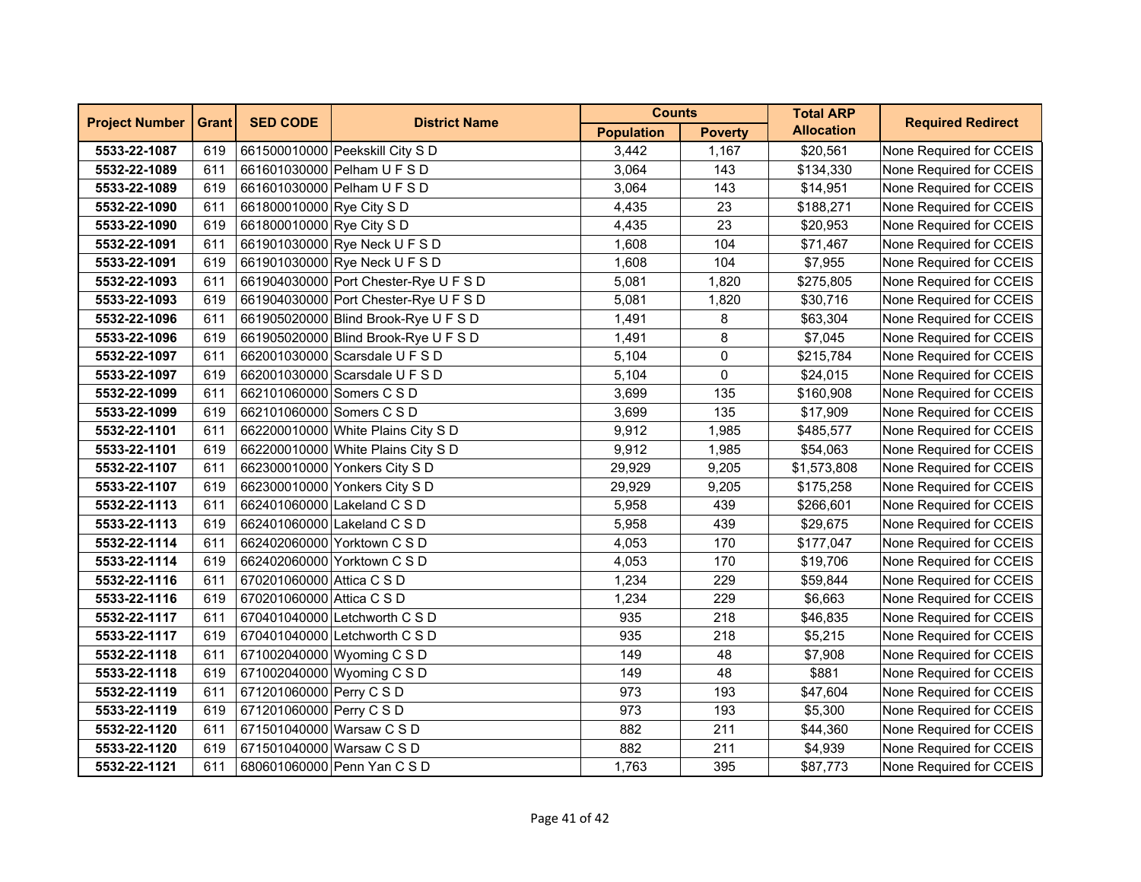| <b>Project Number</b> | <b>Grant</b> | <b>SED CODE</b>           | <b>District Name</b>                  | <b>Counts</b>     |                | <b>Total ARP</b>  | <b>Required Redirect</b> |
|-----------------------|--------------|---------------------------|---------------------------------------|-------------------|----------------|-------------------|--------------------------|
|                       |              |                           |                                       | <b>Population</b> | <b>Poverty</b> | <b>Allocation</b> |                          |
| 5533-22-1087          | 619          |                           | 661500010000 Peekskill City S D       | 3,442             | 1,167          | \$20,561          | None Required for CCEIS  |
| 5532-22-1089          | 611          |                           | 661601030000 Pelham U F S D           | 3,064             | 143            | \$134,330         | None Required for CCEIS  |
| 5533-22-1089          | 619          |                           | 661601030000 Pelham U F S D           | 3,064             | 143            | \$14,951          | None Required for CCEIS  |
| 5532-22-1090          | 611          | 661800010000 Rye City S D |                                       | 4,435             | 23             | \$188,271         | None Required for CCEIS  |
| 5533-22-1090          | 619          | 661800010000 Rye City S D |                                       | 4,435             | 23             | \$20,953          | None Required for CCEIS  |
| 5532-22-1091          | 611          |                           | 661901030000 Rye Neck U F S D         | 1,608             | 104            | \$71,467          | None Required for CCEIS  |
| 5533-22-1091          | 619          |                           | 661901030000 Rye Neck U F S D         | 1,608             | 104            | \$7,955           | None Required for CCEIS  |
| 5532-22-1093          | 611          |                           | 661904030000 Port Chester-Rye U F S D | 5,081             | 1,820          | \$275,805         | None Required for CCEIS  |
| 5533-22-1093          | 619          |                           | 661904030000 Port Chester-Rye U F S D | 5,081             | 1,820          | \$30,716          | None Required for CCEIS  |
| 5532-22-1096          | 611          |                           | 661905020000 Blind Brook-Rye U F S D  | 1,491             | 8              | \$63,304          | None Required for CCEIS  |
| 5533-22-1096          | 619          |                           | 661905020000 Blind Brook-Rye U F S D  | 1,491             | 8              | \$7,045           | None Required for CCEIS  |
| 5532-22-1097          | 611          |                           | 662001030000 Scarsdale U F S D        | 5,104             | 0              | \$215,784         | None Required for CCEIS  |
| 5533-22-1097          | 619          |                           | 662001030000 Scarsdale U F S D        | 5,104             | 0              | \$24,015          | None Required for CCEIS  |
| 5532-22-1099          | 611          | 662101060000 Somers C S D |                                       | 3,699             | 135            | \$160,908         | None Required for CCEIS  |
| 5533-22-1099          | 619          | 662101060000 Somers C S D |                                       | 3,699             | 135            | \$17,909          | None Required for CCEIS  |
| 5532-22-1101          | 611          |                           | 662200010000 White Plains City S D    | 9,912             | 1,985          | \$485,577         | None Required for CCEIS  |
| 5533-22-1101          | 619          |                           | 662200010000 White Plains City S D    | 9,912             | 1,985          | \$54,063          | None Required for CCEIS  |
| 5532-22-1107          | 611          |                           | 662300010000 Yonkers City S D         | 29,929            | 9,205          | \$1,573,808       | None Required for CCEIS  |
| 5533-22-1107          | 619          |                           | 662300010000 Yonkers City S D         | 29,929            | 9,205          | \$175,258         | None Required for CCEIS  |
| 5532-22-1113          | 611          |                           | 662401060000 Lakeland C S D           | 5,958             | 439            | \$266,601         | None Required for CCEIS  |
| 5533-22-1113          | 619          |                           | 662401060000 Lakeland C S D           | 5,958             | 439            | \$29,675          | None Required for CCEIS  |
| 5532-22-1114          | 611          |                           | 662402060000 Yorktown C S D           | 4,053             | 170            | \$177,047         | None Required for CCEIS  |
| 5533-22-1114          | 619          |                           | 662402060000 Yorktown C S D           | 4,053             | 170            | \$19,706          | None Required for CCEIS  |
| 5532-22-1116          | 611          | 670201060000 Attica C S D |                                       | 1,234             | 229            | \$59,844          | None Required for CCEIS  |
| 5533-22-1116          | 619          | 670201060000 Attica C S D |                                       | 1,234             | 229            | \$6,663           | None Required for CCEIS  |
| 5532-22-1117          | 611          |                           | 670401040000 Letchworth C S D         | 935               | 218            | \$46,835          | None Required for CCEIS  |
| 5533-22-1117          | 619          |                           | 670401040000 Letchworth C S D         | 935               | 218            | \$5,215           | None Required for CCEIS  |
| 5532-22-1118          | 611          |                           | 671002040000 Wyoming C S D            | 149               | 48             | \$7,908           | None Required for CCEIS  |
| 5533-22-1118          | 619          |                           | 671002040000 Wyoming C S D            | 149               | 48             | \$881             | None Required for CCEIS  |
| 5532-22-1119          | 611          | 671201060000 Perry C S D  |                                       | 973               | 193            | \$47,604          | None Required for CCEIS  |
| 5533-22-1119          | 619          | 671201060000 Perry C S D  |                                       | 973               | 193            | \$5,300           | None Required for CCEIS  |
| 5532-22-1120          | 611          | 671501040000 Warsaw C S D |                                       | 882               | 211            | \$44,360          | None Required for CCEIS  |
| 5533-22-1120          | 619          | 671501040000 Warsaw C S D |                                       | 882               | 211            | \$4,939           | None Required for CCEIS  |
| 5532-22-1121          | 611          |                           | 680601060000 Penn Yan C S D           | 1,763             | 395            | \$87,773          | None Required for CCEIS  |